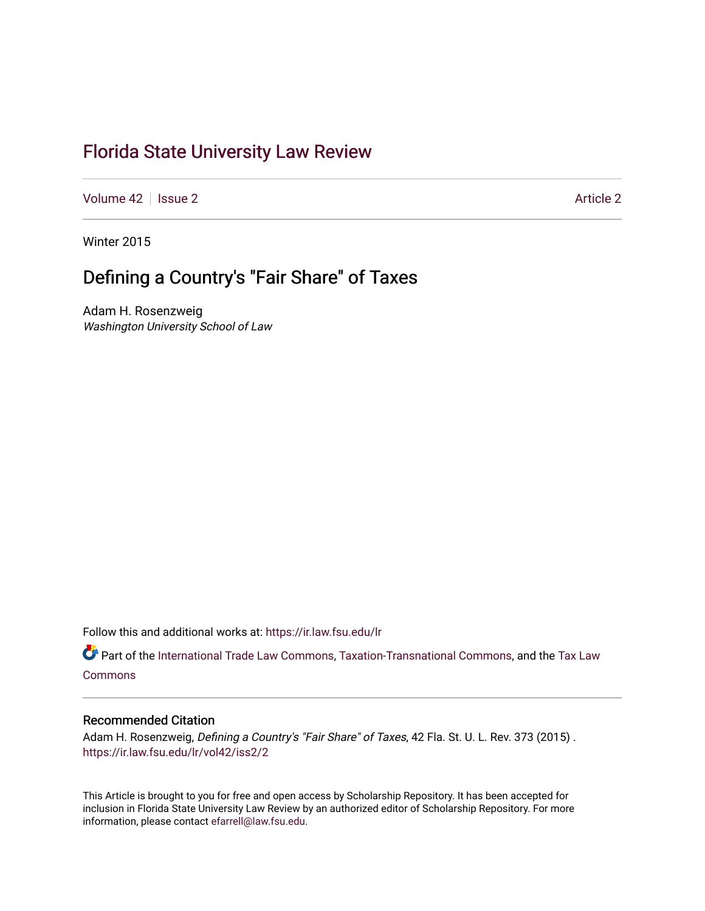# [Florida State University Law Review](https://ir.law.fsu.edu/lr)

[Volume 42](https://ir.law.fsu.edu/lr/vol42) | [Issue 2](https://ir.law.fsu.edu/lr/vol42/iss2) [Article 2](https://ir.law.fsu.edu/lr/vol42/iss2/2) Article 2 Article 2 Article 2 Article 2 Article 2 Article 2

Winter 2015

# Defining a Country's "Fair Share" of Taxes

Adam H. Rosenzweig Washington University School of Law

Follow this and additional works at: [https://ir.law.fsu.edu/lr](https://ir.law.fsu.edu/lr?utm_source=ir.law.fsu.edu%2Flr%2Fvol42%2Fiss2%2F2&utm_medium=PDF&utm_campaign=PDFCoverPages) 

Part of the [International Trade Law Commons](https://network.bepress.com/hgg/discipline/848?utm_source=ir.law.fsu.edu%2Flr%2Fvol42%2Fiss2%2F2&utm_medium=PDF&utm_campaign=PDFCoverPages), [Taxation-Transnational Commons,](https://network.bepress.com/hgg/discipline/883?utm_source=ir.law.fsu.edu%2Flr%2Fvol42%2Fiss2%2F2&utm_medium=PDF&utm_campaign=PDFCoverPages) and the [Tax Law](https://network.bepress.com/hgg/discipline/898?utm_source=ir.law.fsu.edu%2Flr%2Fvol42%2Fiss2%2F2&utm_medium=PDF&utm_campaign=PDFCoverPages) [Commons](https://network.bepress.com/hgg/discipline/898?utm_source=ir.law.fsu.edu%2Flr%2Fvol42%2Fiss2%2F2&utm_medium=PDF&utm_campaign=PDFCoverPages)

# Recommended Citation

Adam H. Rosenzweig, Defining a Country's "Fair Share" of Taxes, 42 Fla. St. U. L. Rev. 373 (2015). [https://ir.law.fsu.edu/lr/vol42/iss2/2](https://ir.law.fsu.edu/lr/vol42/iss2/2?utm_source=ir.law.fsu.edu%2Flr%2Fvol42%2Fiss2%2F2&utm_medium=PDF&utm_campaign=PDFCoverPages)

This Article is brought to you for free and open access by Scholarship Repository. It has been accepted for inclusion in Florida State University Law Review by an authorized editor of Scholarship Repository. For more information, please contact [efarrell@law.fsu.edu](mailto:efarrell@law.fsu.edu).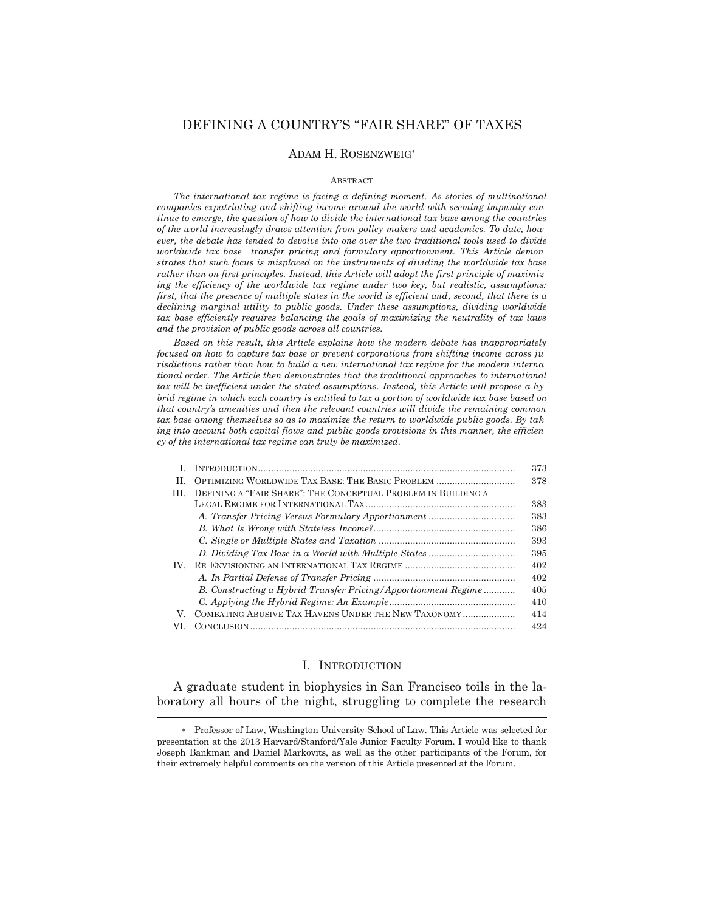# DEFINING A COUNTRY'S "FAIR SHARE" OF TAXES

### ADAM H. ROSENZWEIG

#### **ABSTRACT**

 *The international tax regime is facing a defining moment. As stories of multinational companies expatriating and shifting income around the world with seeming impunity con tinue to emerge, the question of how to divide the international tax base among the countries of the world increasingly draws attention from policy makers and academics. To date, how ever, the debate has tended to devolve into one over the two traditional tools used to divide worldwide tax base transfer pricing and formulary apportionment. This Article demon strates that such focus is misplaced on the instruments of dividing the worldwide tax base rather than on first principles. Instead, this Article will adopt the first principle of maximiz ing the efficiency of the worldwide tax regime under two key, but realistic, assumptions: first, that the presence of multiple states in the world is efficient and, second, that there is a declining marginal utility to public goods. Under these assumptions, dividing worldwide tax base efficiently requires balancing the goals of maximizing the neutrality of tax laws and the provision of public goods across all countries.* 

 *Based on this result, this Article explains how the modern debate has inappropriately focused on how to capture tax base or prevent corporations from shifting income across ju risdictions rather than how to build a new international tax regime for the modern interna tional order. The Article then demonstrates that the traditional approaches to international tax will be inefficient under the stated assumptions. Instead, this Article will propose a hy brid regime in which each country is entitled to tax a portion of worldwide tax base based on that country's amenities and then the relevant countries will divide the remaining common tax base among themselves so as to maximize the return to worldwide public goods. By tak ing into account both capital flows and public goods provisions in this manner, the efficien cy of the international tax regime can truly be maximized.* 

|     |                                                                | 373 |
|-----|----------------------------------------------------------------|-----|
| H.  | OPTIMIZING WORLDWIDE TAX BASE: THE BASIC PROBLEM               | 378 |
| HL. | DEFINING A "FAIR SHARE": THE CONCEPTUAL PROBLEM IN BUILDING A  |     |
|     |                                                                | 383 |
|     |                                                                | 383 |
|     |                                                                | 386 |
|     |                                                                | 393 |
|     |                                                                | 395 |
| IV. |                                                                | 402 |
|     |                                                                | 402 |
|     | B. Constructing a Hybrid Transfer Pricing/Apportionment Regime | 405 |
|     |                                                                | 410 |
| V.  | COMBATING ABUSIVE TAX HAVENS UNDER THE NEW TAXONOMY            | 414 |
| VL. |                                                                | 424 |
|     |                                                                |     |

## I. INTRODUCTION

 A graduate student in biophysics in San Francisco toils in the laboratory all hours of the night, struggling to complete the research  $\overline{a}$ 

 Professor of Law, Washington University School of Law. This Article was selected for presentation at the 2013 Harvard/Stanford/Yale Junior Faculty Forum. I would like to thank Joseph Bankman and Daniel Markovits, as well as the other participants of the Forum, for their extremely helpful comments on the version of this Article presented at the Forum.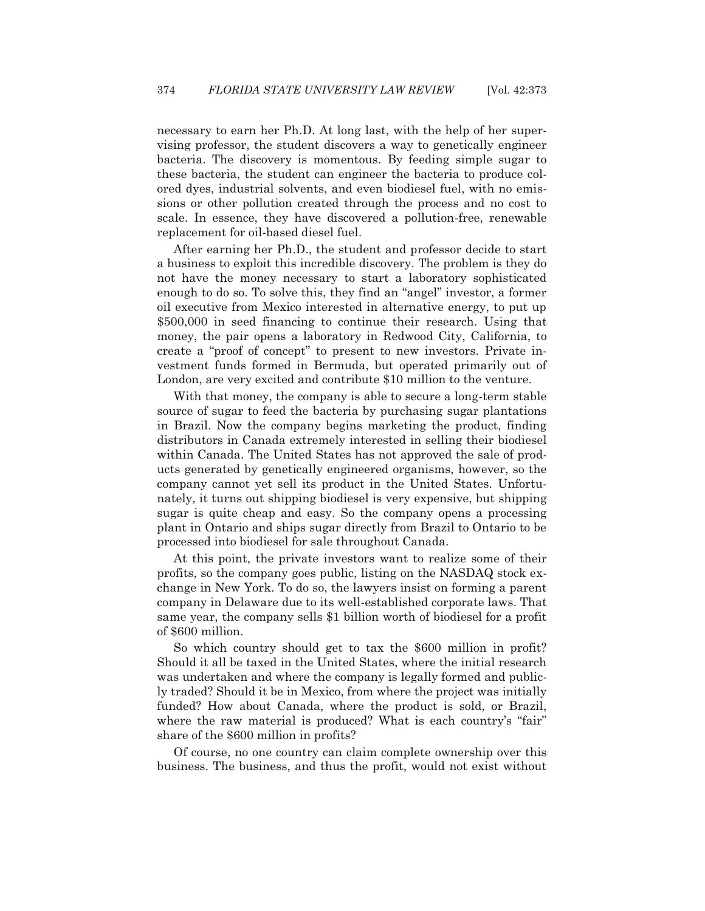necessary to earn her Ph.D. At long last, with the help of her supervising professor, the student discovers a way to genetically engineer bacteria. The discovery is momentous. By feeding simple sugar to these bacteria, the student can engineer the bacteria to produce colored dyes, industrial solvents, and even biodiesel fuel, with no emissions or other pollution created through the process and no cost to scale. In essence, they have discovered a pollution-free, renewable replacement for oil-based diesel fuel.

 After earning her Ph.D., the student and professor decide to start a business to exploit this incredible discovery. The problem is they do not have the money necessary to start a laboratory sophisticated enough to do so. To solve this, they find an "angel" investor, a former oil executive from Mexico interested in alternative energy, to put up \$500,000 in seed financing to continue their research. Using that money, the pair opens a laboratory in Redwood City, California, to create a "proof of concept" to present to new investors. Private investment funds formed in Bermuda, but operated primarily out of London, are very excited and contribute \$10 million to the venture.

 With that money, the company is able to secure a long-term stable source of sugar to feed the bacteria by purchasing sugar plantations in Brazil. Now the company begins marketing the product, finding distributors in Canada extremely interested in selling their biodiesel within Canada. The United States has not approved the sale of products generated by genetically engineered organisms, however, so the company cannot yet sell its product in the United States. Unfortunately, it turns out shipping biodiesel is very expensive, but shipping sugar is quite cheap and easy. So the company opens a processing plant in Ontario and ships sugar directly from Brazil to Ontario to be processed into biodiesel for sale throughout Canada.

 At this point, the private investors want to realize some of their profits, so the company goes public, listing on the NASDAQ stock exchange in New York. To do so, the lawyers insist on forming a parent company in Delaware due to its well-established corporate laws. That same year, the company sells \$1 billion worth of biodiesel for a profit of \$600 million.

 So which country should get to tax the \$600 million in profit? Should it all be taxed in the United States, where the initial research was undertaken and where the company is legally formed and publicly traded? Should it be in Mexico, from where the project was initially funded? How about Canada, where the product is sold, or Brazil, where the raw material is produced? What is each country's "fair" share of the \$600 million in profits?

 Of course, no one country can claim complete ownership over this business. The business, and thus the profit, would not exist without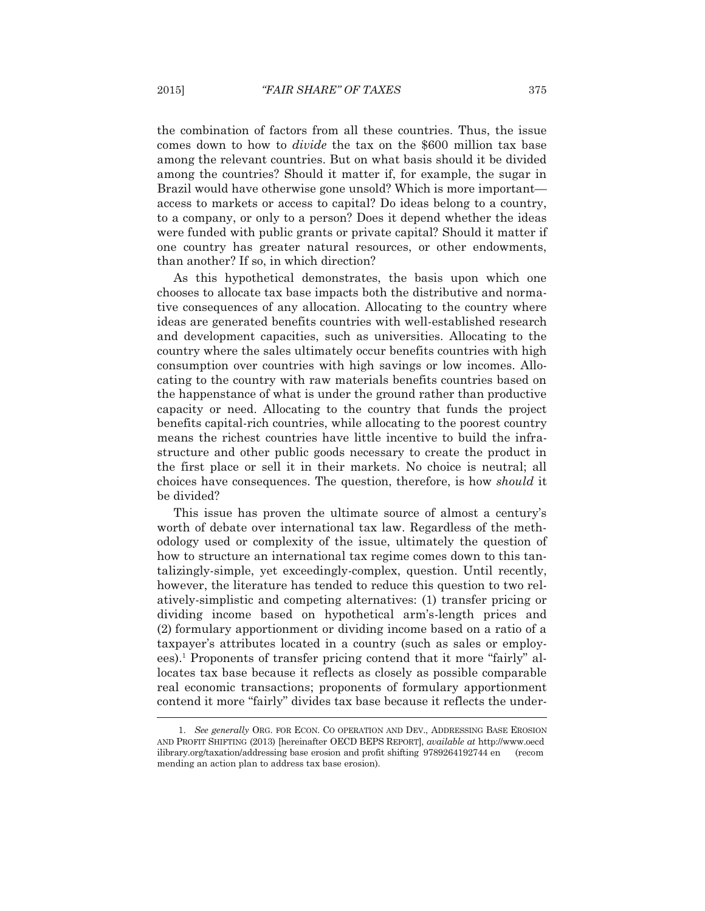the combination of factors from all these countries. Thus, the issue comes down to how to *divide* the tax on the \$600 million tax base among the relevant countries. But on what basis should it be divided among the countries? Should it matter if, for example, the sugar in Brazil would have otherwise gone unsold? Which is more important access to markets or access to capital? Do ideas belong to a country, to a company, or only to a person? Does it depend whether the ideas were funded with public grants or private capital? Should it matter if one country has greater natural resources, or other endowments, than another? If so, in which direction?

 As this hypothetical demonstrates, the basis upon which one chooses to allocate tax base impacts both the distributive and normative consequences of any allocation. Allocating to the country where ideas are generated benefits countries with well-established research and development capacities, such as universities. Allocating to the country where the sales ultimately occur benefits countries with high consumption over countries with high savings or low incomes. Allocating to the country with raw materials benefits countries based on the happenstance of what is under the ground rather than productive capacity or need. Allocating to the country that funds the project benefits capital-rich countries, while allocating to the poorest country means the richest countries have little incentive to build the infrastructure and other public goods necessary to create the product in the first place or sell it in their markets. No choice is neutral; all choices have consequences. The question, therefore, is how *should* it be divided?

 This issue has proven the ultimate source of almost a century's worth of debate over international tax law. Regardless of the methodology used or complexity of the issue, ultimately the question of how to structure an international tax regime comes down to this tantalizingly-simple, yet exceedingly-complex, question. Until recently, however, the literature has tended to reduce this question to two relatively-simplistic and competing alternatives: (1) transfer pricing or dividing income based on hypothetical arm's-length prices and (2) formulary apportionment or dividing income based on a ratio of a taxpayer's attributes located in a country (such as sales or employees).<sup>1</sup> Proponents of transfer pricing contend that it more "fairly" allocates tax base because it reflects as closely as possible comparable real economic transactions; proponents of formulary apportionment contend it more "fairly" divides tax base because it reflects the under-  $\overline{a}$ 

 <sup>1.</sup> *See generally* ORG. FOR ECON. CO OPERATION AND DEV., ADDRESSING BASE EROSION AND PROFIT SHIFTING (2013) [hereinafter OECD BEPS REPORT], *available at* http://www.oecd ilibrary.org/taxation/addressing base erosion and profit shifting 9789264192744 en (recom mending an action plan to address tax base erosion).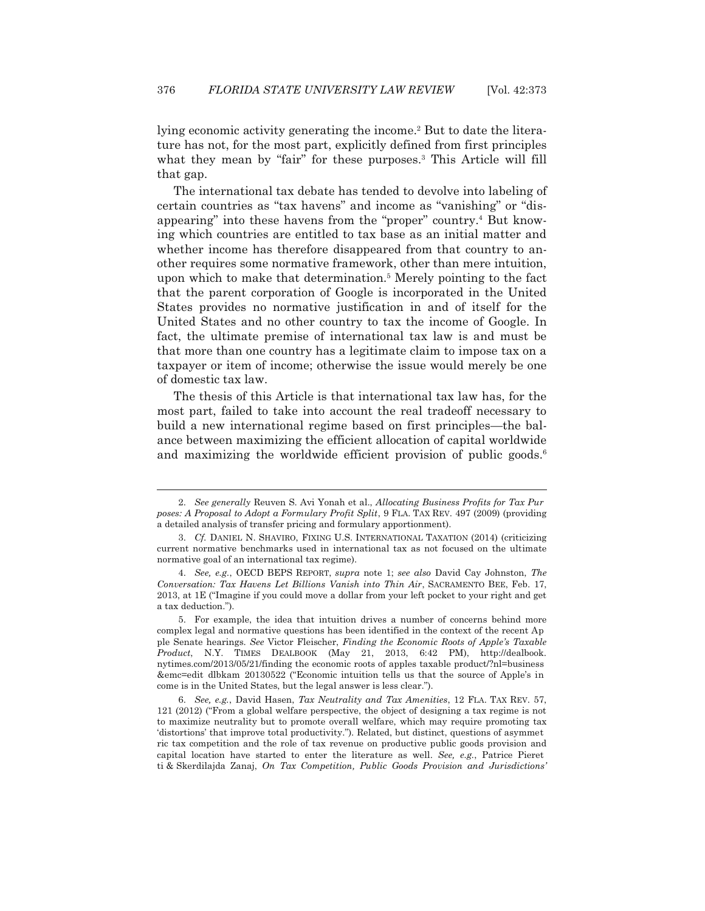lying economic activity generating the income.<sup>2</sup> But to date the literature has not, for the most part, explicitly defined from first principles what they mean by "fair" for these purposes.<sup>3</sup> This Article will fill that gap.

 The international tax debate has tended to devolve into labeling of certain countries as "tax havens" and income as "vanishing" or "disappearing" into these havens from the "proper" country.<sup>4</sup> But knowing which countries are entitled to tax base as an initial matter and whether income has therefore disappeared from that country to another requires some normative framework, other than mere intuition, upon which to make that determination.5 Merely pointing to the fact that the parent corporation of Google is incorporated in the United States provides no normative justification in and of itself for the United States and no other country to tax the income of Google. In fact, the ultimate premise of international tax law is and must be that more than one country has a legitimate claim to impose tax on a taxpayer or item of income; otherwise the issue would merely be one of domestic tax law.

 The thesis of this Article is that international tax law has, for the most part, failed to take into account the real tradeoff necessary to build a new international regime based on first principles—the balance between maximizing the efficient allocation of capital worldwide and maximizing the worldwide efficient provision of public goods.<sup>6</sup>

 <sup>2.</sup> *See generally* Reuven S. Avi Yonah et al., *Allocating Business Profits for Tax Pur poses: A Proposal to Adopt a Formulary Profit Split*, 9 FLA. TAX REV. 497 (2009) (providing a detailed analysis of transfer pricing and formulary apportionment).

<sup>3.</sup> *Cf.* DANIEL N. SHAVIRO, FIXING U.S. INTERNATIONAL TAXATION (2014) (criticizing current normative benchmarks used in international tax as not focused on the ultimate normative goal of an international tax regime).

 <sup>4.</sup> *See, e.g.*, OECD BEPS REPORT, *supra* note 1; *see also* David Cay Johnston, *The Conversation: Tax Havens Let Billions Vanish into Thin Air*, SACRAMENTO BEE, Feb. 17, 2013, at 1E ("Imagine if you could move a dollar from your left pocket to your right and get a tax deduction.").

 <sup>5.</sup> For example, the idea that intuition drives a number of concerns behind more complex legal and normative questions has been identified in the context of the recent Ap ple Senate hearings. *See* Victor Fleischer, *Finding the Economic Roots of Apple's Taxable Product*, N.Y. TIMES DEALBOOK (May 21, 2013, 6:42 PM), http://dealbook. nytimes.com/2013/05/21/finding the economic roots of apples taxable product/?nl=business &emc=edit dlbkam 20130522 ("Economic intuition tells us that the source of Apple's in come is in the United States, but the legal answer is less clear.").

 <sup>6.</sup> *See, e.g.*, David Hasen, *Tax Neutrality and Tax Amenities*, 12 FLA. TAX REV. 57, 121 (2012) ("From a global welfare perspective, the object of designing a tax regime is not to maximize neutrality but to promote overall welfare, which may require promoting tax 'distortions' that improve total productivity."). Related, but distinct, questions of asymmet ric tax competition and the role of tax revenue on productive public goods provision and capital location have started to enter the literature as well. *See, e.g.*, Patrice Pieret ti & Skerdilajda Zanaj, *On Tax Competition, Public Goods Provision and Jurisdictions'*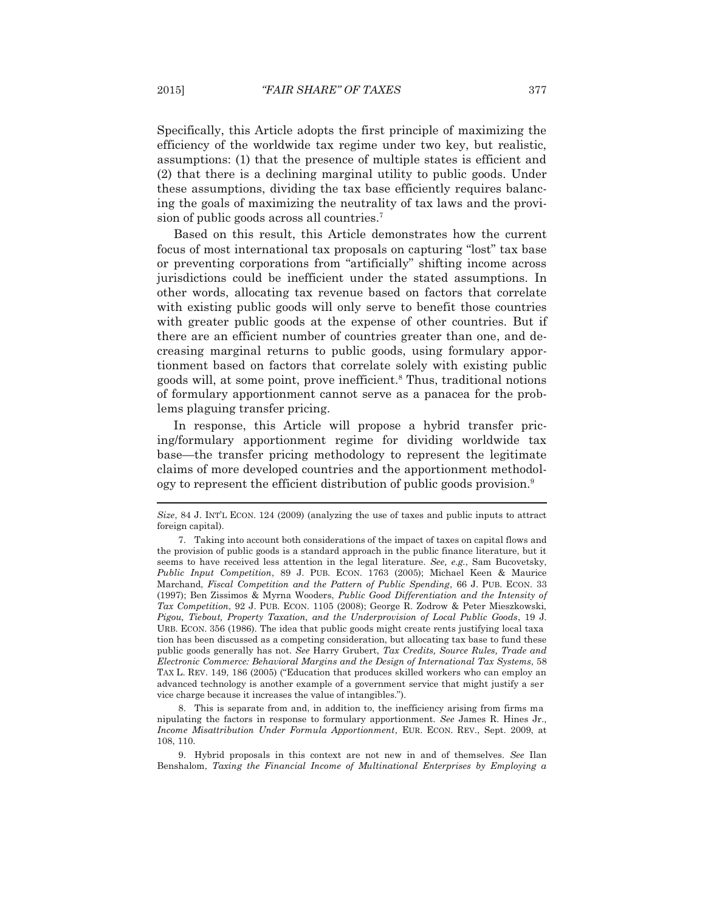Specifically, this Article adopts the first principle of maximizing the efficiency of the worldwide tax regime under two key, but realistic, assumptions: (1) that the presence of multiple states is efficient and (2) that there is a declining marginal utility to public goods. Under these assumptions, dividing the tax base efficiently requires balancing the goals of maximizing the neutrality of tax laws and the provision of public goods across all countries.7

 Based on this result, this Article demonstrates how the current focus of most international tax proposals on capturing "lost" tax base or preventing corporations from "artificially" shifting income across jurisdictions could be inefficient under the stated assumptions. In other words, allocating tax revenue based on factors that correlate with existing public goods will only serve to benefit those countries with greater public goods at the expense of other countries. But if there are an efficient number of countries greater than one, and decreasing marginal returns to public goods, using formulary apportionment based on factors that correlate solely with existing public goods will, at some point, prove inefficient.8 Thus, traditional notions of formulary apportionment cannot serve as a panacea for the problems plaguing transfer pricing.

 In response, this Article will propose a hybrid transfer pricing/formulary apportionment regime for dividing worldwide tax base—the transfer pricing methodology to represent the legitimate claims of more developed countries and the apportionment methodology to represent the efficient distribution of public goods provision.<sup>9</sup>

 8. This is separate from and, in addition to, the inefficiency arising from firms ma nipulating the factors in response to formulary apportionment. *See* James R. Hines Jr., *Income Misattribution Under Formula Apportionment*, EUR. ECON. REV., Sept. 2009, at 108, 110.

 9. Hybrid proposals in this context are not new in and of themselves. *See* Ilan Benshalom, *Taxing the Financial Income of Multinational Enterprises by Employing a* 

*Size*, 84 J. INT'L ECON. 124 (2009) (analyzing the use of taxes and public inputs to attract foreign capital).

 <sup>7.</sup> Taking into account both considerations of the impact of taxes on capital flows and the provision of public goods is a standard approach in the public finance literature, but it seems to have received less attention in the legal literature. *See, e.g.*, Sam Bucovetsky, *Public Input Competition*, 89 J. PUB. ECON. 1763 (2005); Michael Keen & Maurice Marchand, *Fiscal Competition and the Pattern of Public Spending*, 66 J. PUB. ECON. 33 (1997); Ben Zissimos & Myrna Wooders, *Public Good Differentiation and the Intensity of Tax Competition*, 92 J. PUB. ECON. 1105 (2008); George R. Zodrow & Peter Mieszkowski, *Pigou, Tiebout, Property Taxation, and the Underprovision of Local Public Goods*, 19 J. URB. ECON. 356 (1986). The idea that public goods might create rents justifying local taxa tion has been discussed as a competing consideration, but allocating tax base to fund these public goods generally has not. *See* Harry Grubert, *Tax Credits, Source Rules, Trade and Electronic Commerce: Behavioral Margins and the Design of International Tax Systems*, 58 TAX L. REV. 149, 186 (2005) ("Education that produces skilled workers who can employ an advanced technology is another example of a government service that might justify a ser vice charge because it increases the value of intangibles.").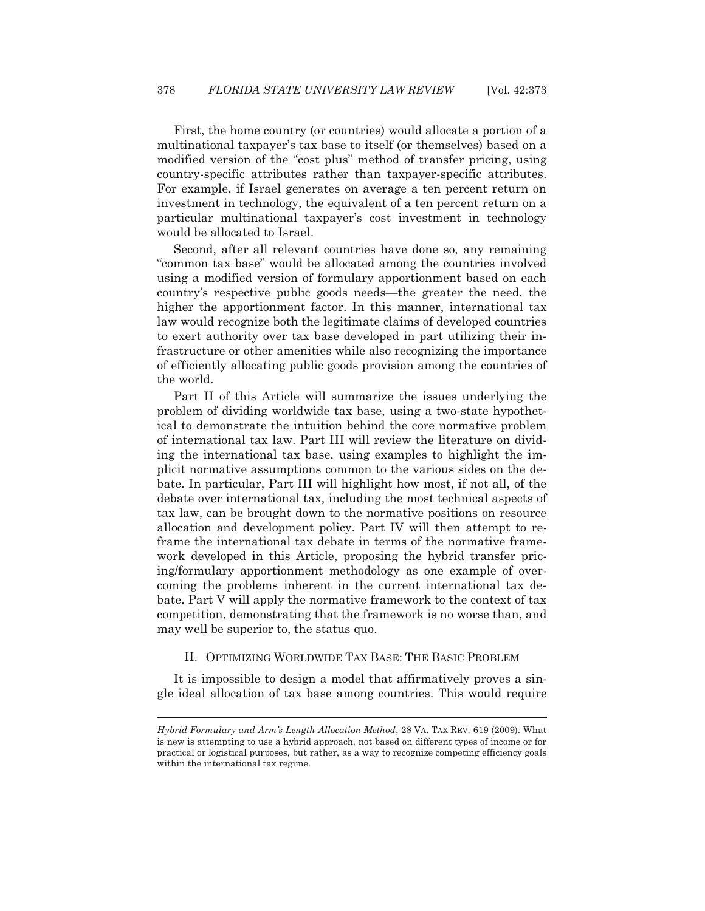First, the home country (or countries) would allocate a portion of a multinational taxpayer's tax base to itself (or themselves) based on a modified version of the "cost plus" method of transfer pricing, using country-specific attributes rather than taxpayer-specific attributes. For example, if Israel generates on average a ten percent return on investment in technology, the equivalent of a ten percent return on a particular multinational taxpayer's cost investment in technology would be allocated to Israel.

 Second, after all relevant countries have done so, any remaining "common tax base" would be allocated among the countries involved using a modified version of formulary apportionment based on each country's respective public goods needs—the greater the need, the higher the apportionment factor. In this manner, international tax law would recognize both the legitimate claims of developed countries to exert authority over tax base developed in part utilizing their infrastructure or other amenities while also recognizing the importance of efficiently allocating public goods provision among the countries of the world.

 Part II of this Article will summarize the issues underlying the problem of dividing worldwide tax base, using a two-state hypothetical to demonstrate the intuition behind the core normative problem of international tax law. Part III will review the literature on dividing the international tax base, using examples to highlight the implicit normative assumptions common to the various sides on the debate. In particular, Part III will highlight how most, if not all, of the debate over international tax, including the most technical aspects of tax law, can be brought down to the normative positions on resource allocation and development policy. Part IV will then attempt to reframe the international tax debate in terms of the normative framework developed in this Article, proposing the hybrid transfer pricing/formulary apportionment methodology as one example of overcoming the problems inherent in the current international tax debate. Part V will apply the normative framework to the context of tax competition, demonstrating that the framework is no worse than, and may well be superior to, the status quo.

# II. OPTIMIZING WORLDWIDE TAX BASE: THE BASIC PROBLEM

 It is impossible to design a model that affirmatively proves a single ideal allocation of tax base among countries. This would require

*Hybrid Formulary and Arm's Length Allocation Method*, 28 VA. TAX REV. 619 (2009). What is new is attempting to use a hybrid approach, not based on different types of income or for practical or logistical purposes, but rather, as a way to recognize competing efficiency goals within the international tax regime.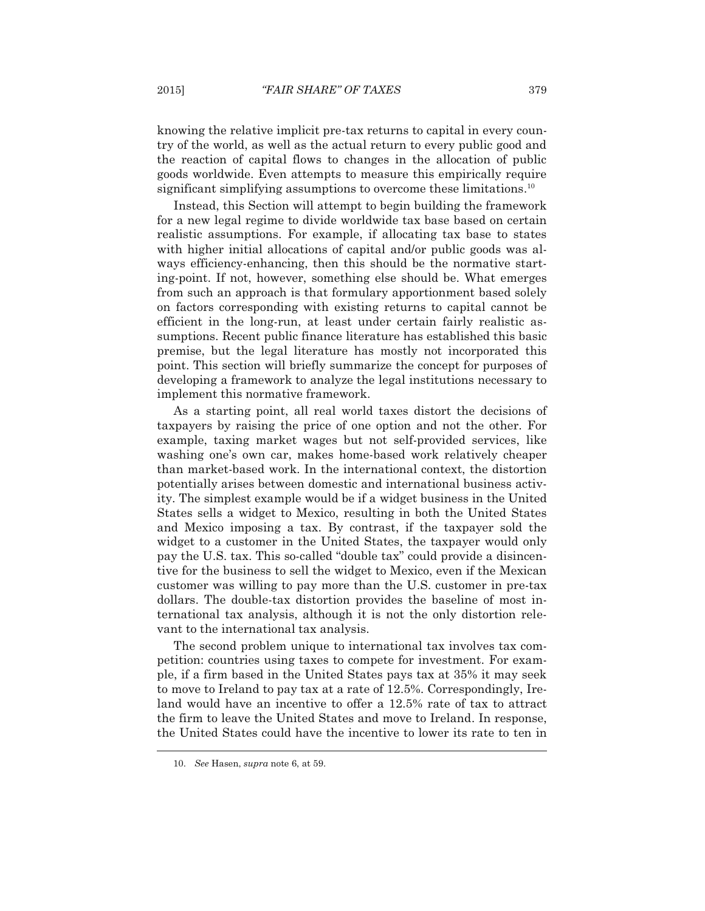knowing the relative implicit pre-tax returns to capital in every country of the world, as well as the actual return to every public good and the reaction of capital flows to changes in the allocation of public goods worldwide. Even attempts to measure this empirically require significant simplifying assumptions to overcome these limitations.<sup>10</sup>

 Instead, this Section will attempt to begin building the framework for a new legal regime to divide worldwide tax base based on certain realistic assumptions. For example, if allocating tax base to states with higher initial allocations of capital and/or public goods was always efficiency-enhancing, then this should be the normative starting-point. If not, however, something else should be. What emerges from such an approach is that formulary apportionment based solely on factors corresponding with existing returns to capital cannot be efficient in the long-run, at least under certain fairly realistic assumptions. Recent public finance literature has established this basic premise, but the legal literature has mostly not incorporated this point. This section will briefly summarize the concept for purposes of developing a framework to analyze the legal institutions necessary to implement this normative framework.

 As a starting point, all real world taxes distort the decisions of taxpayers by raising the price of one option and not the other. For example, taxing market wages but not self-provided services, like washing one's own car, makes home-based work relatively cheaper than market-based work. In the international context, the distortion potentially arises between domestic and international business activity. The simplest example would be if a widget business in the United States sells a widget to Mexico, resulting in both the United States and Mexico imposing a tax. By contrast, if the taxpayer sold the widget to a customer in the United States, the taxpayer would only pay the U.S. tax. This so-called "double tax" could provide a disincentive for the business to sell the widget to Mexico, even if the Mexican customer was willing to pay more than the U.S. customer in pre-tax dollars. The double-tax distortion provides the baseline of most international tax analysis, although it is not the only distortion relevant to the international tax analysis.

 The second problem unique to international tax involves tax competition: countries using taxes to compete for investment. For example, if a firm based in the United States pays tax at 35% it may seek to move to Ireland to pay tax at a rate of 12.5%. Correspondingly, Ireland would have an incentive to offer a 12.5% rate of tax to attract the firm to leave the United States and move to Ireland. In response, the United States could have the incentive to lower its rate to ten in  $\overline{a}$ 

 <sup>10.</sup> *See* Hasen, *supra* note 6, at 59.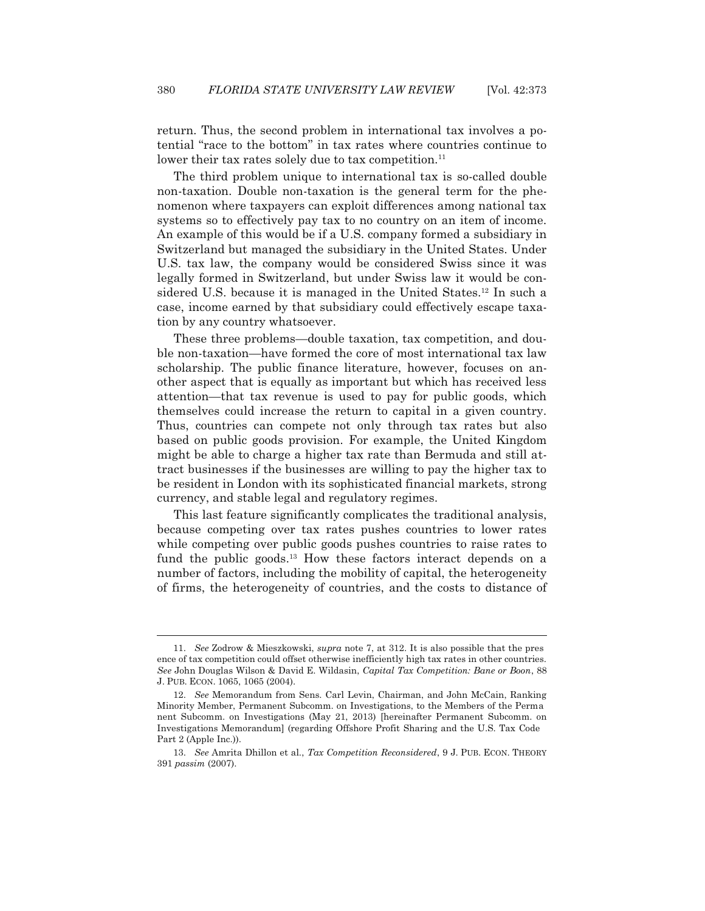return. Thus, the second problem in international tax involves a potential "race to the bottom" in tax rates where countries continue to lower their tax rates solely due to tax competition.<sup>11</sup>

 The third problem unique to international tax is so-called double non-taxation. Double non-taxation is the general term for the phenomenon where taxpayers can exploit differences among national tax systems so to effectively pay tax to no country on an item of income. An example of this would be if a U.S. company formed a subsidiary in Switzerland but managed the subsidiary in the United States. Under U.S. tax law, the company would be considered Swiss since it was legally formed in Switzerland, but under Swiss law it would be considered U.S. because it is managed in the United States.12 In such a case, income earned by that subsidiary could effectively escape taxation by any country whatsoever.

 These three problems—double taxation, tax competition, and double non-taxation—have formed the core of most international tax law scholarship. The public finance literature, however, focuses on another aspect that is equally as important but which has received less attention—that tax revenue is used to pay for public goods, which themselves could increase the return to capital in a given country. Thus, countries can compete not only through tax rates but also based on public goods provision. For example, the United Kingdom might be able to charge a higher tax rate than Bermuda and still attract businesses if the businesses are willing to pay the higher tax to be resident in London with its sophisticated financial markets, strong currency, and stable legal and regulatory regimes.

 This last feature significantly complicates the traditional analysis, because competing over tax rates pushes countries to lower rates while competing over public goods pushes countries to raise rates to fund the public goods.<sup>13</sup> How these factors interact depends on a number of factors, including the mobility of capital, the heterogeneity of firms, the heterogeneity of countries, and the costs to distance of

 <sup>11.</sup> *See* Zodrow & Mieszkowski, *supra* note 7, at 312. It is also possible that the pres ence of tax competition could offset otherwise inefficiently high tax rates in other countries. *See* John Douglas Wilson & David E. Wildasin, *Capital Tax Competition: Bane or Boon*, 88 J. PUB. ECON. 1065, 1065 (2004).

 <sup>12.</sup> *See* Memorandum from Sens. Carl Levin, Chairman, and John McCain, Ranking Minority Member, Permanent Subcomm. on Investigations, to the Members of the Perma nent Subcomm. on Investigations (May 21, 2013) [hereinafter Permanent Subcomm. on Investigations Memorandum] (regarding Offshore Profit Sharing and the U.S. Tax Code Part 2 (Apple Inc.)).

 <sup>13.</sup> *See* Amrita Dhillon et al., *Tax Competition Reconsidered*, 9 J. PUB. ECON. THEORY 391 *passim* (2007).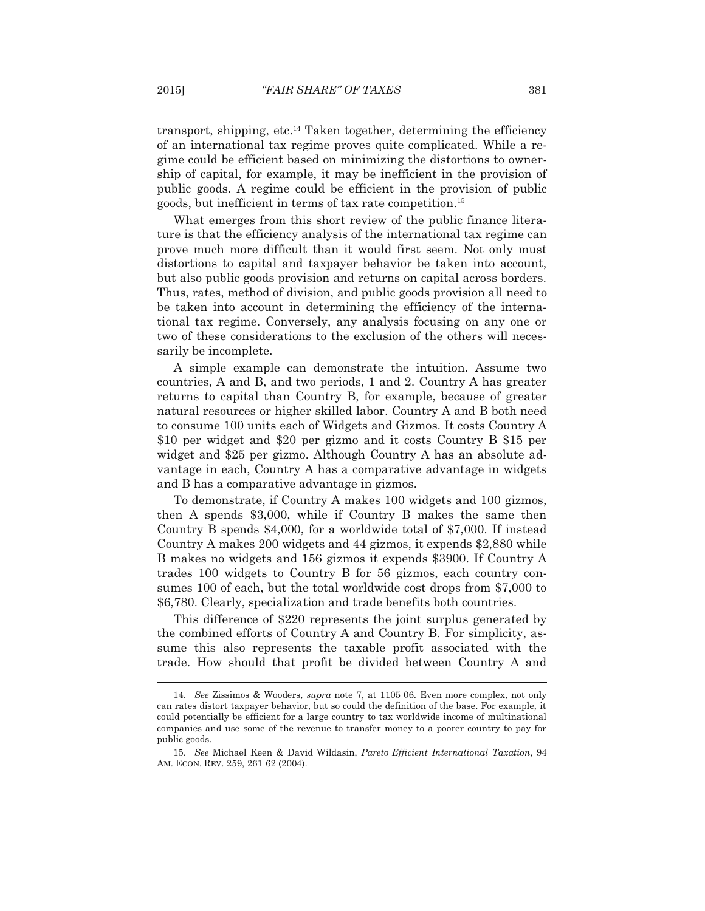transport, shipping, etc.14 Taken together, determining the efficiency of an international tax regime proves quite complicated. While a regime could be efficient based on minimizing the distortions to ownership of capital, for example, it may be inefficient in the provision of public goods. A regime could be efficient in the provision of public goods, but inefficient in terms of tax rate competition.15

 What emerges from this short review of the public finance literature is that the efficiency analysis of the international tax regime can prove much more difficult than it would first seem. Not only must distortions to capital and taxpayer behavior be taken into account, but also public goods provision and returns on capital across borders. Thus, rates, method of division, and public goods provision all need to be taken into account in determining the efficiency of the international tax regime. Conversely, any analysis focusing on any one or two of these considerations to the exclusion of the others will necessarily be incomplete.

 A simple example can demonstrate the intuition. Assume two countries, A and B, and two periods, 1 and 2. Country A has greater returns to capital than Country B, for example, because of greater natural resources or higher skilled labor. Country A and B both need to consume 100 units each of Widgets and Gizmos. It costs Country A \$10 per widget and \$20 per gizmo and it costs Country B \$15 per widget and \$25 per gizmo. Although Country A has an absolute advantage in each, Country A has a comparative advantage in widgets and B has a comparative advantage in gizmos.

 To demonstrate, if Country A makes 100 widgets and 100 gizmos, then A spends \$3,000, while if Country B makes the same then Country B spends \$4,000, for a worldwide total of \$7,000. If instead Country A makes 200 widgets and 44 gizmos, it expends \$2,880 while B makes no widgets and 156 gizmos it expends \$3900. If Country A trades 100 widgets to Country B for 56 gizmos, each country consumes 100 of each, but the total worldwide cost drops from \$7,000 to \$6,780. Clearly, specialization and trade benefits both countries.

 This difference of \$220 represents the joint surplus generated by the combined efforts of Country A and Country B. For simplicity, assume this also represents the taxable profit associated with the trade. How should that profit be divided between Country A and

 <sup>14.</sup> *See* Zissimos & Wooders, *supra* note 7, at 1105 06. Even more complex, not only can rates distort taxpayer behavior, but so could the definition of the base. For example, it could potentially be efficient for a large country to tax worldwide income of multinational companies and use some of the revenue to transfer money to a poorer country to pay for public goods.

 <sup>15.</sup> *See* Michael Keen & David Wildasin, *Pareto Efficient International Taxation*, 94 AM. ECON. REV. 259, 261 62 (2004).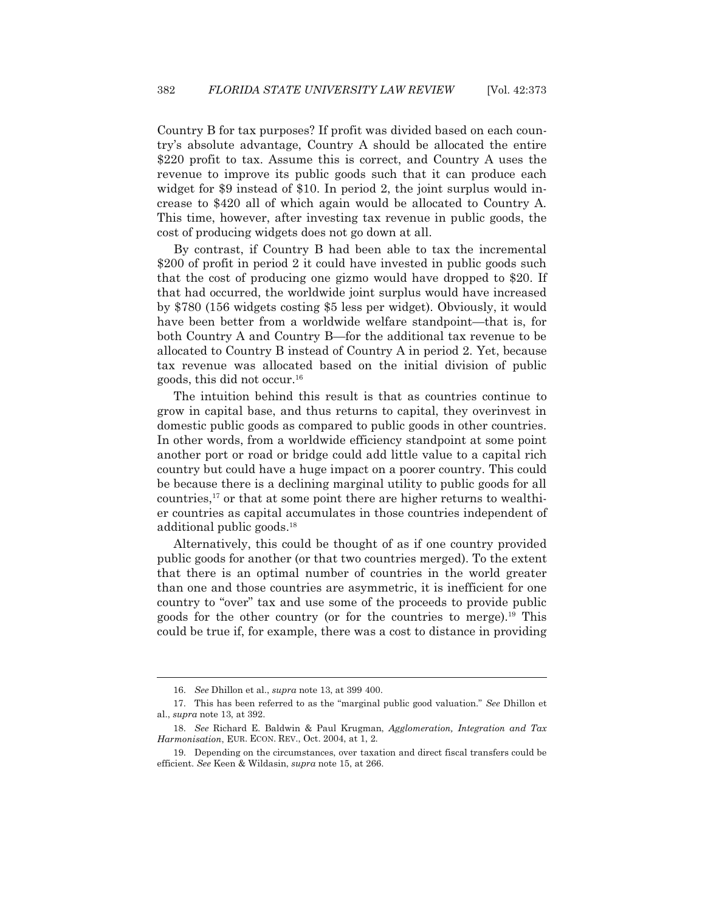Country B for tax purposes? If profit was divided based on each country's absolute advantage, Country A should be allocated the entire \$220 profit to tax. Assume this is correct, and Country A uses the revenue to improve its public goods such that it can produce each widget for \$9 instead of \$10. In period 2, the joint surplus would increase to \$420 all of which again would be allocated to Country A. This time, however, after investing tax revenue in public goods, the cost of producing widgets does not go down at all.

 By contrast, if Country B had been able to tax the incremental \$200 of profit in period 2 it could have invested in public goods such that the cost of producing one gizmo would have dropped to \$20. If that had occurred, the worldwide joint surplus would have increased by \$780 (156 widgets costing \$5 less per widget). Obviously, it would have been better from a worldwide welfare standpoint—that is, for both Country A and Country B—for the additional tax revenue to be allocated to Country B instead of Country A in period 2. Yet, because tax revenue was allocated based on the initial division of public goods, this did not occur.16

 The intuition behind this result is that as countries continue to grow in capital base, and thus returns to capital, they overinvest in domestic public goods as compared to public goods in other countries. In other words, from a worldwide efficiency standpoint at some point another port or road or bridge could add little value to a capital rich country but could have a huge impact on a poorer country. This could be because there is a declining marginal utility to public goods for all countries,<sup>17</sup> or that at some point there are higher returns to wealthier countries as capital accumulates in those countries independent of additional public goods.18

 Alternatively, this could be thought of as if one country provided public goods for another (or that two countries merged). To the extent that there is an optimal number of countries in the world greater than one and those countries are asymmetric, it is inefficient for one country to "over" tax and use some of the proceeds to provide public goods for the other country (or for the countries to merge).19 This could be true if, for example, there was a cost to distance in providing

 <sup>16.</sup> *See* Dhillon et al., *supra* note 13, at 399 400.

 <sup>17.</sup> This has been referred to as the "marginal public good valuation." *See* Dhillon et al., *supra* note 13, at 392.

 <sup>18.</sup> *See* Richard E. Baldwin & Paul Krugman, *Agglomeration, Integration and Tax Harmonisation*, EUR. ECON. REV., Oct. 2004, at 1, 2.

 <sup>19.</sup> Depending on the circumstances, over taxation and direct fiscal transfers could be efficient. *See* Keen & Wildasin, *supra* note 15, at 266.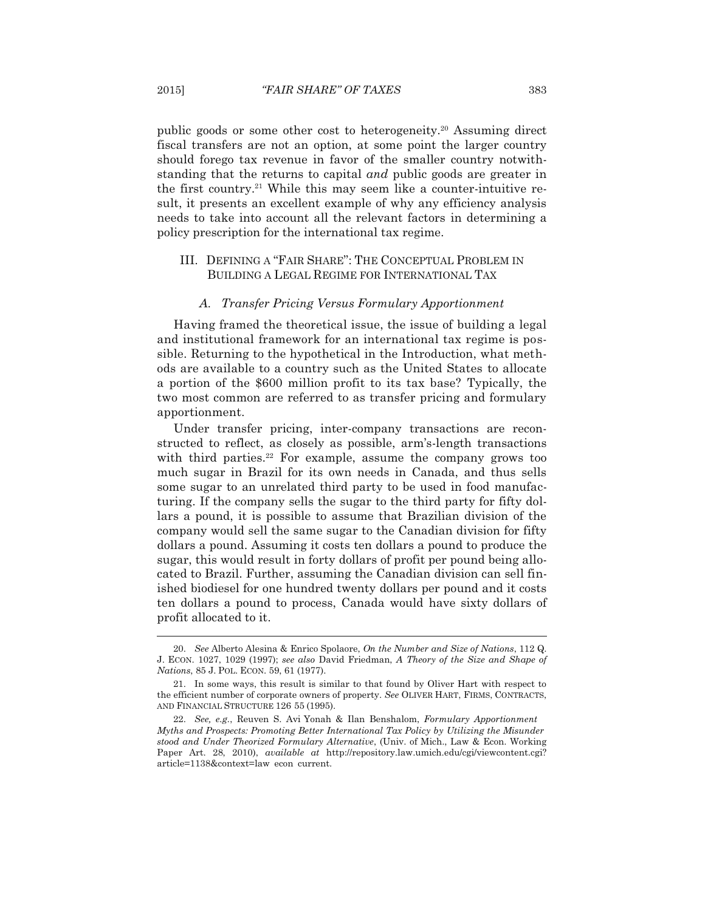public goods or some other cost to heterogeneity.20 Assuming direct fiscal transfers are not an option, at some point the larger country should forego tax revenue in favor of the smaller country notwithstanding that the returns to capital *and* public goods are greater in the first country.<sup>21</sup> While this may seem like a counter-intuitive result, it presents an excellent example of why any efficiency analysis needs to take into account all the relevant factors in determining a policy prescription for the international tax regime.

## III. DEFINING A "FAIR SHARE": THE CONCEPTUAL PROBLEM IN BUILDING A LEGAL REGIME FOR INTERNATIONAL TAX

## *A. Transfer Pricing Versus Formulary Apportionment*

 Having framed the theoretical issue, the issue of building a legal and institutional framework for an international tax regime is possible. Returning to the hypothetical in the Introduction, what methods are available to a country such as the United States to allocate a portion of the \$600 million profit to its tax base? Typically, the two most common are referred to as transfer pricing and formulary apportionment.

 Under transfer pricing, inter-company transactions are reconstructed to reflect, as closely as possible, arm's-length transactions with third parties.<sup>22</sup> For example, assume the company grows too much sugar in Brazil for its own needs in Canada, and thus sells some sugar to an unrelated third party to be used in food manufacturing. If the company sells the sugar to the third party for fifty dollars a pound, it is possible to assume that Brazilian division of the company would sell the same sugar to the Canadian division for fifty dollars a pound. Assuming it costs ten dollars a pound to produce the sugar, this would result in forty dollars of profit per pound being allocated to Brazil. Further, assuming the Canadian division can sell finished biodiesel for one hundred twenty dollars per pound and it costs ten dollars a pound to process, Canada would have sixty dollars of profit allocated to it.

 <sup>20.</sup> *See* Alberto Alesina & Enrico Spolaore, *On the Number and Size of Nations*, 112 Q. J. ECON. 1027, 1029 (1997); *see also* David Friedman, *A Theory of the Size and Shape of Nations*, 85 J. POL. ECON. 59, 61 (1977).

 <sup>21.</sup> In some ways, this result is similar to that found by Oliver Hart with respect to the efficient number of corporate owners of property. *See* OLIVER HART, FIRMS, CONTRACTS, AND FINANCIAL STRUCTURE 126 55 (1995).

 <sup>22.</sup> *See, e.g.*, Reuven S. Avi Yonah & Ilan Benshalom, *Formulary Apportionment Myths and Prospects: Promoting Better International Tax Policy by Utilizing the Misunder stood and Under Theorized Formulary Alternative*, (Univ. of Mich., Law & Econ. Working Paper Art. 28, 2010), *available at* http://repository.law.umich.edu/cgi/viewcontent.cgi? article=1138&context=law econ current.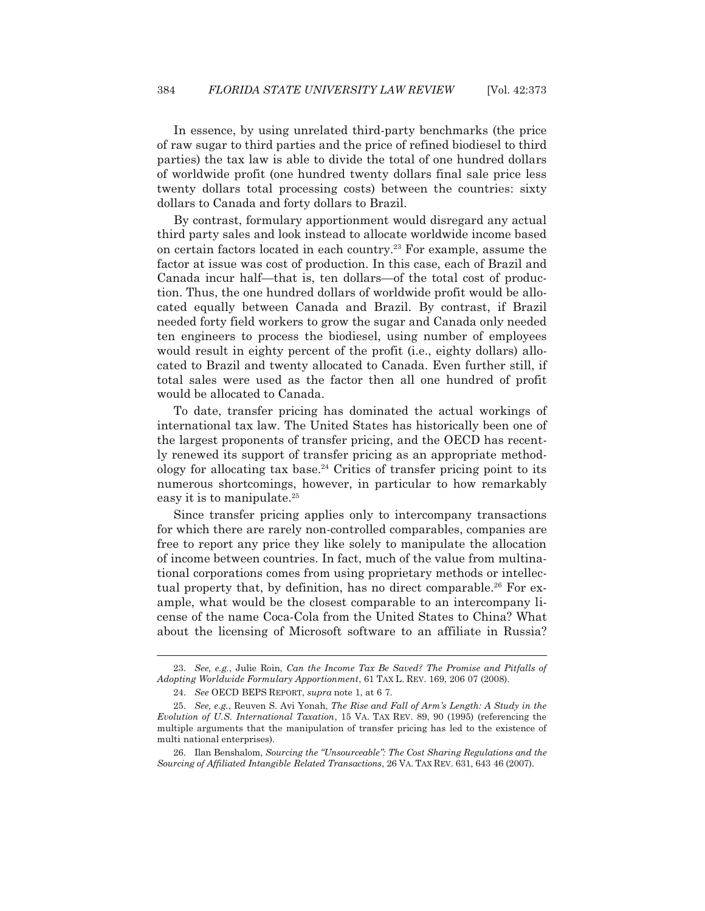In essence, by using unrelated third-party benchmarks (the price of raw sugar to third parties and the price of refined biodiesel to third parties) the tax law is able to divide the total of one hundred dollars of worldwide profit (one hundred twenty dollars final sale price less twenty dollars total processing costs) between the countries: sixty dollars to Canada and forty dollars to Brazil.

 By contrast, formulary apportionment would disregard any actual third party sales and look instead to allocate worldwide income based on certain factors located in each country.23 For example, assume the factor at issue was cost of production. In this case, each of Brazil and Canada incur half—that is, ten dollars—of the total cost of production. Thus, the one hundred dollars of worldwide profit would be allocated equally between Canada and Brazil. By contrast, if Brazil needed forty field workers to grow the sugar and Canada only needed ten engineers to process the biodiesel, using number of employees would result in eighty percent of the profit (i.e., eighty dollars) allocated to Brazil and twenty allocated to Canada. Even further still, if total sales were used as the factor then all one hundred of profit would be allocated to Canada.

 To date, transfer pricing has dominated the actual workings of international tax law. The United States has historically been one of the largest proponents of transfer pricing, and the OECD has recently renewed its support of transfer pricing as an appropriate methodology for allocating tax base.<sup>24</sup> Critics of transfer pricing point to its numerous shortcomings, however, in particular to how remarkably easy it is to manipulate.<sup>25</sup>

 Since transfer pricing applies only to intercompany transactions for which there are rarely non-controlled comparables, companies are free to report any price they like solely to manipulate the allocation of income between countries. In fact, much of the value from multinational corporations comes from using proprietary methods or intellectual property that, by definition, has no direct comparable.<sup>26</sup> For example, what would be the closest comparable to an intercompany license of the name Coca-Cola from the United States to China? What about the licensing of Microsoft software to an affiliate in Russia?

 <sup>23.</sup> *See, e.g.*, Julie Roin, *Can the Income Tax Be Saved? The Promise and Pitfalls of Adopting Worldwide Formulary Apportionment*, 61 TAX L. REV. 169, 206 07 (2008).

 <sup>24.</sup> *See* OECD BEPS REPORT, *supra* note 1, at 6 7.

 <sup>25.</sup> *See, e.g.*, Reuven S. Avi Yonah, *The Rise and Fall of Arm's Length: A Study in the Evolution of U.S. International Taxation*, 15 VA. TAX REV. 89, 90 (1995) (referencing the multiple arguments that the manipulation of transfer pricing has led to the existence of multi national enterprises).

 <sup>26.</sup> Ilan Benshalom, *Sourcing the "Unsourceable": The Cost Sharing Regulations and the Sourcing of Affiliated Intangible Related Transactions*, 26 VA. TAX REV. 631, 643 46 (2007).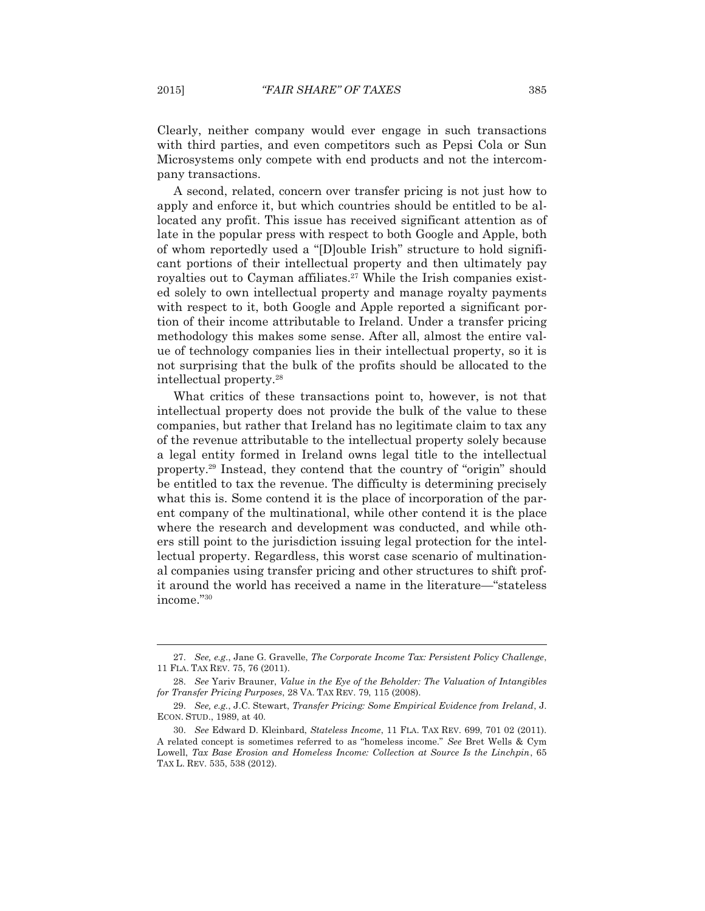Clearly, neither company would ever engage in such transactions with third parties, and even competitors such as Pepsi Cola or Sun Microsystems only compete with end products and not the intercompany transactions.

 A second, related, concern over transfer pricing is not just how to apply and enforce it, but which countries should be entitled to be allocated any profit. This issue has received significant attention as of late in the popular press with respect to both Google and Apple, both of whom reportedly used a "[D]ouble Irish" structure to hold significant portions of their intellectual property and then ultimately pay royalties out to Cayman affiliates.<sup>27</sup> While the Irish companies existed solely to own intellectual property and manage royalty payments with respect to it, both Google and Apple reported a significant portion of their income attributable to Ireland. Under a transfer pricing methodology this makes some sense. After all, almost the entire value of technology companies lies in their intellectual property, so it is not surprising that the bulk of the profits should be allocated to the intellectual property.28

 What critics of these transactions point to, however, is not that intellectual property does not provide the bulk of the value to these companies, but rather that Ireland has no legitimate claim to tax any of the revenue attributable to the intellectual property solely because a legal entity formed in Ireland owns legal title to the intellectual property.29 Instead, they contend that the country of "origin" should be entitled to tax the revenue. The difficulty is determining precisely what this is. Some contend it is the place of incorporation of the parent company of the multinational, while other contend it is the place where the research and development was conducted, and while others still point to the jurisdiction issuing legal protection for the intellectual property. Regardless, this worst case scenario of multinational companies using transfer pricing and other structures to shift profit around the world has received a name in the literature—"stateless income."30

 <sup>27.</sup> *See, e.g*., Jane G. Gravelle, *The Corporate Income Tax: Persistent Policy Challenge*, 11 FLA. TAX REV. 75, 76 (2011).

 <sup>28.</sup> *See* Yariv Brauner, *Value in the Eye of the Beholder: The Valuation of Intangibles for Transfer Pricing Purposes*, 28 VA. TAX REV. 79, 115 (2008).

 <sup>29.</sup> *See, e.g.*, J.C. Stewart, *Transfer Pricing: Some Empirical Evidence from Ireland*, J. ECON. STUD., 1989, at 40.

 <sup>30.</sup> *See* Edward D. Kleinbard, *Stateless Income*, 11 FLA. TAX REV. 699, 701 02 (2011). A related concept is sometimes referred to as "homeless income." *See* Bret Wells & Cym Lowell, *Tax Base Erosion and Homeless Income: Collection at Source Is the Linchpin*, 65 TAX L. REV. 535, 538 (2012).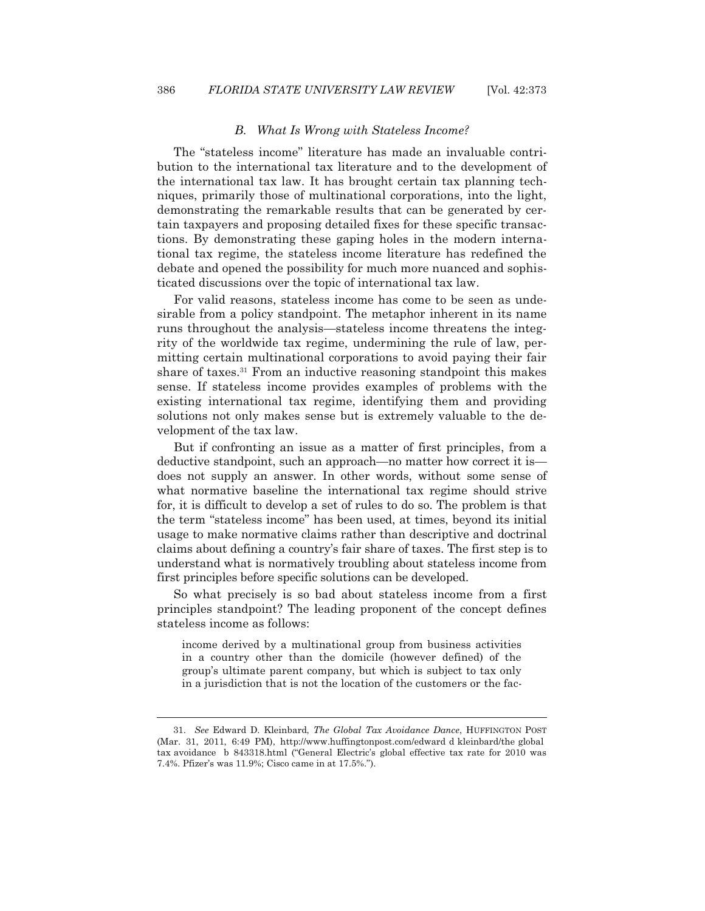#### *B. What Is Wrong with Stateless Income?*

 The "stateless income" literature has made an invaluable contribution to the international tax literature and to the development of the international tax law. It has brought certain tax planning techniques, primarily those of multinational corporations, into the light, demonstrating the remarkable results that can be generated by certain taxpayers and proposing detailed fixes for these specific transactions. By demonstrating these gaping holes in the modern international tax regime, the stateless income literature has redefined the debate and opened the possibility for much more nuanced and sophisticated discussions over the topic of international tax law.

 For valid reasons, stateless income has come to be seen as undesirable from a policy standpoint. The metaphor inherent in its name runs throughout the analysis—stateless income threatens the integrity of the worldwide tax regime, undermining the rule of law, permitting certain multinational corporations to avoid paying their fair share of taxes.<sup>31</sup> From an inductive reasoning standpoint this makes sense. If stateless income provides examples of problems with the existing international tax regime, identifying them and providing solutions not only makes sense but is extremely valuable to the development of the tax law.

 But if confronting an issue as a matter of first principles, from a deductive standpoint, such an approach—no matter how correct it is does not supply an answer. In other words, without some sense of what normative baseline the international tax regime should strive for, it is difficult to develop a set of rules to do so. The problem is that the term "stateless income" has been used, at times, beyond its initial usage to make normative claims rather than descriptive and doctrinal claims about defining a country's fair share of taxes. The first step is to understand what is normatively troubling about stateless income from first principles before specific solutions can be developed.

 So what precisely is so bad about stateless income from a first principles standpoint? The leading proponent of the concept defines stateless income as follows:

income derived by a multinational group from business activities in a country other than the domicile (however defined) of the group's ultimate parent company, but which is subject to tax only in a jurisdiction that is not the location of the customers or the fac-

 <sup>31.</sup> *See* Edward D. Kleinbard, *The Global Tax Avoidance Dance*, HUFFINGTON POST (Mar. 31, 2011, 6:49 PM), http://www.huffingtonpost.com/edward d kleinbard/the global tax avoidance b 843318.html ("General Electric's global effective tax rate for 2010 was 7.4%. Pfizer's was 11.9%; Cisco came in at 17.5%.").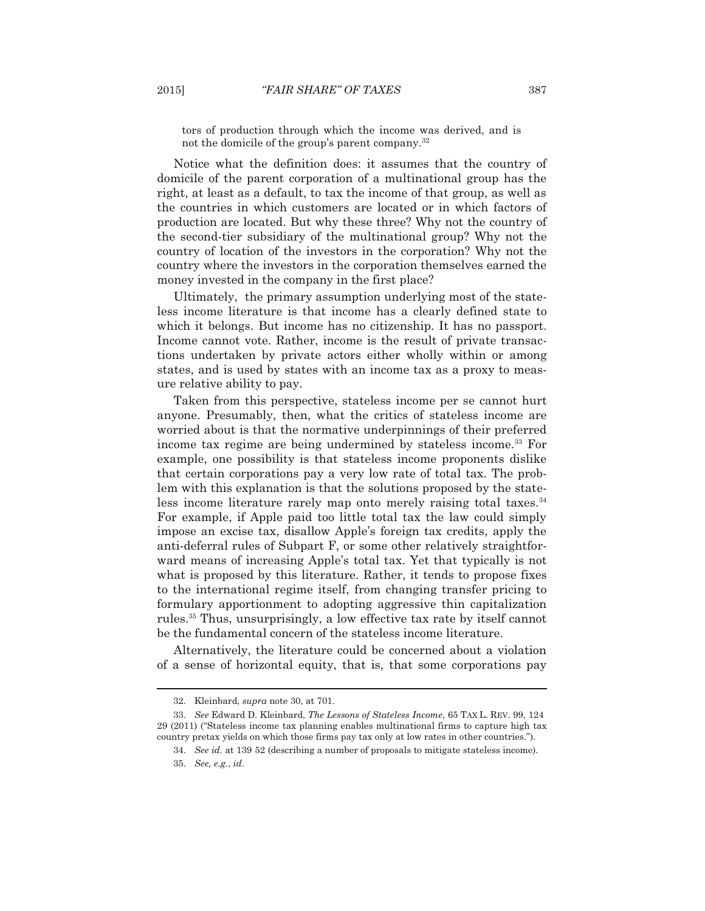tors of production through which the income was derived, and is not the domicile of the group's parent company.<sup>32</sup>

 Notice what the definition does: it assumes that the country of domicile of the parent corporation of a multinational group has the right, at least as a default, to tax the income of that group, as well as the countries in which customers are located or in which factors of production are located. But why these three? Why not the country of the second-tier subsidiary of the multinational group? Why not the country of location of the investors in the corporation? Why not the country where the investors in the corporation themselves earned the money invested in the company in the first place?

 Ultimately, the primary assumption underlying most of the stateless income literature is that income has a clearly defined state to which it belongs. But income has no citizenship. It has no passport. Income cannot vote. Rather, income is the result of private transactions undertaken by private actors either wholly within or among states, and is used by states with an income tax as a proxy to measure relative ability to pay.

 Taken from this perspective, stateless income per se cannot hurt anyone. Presumably, then, what the critics of stateless income are worried about is that the normative underpinnings of their preferred income tax regime are being undermined by stateless income.<sup>33</sup> For example, one possibility is that stateless income proponents dislike that certain corporations pay a very low rate of total tax. The problem with this explanation is that the solutions proposed by the stateless income literature rarely map onto merely raising total taxes.<sup>34</sup> For example, if Apple paid too little total tax the law could simply impose an excise tax, disallow Apple's foreign tax credits, apply the anti-deferral rules of Subpart F, or some other relatively straightforward means of increasing Apple's total tax. Yet that typically is not what is proposed by this literature. Rather, it tends to propose fixes to the international regime itself, from changing transfer pricing to formulary apportionment to adopting aggressive thin capitalization rules.35 Thus, unsurprisingly, a low effective tax rate by itself cannot be the fundamental concern of the stateless income literature.

 Alternatively, the literature could be concerned about a violation of a sense of horizontal equity, that is, that some corporations pay

 <sup>32.</sup> Kleinbard, *supra* note 30, at 701.

 <sup>33.</sup> *See* Edward D. Kleinbard, *The Lessons of Stateless Income*, 65 TAX L. REV. 99, 124 29 (2011) ("Stateless income tax planning enables multinational firms to capture high tax country pretax yields on which those firms pay tax only at low rates in other countries.").

 <sup>34.</sup> *See id.* at 139 52 (describing a number of proposals to mitigate stateless income).

 <sup>35.</sup> *See, e.g.*, *id.*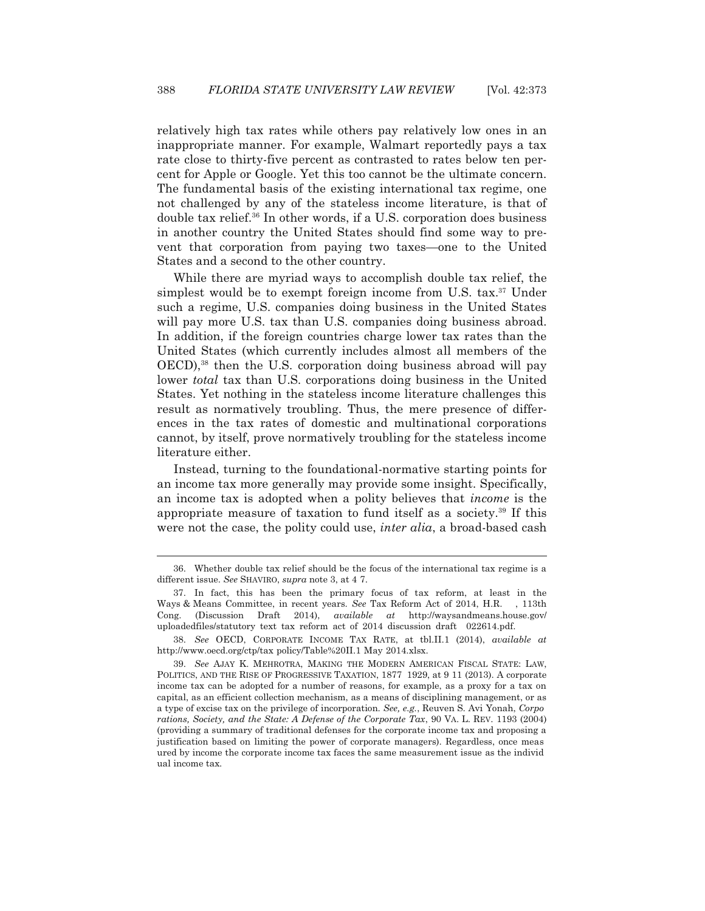relatively high tax rates while others pay relatively low ones in an inappropriate manner. For example, Walmart reportedly pays a tax rate close to thirty-five percent as contrasted to rates below ten percent for Apple or Google. Yet this too cannot be the ultimate concern. The fundamental basis of the existing international tax regime, one not challenged by any of the stateless income literature, is that of double tax relief.36 In other words, if a U.S. corporation does business in another country the United States should find some way to prevent that corporation from paying two taxes—one to the United States and a second to the other country.

 While there are myriad ways to accomplish double tax relief, the simplest would be to exempt foreign income from U.S. tax.<sup>37</sup> Under such a regime, U.S. companies doing business in the United States will pay more U.S. tax than U.S. companies doing business abroad. In addition, if the foreign countries charge lower tax rates than the United States (which currently includes almost all members of the OECD),<sup>38</sup> then the U.S. corporation doing business abroad will pay lower *total* tax than U.S. corporations doing business in the United States. Yet nothing in the stateless income literature challenges this result as normatively troubling. Thus, the mere presence of differences in the tax rates of domestic and multinational corporations cannot, by itself, prove normatively troubling for the stateless income literature either.

 Instead, turning to the foundational-normative starting points for an income tax more generally may provide some insight. Specifically, an income tax is adopted when a polity believes that *income* is the appropriate measure of taxation to fund itself as a society.39 If this were not the case, the polity could use, *inter alia*, a broad-based cash

 <sup>36.</sup> Whether double tax relief should be the focus of the international tax regime is a different issue. *See* SHAVIRO, *supra* note 3, at 4 7.

 <sup>37.</sup> In fact, this has been the primary focus of tax reform, at least in the Ways & Means Committee, in recent years. *See* Tax Reform Act of 2014, H.R. , 113th Cong. (Discussion Draft 2014), *available at* http://waysandmeans.house.gov/ uploadedfiles/statutory text tax reform act of 2014 discussion draft 022614.pdf.

 <sup>38.</sup> *See* OECD, CORPORATE INCOME TAX RATE, at tbl.II.1 (2014), *available at* http://www.oecd.org/ctp/tax policy/Table%20II.1 May 2014.xlsx.

 <sup>39.</sup> *See* AJAY K. MEHROTRA, MAKING THE MODERN AMERICAN FISCAL STATE: LAW, POLITICS, AND THE RISE OF PROGRESSIVE TAXATION, 1877 1929, at 9 11 (2013). A corporate income tax can be adopted for a number of reasons, for example, as a proxy for a tax on capital, as an efficient collection mechanism, as a means of disciplining management, or as a type of excise tax on the privilege of incorporation. *See, e.g.*, Reuven S. Avi Yonah, *Corpo rations, Society, and the State: A Defense of the Corporate Tax*, 90 VA. L. REV. 1193 (2004) (providing a summary of traditional defenses for the corporate income tax and proposing a justification based on limiting the power of corporate managers). Regardless, once meas ured by income the corporate income tax faces the same measurement issue as the individ ual income tax.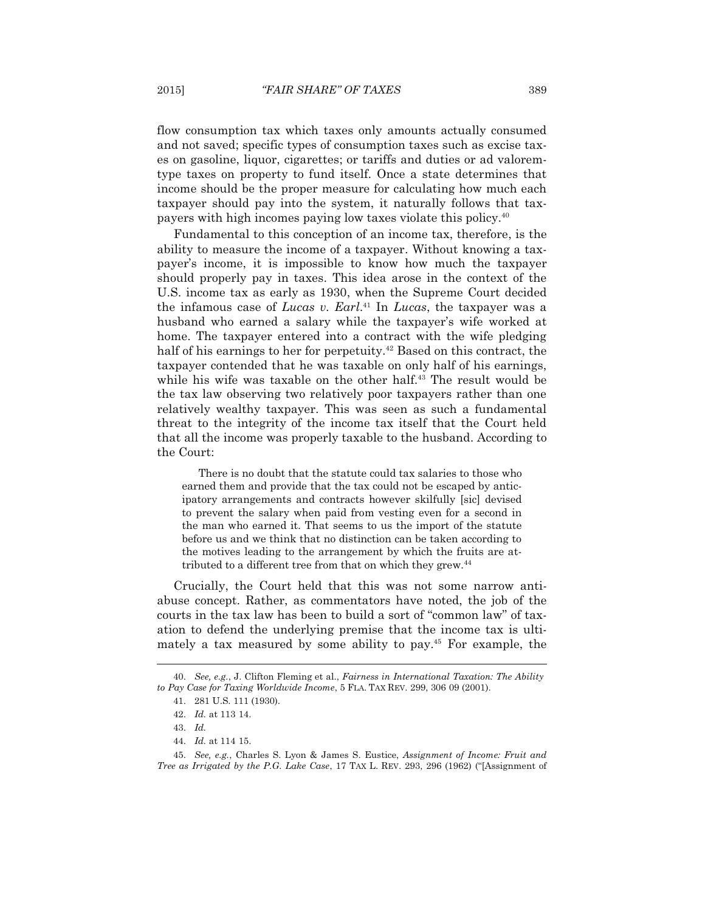flow consumption tax which taxes only amounts actually consumed and not saved; specific types of consumption taxes such as excise taxes on gasoline, liquor, cigarettes; or tariffs and duties or ad valoremtype taxes on property to fund itself. Once a state determines that income should be the proper measure for calculating how much each taxpayer should pay into the system, it naturally follows that taxpayers with high incomes paying low taxes violate this policy.40

 Fundamental to this conception of an income tax, therefore, is the ability to measure the income of a taxpayer. Without knowing a taxpayer's income, it is impossible to know how much the taxpayer should properly pay in taxes. This idea arose in the context of the U.S. income tax as early as 1930, when the Supreme Court decided the infamous case of *Lucas v. Earl*. 41 In *Lucas*, the taxpayer was a husband who earned a salary while the taxpayer's wife worked at home. The taxpayer entered into a contract with the wife pledging half of his earnings to her for perpetuity.<sup>42</sup> Based on this contract, the taxpayer contended that he was taxable on only half of his earnings, while his wife was taxable on the other half.<sup>43</sup> The result would be the tax law observing two relatively poor taxpayers rather than one relatively wealthy taxpayer. This was seen as such a fundamental threat to the integrity of the income tax itself that the Court held that all the income was properly taxable to the husband. According to the Court:

There is no doubt that the statute could tax salaries to those who earned them and provide that the tax could not be escaped by anticipatory arrangements and contracts however skilfully [sic] devised to prevent the salary when paid from vesting even for a second in the man who earned it. That seems to us the import of the statute before us and we think that no distinction can be taken according to the motives leading to the arrangement by which the fruits are attributed to a different tree from that on which they grew.<sup>44</sup>

 Crucially, the Court held that this was not some narrow antiabuse concept. Rather, as commentators have noted, the job of the courts in the tax law has been to build a sort of "common law" of taxation to defend the underlying premise that the income tax is ultimately a tax measured by some ability to pay.45 For example, the

 <sup>40.</sup> *See, e.g.*, J. Clifton Fleming et al., *Fairness in International Taxation: The Ability to Pay Case for Taxing Worldwide Income*, 5 FLA. TAX REV. 299, 306 09 (2001).

 <sup>41. 281</sup> U.S. 111 (1930).

 <sup>42.</sup> *Id.* at 113 14.

 <sup>43.</sup> *Id.*

 <sup>44.</sup> *Id.* at 114 15.

 <sup>45.</sup> *See, e.g.*, Charles S. Lyon & James S. Eustice, *Assignment of Income: Fruit and Tree as Irrigated by the P.G. Lake Case*, 17 TAX L. REV. 293, 296 (1962) ("[Assignment of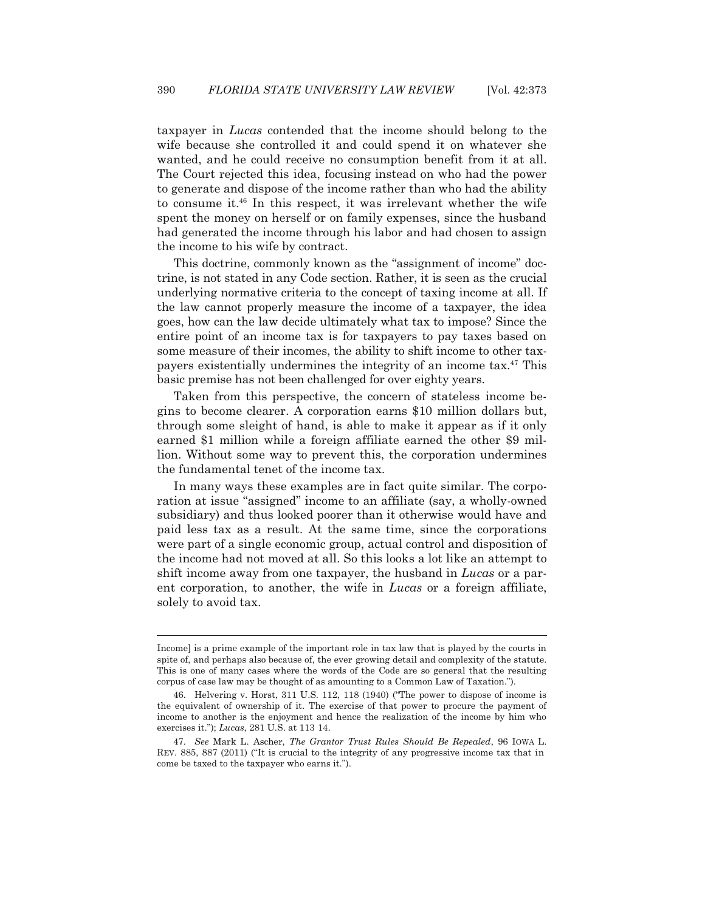taxpayer in *Lucas* contended that the income should belong to the wife because she controlled it and could spend it on whatever she wanted, and he could receive no consumption benefit from it at all. The Court rejected this idea, focusing instead on who had the power to generate and dispose of the income rather than who had the ability to consume it.46 In this respect, it was irrelevant whether the wife spent the money on herself or on family expenses, since the husband had generated the income through his labor and had chosen to assign the income to his wife by contract.

 This doctrine, commonly known as the "assignment of income" doctrine, is not stated in any Code section. Rather, it is seen as the crucial underlying normative criteria to the concept of taxing income at all. If the law cannot properly measure the income of a taxpayer, the idea goes, how can the law decide ultimately what tax to impose? Since the entire point of an income tax is for taxpayers to pay taxes based on some measure of their incomes, the ability to shift income to other taxpayers existentially undermines the integrity of an income tax.47 This basic premise has not been challenged for over eighty years.

 Taken from this perspective, the concern of stateless income begins to become clearer. A corporation earns \$10 million dollars but, through some sleight of hand, is able to make it appear as if it only earned \$1 million while a foreign affiliate earned the other \$9 million. Without some way to prevent this, the corporation undermines the fundamental tenet of the income tax.

 In many ways these examples are in fact quite similar. The corporation at issue "assigned" income to an affiliate (say, a wholly-owned subsidiary) and thus looked poorer than it otherwise would have and paid less tax as a result. At the same time, since the corporations were part of a single economic group, actual control and disposition of the income had not moved at all. So this looks a lot like an attempt to shift income away from one taxpayer, the husband in *Lucas* or a parent corporation, to another, the wife in *Lucas* or a foreign affiliate, solely to avoid tax.

Income] is a prime example of the important role in tax law that is played by the courts in spite of, and perhaps also because of, the ever growing detail and complexity of the statute. This is one of many cases where the words of the Code are so general that the resulting corpus of case law may be thought of as amounting to a Common Law of Taxation.").

 <sup>46.</sup> Helvering v. Horst, 311 U.S. 112, 118 (1940) ("The power to dispose of income is the equivalent of ownership of it. The exercise of that power to procure the payment of income to another is the enjoyment and hence the realization of the income by him who exercises it."); *Lucas*, 281 U.S. at 113 14.

 <sup>47.</sup> *See* Mark L. Ascher, *The Grantor Trust Rules Should Be Repealed*, 96 IOWA L. REV. 885, 887 (2011) ("It is crucial to the integrity of any progressive income tax that in come be taxed to the taxpayer who earns it.").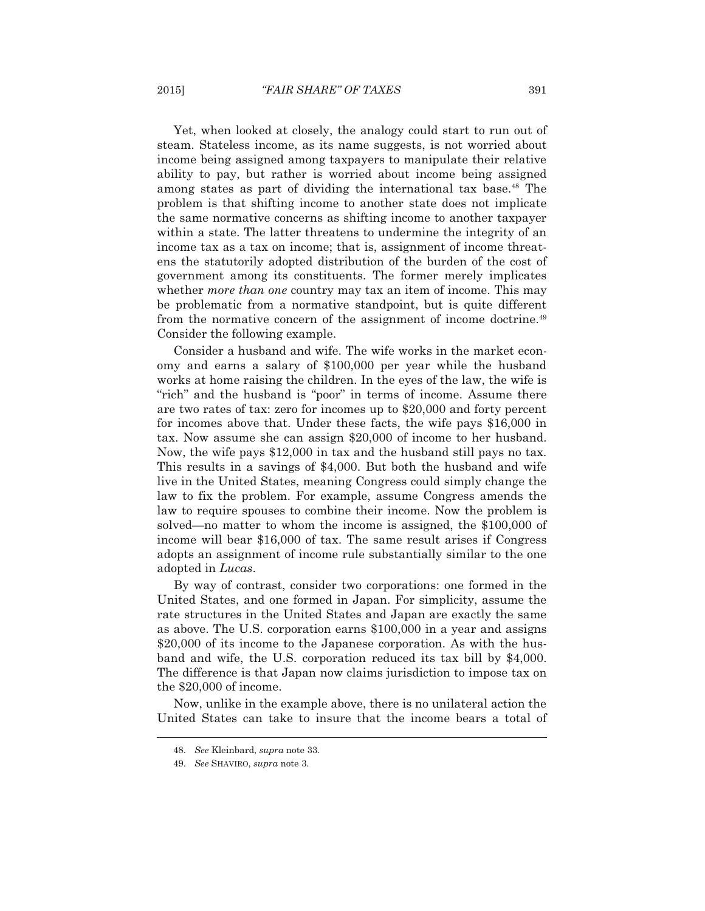Yet, when looked at closely, the analogy could start to run out of steam. Stateless income, as its name suggests, is not worried about income being assigned among taxpayers to manipulate their relative ability to pay, but rather is worried about income being assigned among states as part of dividing the international tax base.48 The problem is that shifting income to another state does not implicate the same normative concerns as shifting income to another taxpayer within a state. The latter threatens to undermine the integrity of an income tax as a tax on income; that is, assignment of income threatens the statutorily adopted distribution of the burden of the cost of government among its constituents. The former merely implicates whether *more than one* country may tax an item of income. This may be problematic from a normative standpoint, but is quite different from the normative concern of the assignment of income doctrine.49 Consider the following example.

 Consider a husband and wife. The wife works in the market economy and earns a salary of \$100,000 per year while the husband works at home raising the children. In the eyes of the law, the wife is "rich" and the husband is "poor" in terms of income. Assume there are two rates of tax: zero for incomes up to \$20,000 and forty percent for incomes above that. Under these facts, the wife pays \$16,000 in tax. Now assume she can assign \$20,000 of income to her husband. Now, the wife pays \$12,000 in tax and the husband still pays no tax. This results in a savings of \$4,000. But both the husband and wife live in the United States, meaning Congress could simply change the law to fix the problem. For example, assume Congress amends the law to require spouses to combine their income. Now the problem is solved—no matter to whom the income is assigned, the \$100,000 of income will bear \$16,000 of tax. The same result arises if Congress adopts an assignment of income rule substantially similar to the one adopted in *Lucas*.

 By way of contrast, consider two corporations: one formed in the United States, and one formed in Japan. For simplicity, assume the rate structures in the United States and Japan are exactly the same as above. The U.S. corporation earns \$100,000 in a year and assigns \$20,000 of its income to the Japanese corporation. As with the husband and wife, the U.S. corporation reduced its tax bill by \$4,000. The difference is that Japan now claims jurisdiction to impose tax on the \$20,000 of income.

 Now, unlike in the example above, there is no unilateral action the United States can take to insure that the income bears a total of

 <sup>48.</sup> *See* Kleinbard, *supra* note 33.

 <sup>49.</sup> *See* SHAVIRO, *supra* note 3.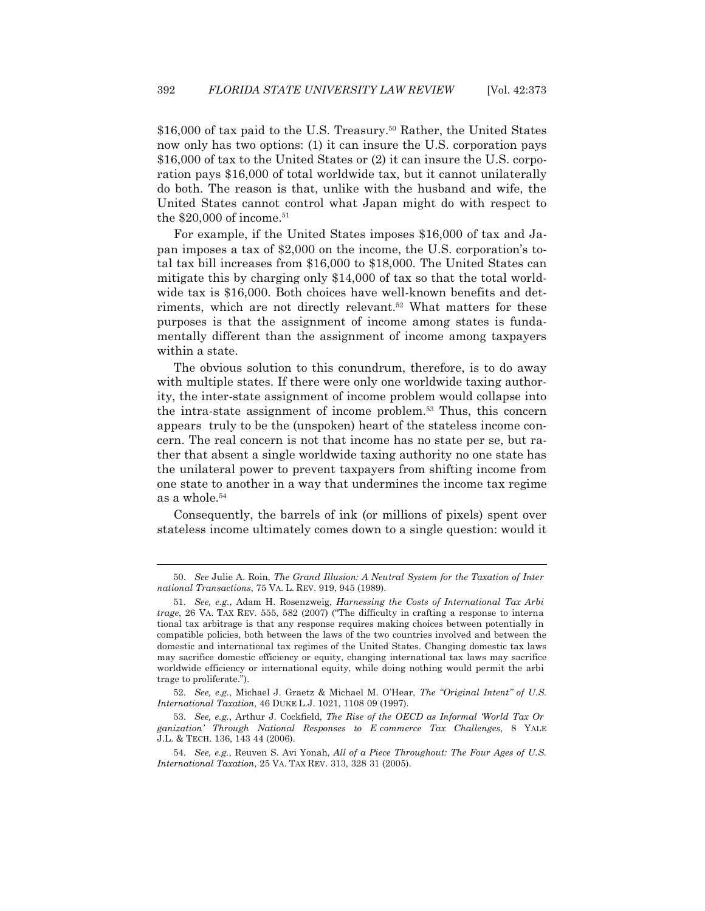\$16,000 of tax paid to the U.S. Treasury.<sup>50</sup> Rather, the United States now only has two options: (1) it can insure the U.S. corporation pays \$16,000 of tax to the United States or (2) it can insure the U.S. corporation pays \$16,000 of total worldwide tax, but it cannot unilaterally do both. The reason is that, unlike with the husband and wife, the United States cannot control what Japan might do with respect to the  $$20,000$  of income.<sup>51</sup>

 For example, if the United States imposes \$16,000 of tax and Japan imposes a tax of \$2,000 on the income, the U.S. corporation's total tax bill increases from \$16,000 to \$18,000. The United States can mitigate this by charging only \$14,000 of tax so that the total worldwide tax is \$16,000. Both choices have well-known benefits and detriments, which are not directly relevant.<sup>52</sup> What matters for these purposes is that the assignment of income among states is fundamentally different than the assignment of income among taxpayers within a state.

 The obvious solution to this conundrum, therefore, is to do away with multiple states. If there were only one worldwide taxing authority, the inter-state assignment of income problem would collapse into the intra-state assignment of income problem.53 Thus, this concern appears truly to be the (unspoken) heart of the stateless income concern. The real concern is not that income has no state per se, but rather that absent a single worldwide taxing authority no one state has the unilateral power to prevent taxpayers from shifting income from one state to another in a way that undermines the income tax regime as a whole.54

 Consequently, the barrels of ink (or millions of pixels) spent over stateless income ultimately comes down to a single question: would it

 <sup>50.</sup> *See* Julie A. Roin, *The Grand Illusion: A Neutral System for the Taxation of Inter national Transactions*, 75 VA. L. REV. 919, 945 (1989).

 <sup>51.</sup> *See, e.g.*, Adam H. Rosenzweig, *Harnessing the Costs of International Tax Arbi trage*, 26 VA. TAX REV. 555, 582 (2007) ("The difficulty in crafting a response to interna tional tax arbitrage is that any response requires making choices between potentially in compatible policies, both between the laws of the two countries involved and between the domestic and international tax regimes of the United States. Changing domestic tax laws may sacrifice domestic efficiency or equity, changing international tax laws may sacrifice worldwide efficiency or international equity, while doing nothing would permit the arbi trage to proliferate.").

 <sup>52.</sup> *See, e.g.*, Michael J. Graetz & Michael M. O'Hear, *The "Original Intent" of U.S. International Taxation*, 46 DUKE L.J. 1021, 1108 09 (1997).

 <sup>53.</sup> *See, e.g.*, Arthur J. Cockfield, *The Rise of the OECD as Informal 'World Tax Or ganization' Through National Responses to E commerce Tax Challenges*, 8 YALE J.L. & TECH. 136, 143 44 (2006).

 <sup>54.</sup> *See, e.g.*, Reuven S. Avi Yonah, *All of a Piece Throughout: The Four Ages of U.S. International Taxation*, 25 VA. TAX REV. 313, 328 31 (2005).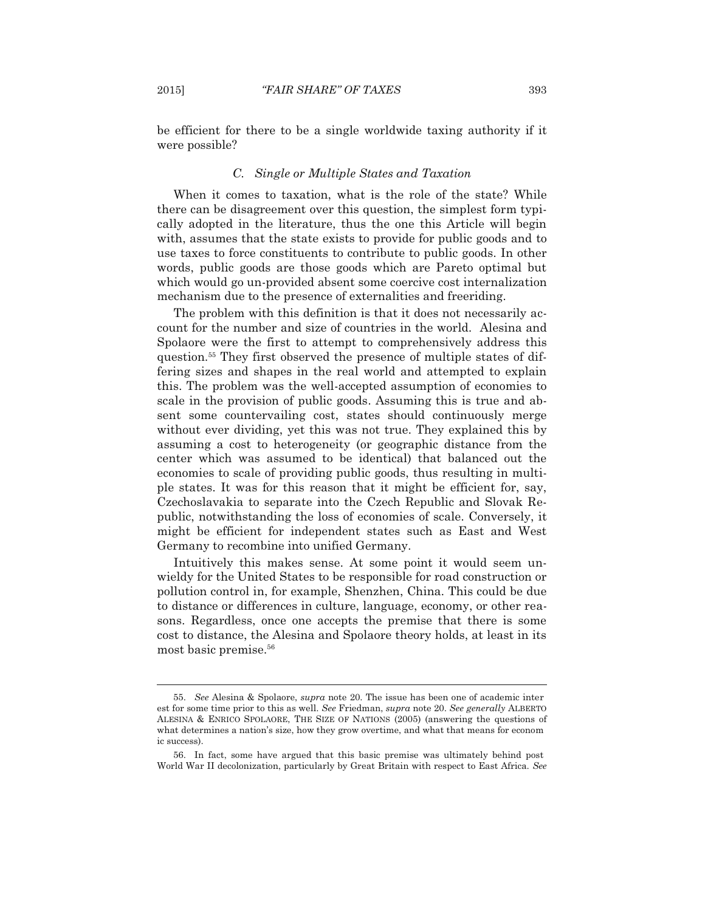be efficient for there to be a single worldwide taxing authority if it were possible?

## *C. Single or Multiple States and Taxation*

 When it comes to taxation, what is the role of the state? While there can be disagreement over this question, the simplest form typically adopted in the literature, thus the one this Article will begin with, assumes that the state exists to provide for public goods and to use taxes to force constituents to contribute to public goods. In other words, public goods are those goods which are Pareto optimal but which would go un-provided absent some coercive cost internalization mechanism due to the presence of externalities and freeriding.

 The problem with this definition is that it does not necessarily account for the number and size of countries in the world. Alesina and Spolaore were the first to attempt to comprehensively address this question.55 They first observed the presence of multiple states of differing sizes and shapes in the real world and attempted to explain this. The problem was the well-accepted assumption of economies to scale in the provision of public goods. Assuming this is true and absent some countervailing cost, states should continuously merge without ever dividing, yet this was not true. They explained this by assuming a cost to heterogeneity (or geographic distance from the center which was assumed to be identical) that balanced out the economies to scale of providing public goods, thus resulting in multiple states. It was for this reason that it might be efficient for, say, Czechoslavakia to separate into the Czech Republic and Slovak Republic, notwithstanding the loss of economies of scale. Conversely, it might be efficient for independent states such as East and West Germany to recombine into unified Germany.

 Intuitively this makes sense. At some point it would seem unwieldy for the United States to be responsible for road construction or pollution control in, for example, Shenzhen, China. This could be due to distance or differences in culture, language, economy, or other reasons. Regardless, once one accepts the premise that there is some cost to distance, the Alesina and Spolaore theory holds, at least in its most basic premise.<sup>56</sup>

 <sup>55.</sup> *See* Alesina & Spolaore, *supra* note 20. The issue has been one of academic inter est for some time prior to this as well. *See* Friedman, *supra* note 20. *See generally* ALBERTO ALESINA & ENRICO SPOLAORE, THE SIZE OF NATIONS (2005) (answering the questions of what determines a nation's size, how they grow overtime, and what that means for econom ic success).

 <sup>56.</sup> In fact, some have argued that this basic premise was ultimately behind post World War II decolonization, particularly by Great Britain with respect to East Africa. *See*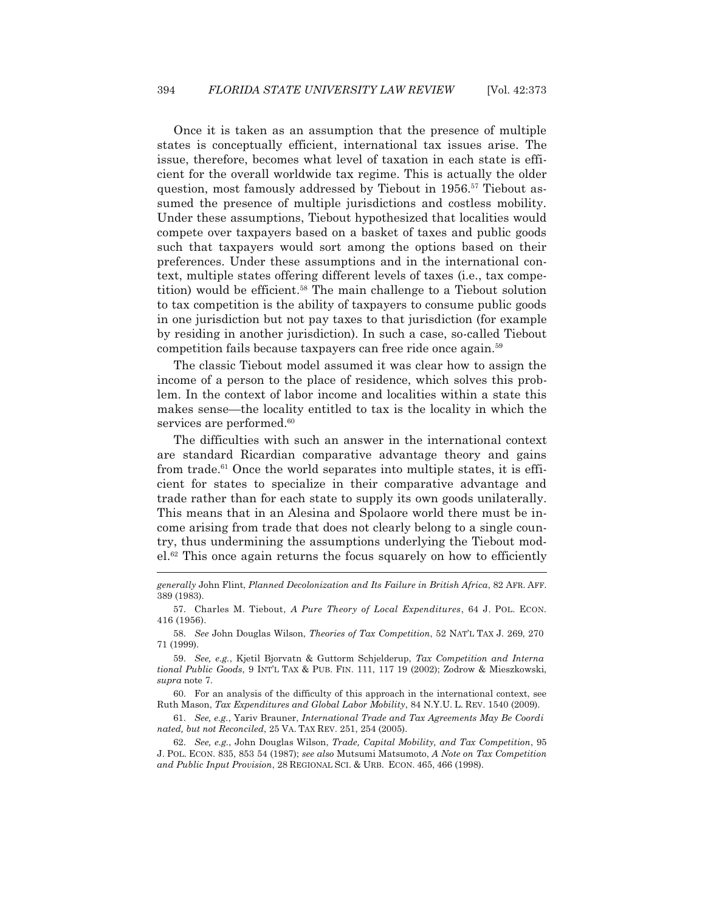Once it is taken as an assumption that the presence of multiple states is conceptually efficient, international tax issues arise. The issue, therefore, becomes what level of taxation in each state is efficient for the overall worldwide tax regime. This is actually the older question, most famously addressed by Tiebout in 1956.<sup>57</sup> Tiebout assumed the presence of multiple jurisdictions and costless mobility. Under these assumptions, Tiebout hypothesized that localities would compete over taxpayers based on a basket of taxes and public goods such that taxpayers would sort among the options based on their preferences. Under these assumptions and in the international context, multiple states offering different levels of taxes (i.e., tax competition) would be efficient.58 The main challenge to a Tiebout solution to tax competition is the ability of taxpayers to consume public goods in one jurisdiction but not pay taxes to that jurisdiction (for example by residing in another jurisdiction). In such a case, so-called Tiebout competition fails because taxpayers can free ride once again.59

 The classic Tiebout model assumed it was clear how to assign the income of a person to the place of residence, which solves this problem. In the context of labor income and localities within a state this makes sense—the locality entitled to tax is the locality in which the services are performed.<sup>60</sup>

 The difficulties with such an answer in the international context are standard Ricardian comparative advantage theory and gains from trade.<sup>61</sup> Once the world separates into multiple states, it is efficient for states to specialize in their comparative advantage and trade rather than for each state to supply its own goods unilaterally. This means that in an Alesina and Spolaore world there must be income arising from trade that does not clearly belong to a single country, thus undermining the assumptions underlying the Tiebout model.62 This once again returns the focus squarely on how to efficiently  $\overline{a}$ 

 60. For an analysis of the difficulty of this approach in the international context, see Ruth Mason, *Tax Expenditures and Global Labor Mobility*, 84 N.Y.U. L. REV. 1540 (2009).

 61. *See, e.g.*, Yariv Brauner, *International Trade and Tax Agreements May Be Coordi nated, but not Reconciled*, 25 VA. TAX REV. 251, 254 (2005).

 62. *See, e.g.*, John Douglas Wilson, *Trade, Capital Mobility, and Tax Competition*, 95 J. POL. ECON. 835, 853 54 (1987); *see also* Mutsumi Matsumoto, *A Note on Tax Competition and Public Input Provision*, 28 REGIONAL SCI.&URB. ECON. 465, 466 (1998).

*generally* John Flint, *Planned Decolonization and Its Failure in British Africa*, 82 AFR. AFF. 389 (1983).

 <sup>57.</sup> Charles M. Tiebout, *A Pure Theory of Local Expenditures*, 64 J. POL. ECON. 416 (1956).

 <sup>58.</sup> *See* John Douglas Wilson, *Theories of Tax Competition*, 52 NAT'L TAX J. 269, 270 71 (1999).

 <sup>59.</sup> *See, e.g.*, Kjetil Bjorvatn & Guttorm Schjelderup, *Tax Competition and Interna tional Public Goods*, 9 INT'L TAX & PUB. FIN. 111, 117 19 (2002); Zodrow & Mieszkowski, *supra* note 7.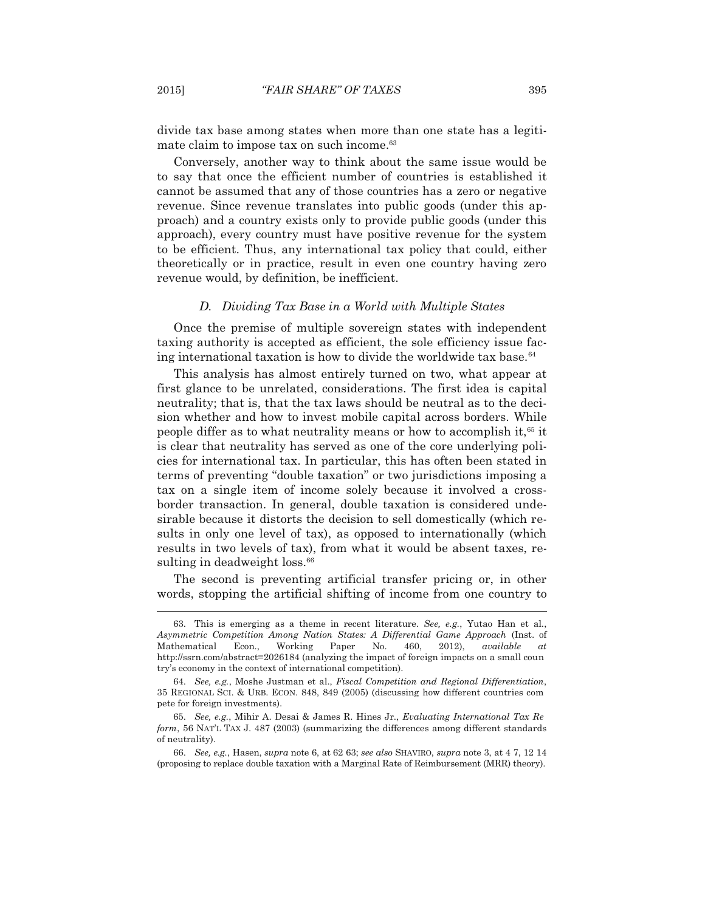divide tax base among states when more than one state has a legitimate claim to impose tax on such income.<sup>63</sup>

 Conversely, another way to think about the same issue would be to say that once the efficient number of countries is established it cannot be assumed that any of those countries has a zero or negative revenue. Since revenue translates into public goods (under this approach) and a country exists only to provide public goods (under this approach), every country must have positive revenue for the system to be efficient. Thus, any international tax policy that could, either theoretically or in practice, result in even one country having zero revenue would, by definition, be inefficient.

### *D. Dividing Tax Base in a World with Multiple States*

 Once the premise of multiple sovereign states with independent taxing authority is accepted as efficient, the sole efficiency issue facing international taxation is how to divide the worldwide tax base. $64$ 

 This analysis has almost entirely turned on two, what appear at first glance to be unrelated, considerations. The first idea is capital neutrality; that is, that the tax laws should be neutral as to the decision whether and how to invest mobile capital across borders. While people differ as to what neutrality means or how to accomplish it,  $65$  it is clear that neutrality has served as one of the core underlying policies for international tax. In particular, this has often been stated in terms of preventing "double taxation" or two jurisdictions imposing a tax on a single item of income solely because it involved a crossborder transaction. In general, double taxation is considered undesirable because it distorts the decision to sell domestically (which results in only one level of tax), as opposed to internationally (which results in two levels of tax), from what it would be absent taxes, resulting in deadweight loss.<sup>66</sup>

 The second is preventing artificial transfer pricing or, in other words, stopping the artificial shifting of income from one country to

 <sup>63.</sup> This is emerging as a theme in recent literature. *See, e.g.*, Yutao Han et al., *Asymmetric Competition Among Nation States: A Differential Game Approach* (Inst. of Mathematical Econ., Working Paper No. 460, 2012), *available at*  http://ssrn.com/abstract=2026184 (analyzing the impact of foreign impacts on a small coun try's economy in the context of international competition).

 <sup>64.</sup> *See, e.g.*, Moshe Justman et al., *Fiscal Competition and Regional Differentiation*, 35 REGIONAL SCI.&URB. ECON. 848, 849 (2005) (discussing how different countries com pete for foreign investments).

 <sup>65.</sup> *See, e.g.*, Mihir A. Desai & James R. Hines Jr., *Evaluating International Tax Re form*, 56 NAT'L TAX J. 487 (2003) (summarizing the differences among different standards of neutrality).

 <sup>66.</sup> *See, e.g.*, Hasen, *supra* note 6, at 62 63; *see also* SHAVIRO, *supra* note 3, at 4 7, 12 14 (proposing to replace double taxation with a Marginal Rate of Reimbursement (MRR) theory).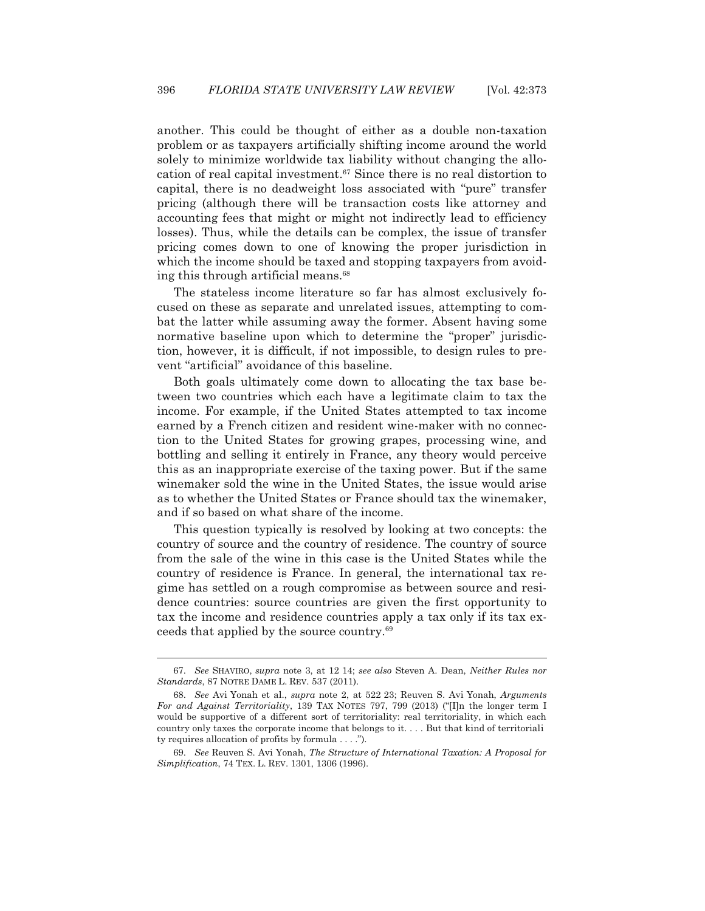another. This could be thought of either as a double non-taxation problem or as taxpayers artificially shifting income around the world solely to minimize worldwide tax liability without changing the allocation of real capital investment.67 Since there is no real distortion to capital, there is no deadweight loss associated with "pure" transfer pricing (although there will be transaction costs like attorney and accounting fees that might or might not indirectly lead to efficiency losses). Thus, while the details can be complex, the issue of transfer pricing comes down to one of knowing the proper jurisdiction in which the income should be taxed and stopping taxpayers from avoiding this through artificial means.<sup>68</sup>

 The stateless income literature so far has almost exclusively focused on these as separate and unrelated issues, attempting to combat the latter while assuming away the former. Absent having some normative baseline upon which to determine the "proper" jurisdiction, however, it is difficult, if not impossible, to design rules to prevent "artificial" avoidance of this baseline.

 Both goals ultimately come down to allocating the tax base between two countries which each have a legitimate claim to tax the income. For example, if the United States attempted to tax income earned by a French citizen and resident wine-maker with no connection to the United States for growing grapes, processing wine, and bottling and selling it entirely in France, any theory would perceive this as an inappropriate exercise of the taxing power. But if the same winemaker sold the wine in the United States, the issue would arise as to whether the United States or France should tax the winemaker, and if so based on what share of the income.

 This question typically is resolved by looking at two concepts: the country of source and the country of residence. The country of source from the sale of the wine in this case is the United States while the country of residence is France. In general, the international tax regime has settled on a rough compromise as between source and residence countries: source countries are given the first opportunity to tax the income and residence countries apply a tax only if its tax exceeds that applied by the source country.69

 <sup>67.</sup> *See* SHAVIRO, *supra* note 3, at 12 14; *see also* Steven A. Dean, *Neither Rules nor Standards*, 87 NOTRE DAME L. REV. 537 (2011).

 <sup>68.</sup> *See* Avi Yonah et al., *supra* note 2, at 522 23; Reuven S. Avi Yonah, *Arguments For and Against Territoriality*, 139 TAX NOTES 797, 799 (2013) ("[I]n the longer term I would be supportive of a different sort of territoriality: real territoriality, in which each country only taxes the corporate income that belongs to it. . . . But that kind of territoriali ty requires allocation of profits by formula . . . .").

 <sup>69.</sup> *See* Reuven S. Avi Yonah, *The Structure of International Taxation: A Proposal for Simplification*, 74 TEX. L. REV. 1301, 1306 (1996).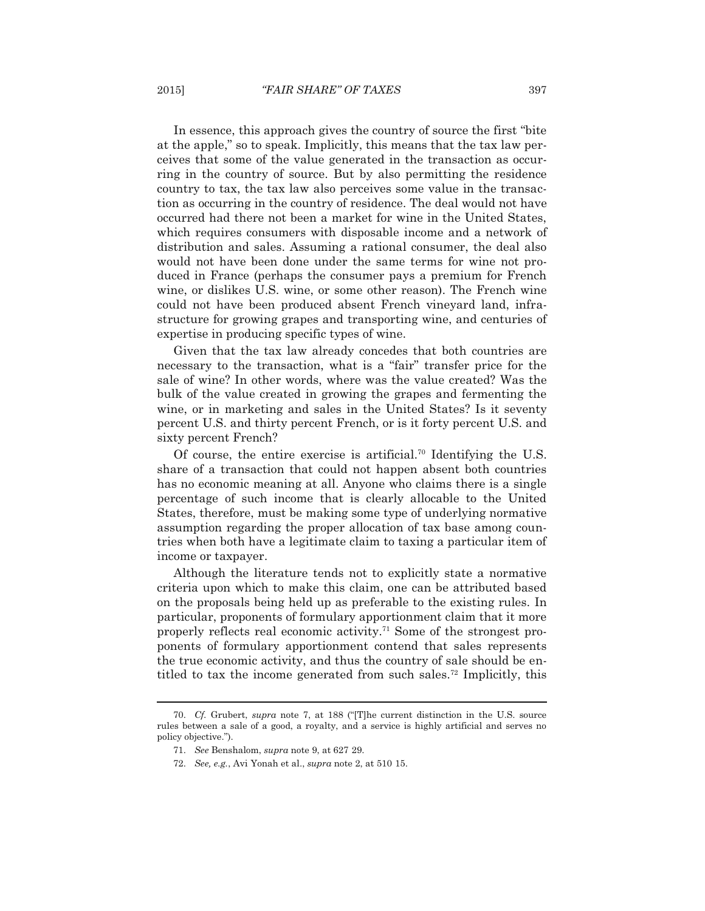In essence, this approach gives the country of source the first "bite at the apple," so to speak. Implicitly, this means that the tax law perceives that some of the value generated in the transaction as occurring in the country of source. But by also permitting the residence country to tax, the tax law also perceives some value in the transaction as occurring in the country of residence. The deal would not have occurred had there not been a market for wine in the United States, which requires consumers with disposable income and a network of distribution and sales. Assuming a rational consumer, the deal also would not have been done under the same terms for wine not produced in France (perhaps the consumer pays a premium for French wine, or dislikes U.S. wine, or some other reason). The French wine could not have been produced absent French vineyard land, infrastructure for growing grapes and transporting wine, and centuries of expertise in producing specific types of wine.

 Given that the tax law already concedes that both countries are necessary to the transaction, what is a "fair" transfer price for the sale of wine? In other words, where was the value created? Was the bulk of the value created in growing the grapes and fermenting the wine, or in marketing and sales in the United States? Is it seventy percent U.S. and thirty percent French, or is it forty percent U.S. and sixty percent French?

Of course, the entire exercise is artificial.<sup>70</sup> Identifying the U.S. share of a transaction that could not happen absent both countries has no economic meaning at all. Anyone who claims there is a single percentage of such income that is clearly allocable to the United States, therefore, must be making some type of underlying normative assumption regarding the proper allocation of tax base among countries when both have a legitimate claim to taxing a particular item of income or taxpayer.

 Although the literature tends not to explicitly state a normative criteria upon which to make this claim, one can be attributed based on the proposals being held up as preferable to the existing rules. In particular, proponents of formulary apportionment claim that it more properly reflects real economic activity.71 Some of the strongest proponents of formulary apportionment contend that sales represents the true economic activity, and thus the country of sale should be entitled to tax the income generated from such sales.<sup>72</sup> Implicitly, this

 <sup>70.</sup> *Cf.* Grubert, *supra* note 7, at 188 ("[T]he current distinction in the U.S. source rules between a sale of a good, a royalty, and a service is highly artificial and serves no policy objective.").

 <sup>71.</sup> *See* Benshalom, *supra* note 9, at 627 29.

 <sup>72.</sup> *See, e.g.*, Avi Yonah et al., *supra* note 2, at 510 15.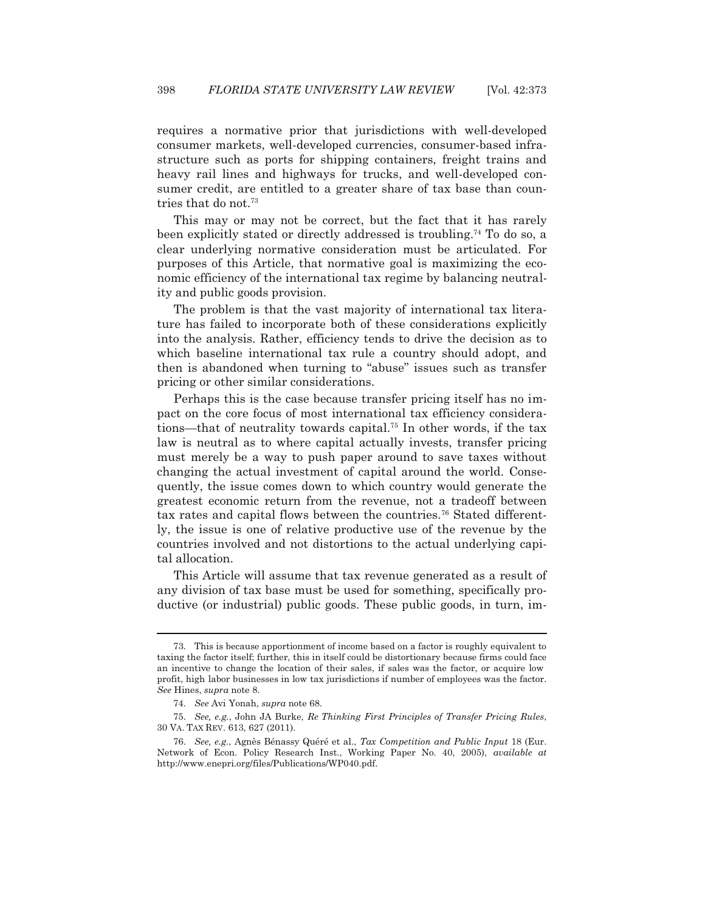requires a normative prior that jurisdictions with well-developed consumer markets, well-developed currencies, consumer-based infrastructure such as ports for shipping containers, freight trains and heavy rail lines and highways for trucks, and well-developed consumer credit, are entitled to a greater share of tax base than countries that do not.73

 This may or may not be correct, but the fact that it has rarely been explicitly stated or directly addressed is troubling.74 To do so, a clear underlying normative consideration must be articulated. For purposes of this Article, that normative goal is maximizing the economic efficiency of the international tax regime by balancing neutrality and public goods provision.

 The problem is that the vast majority of international tax literature has failed to incorporate both of these considerations explicitly into the analysis. Rather, efficiency tends to drive the decision as to which baseline international tax rule a country should adopt, and then is abandoned when turning to "abuse" issues such as transfer pricing or other similar considerations.

 Perhaps this is the case because transfer pricing itself has no impact on the core focus of most international tax efficiency considerations—that of neutrality towards capital.75 In other words, if the tax law is neutral as to where capital actually invests, transfer pricing must merely be a way to push paper around to save taxes without changing the actual investment of capital around the world. Consequently, the issue comes down to which country would generate the greatest economic return from the revenue, not a tradeoff between tax rates and capital flows between the countries.76 Stated differently, the issue is one of relative productive use of the revenue by the countries involved and not distortions to the actual underlying capital allocation.

 This Article will assume that tax revenue generated as a result of any division of tax base must be used for something, specifically productive (or industrial) public goods. These public goods, in turn, im-

 <sup>73.</sup> This is because apportionment of income based on a factor is roughly equivalent to taxing the factor itself; further, this in itself could be distortionary because firms could face an incentive to change the location of their sales, if sales was the factor, or acquire low profit, high labor businesses in low tax jurisdictions if number of employees was the factor. *See* Hines, *supra* note 8.

 <sup>74.</sup> *See* Avi Yonah, *supra* note 68.

 <sup>75.</sup> *See, e.g.*, John JA Burke, *Re Thinking First Principles of Transfer Pricing Rules*, 30 VA. TAX REV. 613, 627 (2011).

 <sup>76.</sup> *See, e.g.*, Agnès Bénassy Quéré et al., *Tax Competition and Public Input* 18 (Eur. Network of Econ. Policy Research Inst., Working Paper No. 40, 2005), *available at*  http://www.enepri.org/files/Publications/WP040.pdf.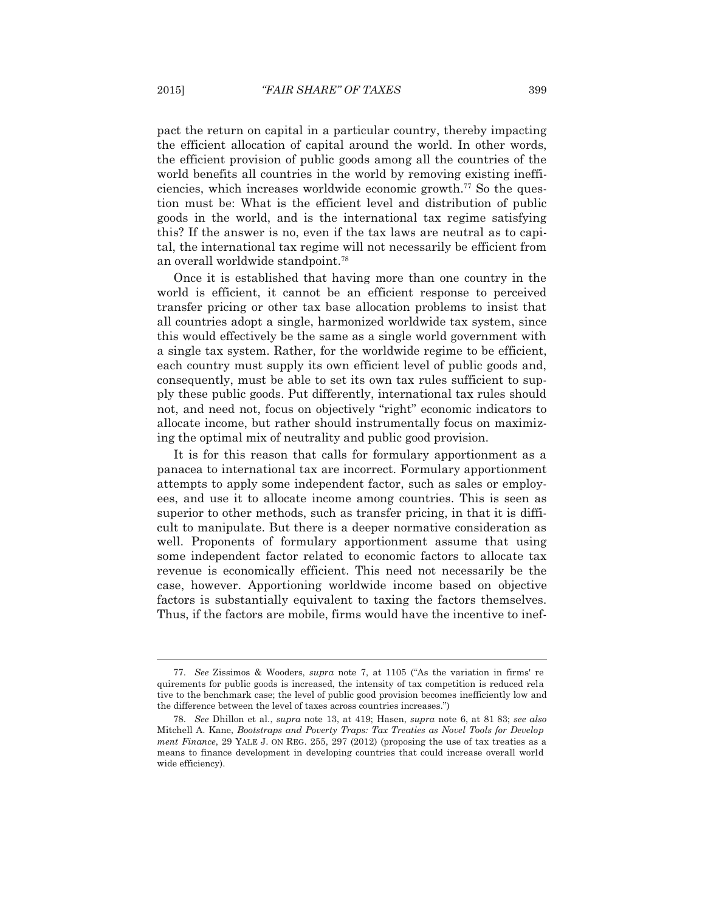pact the return on capital in a particular country, thereby impacting the efficient allocation of capital around the world. In other words, the efficient provision of public goods among all the countries of the world benefits all countries in the world by removing existing inefficiencies, which increases worldwide economic growth.77 So the question must be: What is the efficient level and distribution of public goods in the world, and is the international tax regime satisfying this? If the answer is no, even if the tax laws are neutral as to capital, the international tax regime will not necessarily be efficient from an overall worldwide standpoint.78

 Once it is established that having more than one country in the world is efficient, it cannot be an efficient response to perceived transfer pricing or other tax base allocation problems to insist that all countries adopt a single, harmonized worldwide tax system, since this would effectively be the same as a single world government with a single tax system. Rather, for the worldwide regime to be efficient, each country must supply its own efficient level of public goods and, consequently, must be able to set its own tax rules sufficient to supply these public goods. Put differently, international tax rules should not, and need not, focus on objectively "right" economic indicators to allocate income, but rather should instrumentally focus on maximizing the optimal mix of neutrality and public good provision.

 It is for this reason that calls for formulary apportionment as a panacea to international tax are incorrect. Formulary apportionment attempts to apply some independent factor, such as sales or employees, and use it to allocate income among countries. This is seen as superior to other methods, such as transfer pricing, in that it is difficult to manipulate. But there is a deeper normative consideration as well. Proponents of formulary apportionment assume that using some independent factor related to economic factors to allocate tax revenue is economically efficient. This need not necessarily be the case, however. Apportioning worldwide income based on objective factors is substantially equivalent to taxing the factors themselves. Thus, if the factors are mobile, firms would have the incentive to inef-

 <sup>77.</sup> *See* Zissimos & Wooders, *supra* note 7, at 1105 ("As the variation in firms' re quirements for public goods is increased, the intensity of tax competition is reduced rela tive to the benchmark case; the level of public good provision becomes inefficiently low and the difference between the level of taxes across countries increases.")

 <sup>78.</sup> *See* Dhillon et al., *supra* note 13, at 419; Hasen, *supra* note 6, at 81 83; *see also*  Mitchell A. Kane, *Bootstraps and Poverty Traps: Tax Treaties as Novel Tools for Develop ment Finance*, 29 YALE J. ON REG. 255, 297 (2012) (proposing the use of tax treaties as a means to finance development in developing countries that could increase overall world wide efficiency).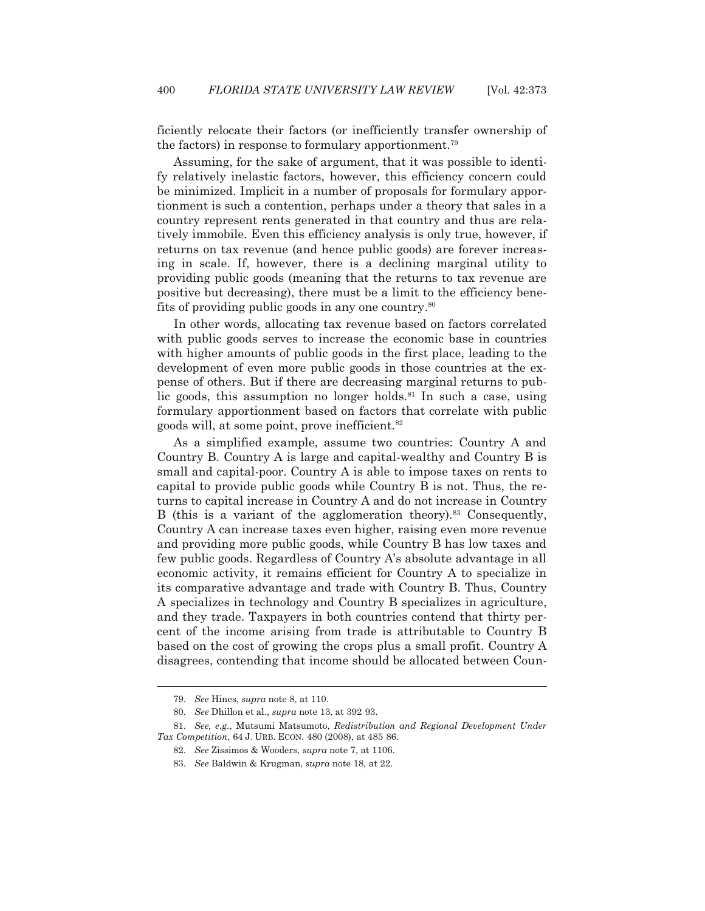ficiently relocate their factors (or inefficiently transfer ownership of the factors) in response to formulary apportionment.79

 Assuming, for the sake of argument, that it was possible to identify relatively inelastic factors, however, this efficiency concern could be minimized. Implicit in a number of proposals for formulary apportionment is such a contention, perhaps under a theory that sales in a country represent rents generated in that country and thus are relatively immobile. Even this efficiency analysis is only true, however, if returns on tax revenue (and hence public goods) are forever increasing in scale. If, however, there is a declining marginal utility to providing public goods (meaning that the returns to tax revenue are positive but decreasing), there must be a limit to the efficiency benefits of providing public goods in any one country.80

 In other words, allocating tax revenue based on factors correlated with public goods serves to increase the economic base in countries with higher amounts of public goods in the first place, leading to the development of even more public goods in those countries at the expense of others. But if there are decreasing marginal returns to public goods, this assumption no longer holds.<sup>81</sup> In such a case, using formulary apportionment based on factors that correlate with public goods will, at some point, prove inefficient.82

 As a simplified example, assume two countries: Country A and Country B. Country A is large and capital-wealthy and Country B is small and capital-poor. Country A is able to impose taxes on rents to capital to provide public goods while Country B is not. Thus, the returns to capital increase in Country A and do not increase in Country B (this is a variant of the agglomeration theory).<sup>83</sup> Consequently, Country A can increase taxes even higher, raising even more revenue and providing more public goods, while Country B has low taxes and few public goods. Regardless of Country A's absolute advantage in all economic activity, it remains efficient for Country A to specialize in its comparative advantage and trade with Country B. Thus, Country A specializes in technology and Country B specializes in agriculture, and they trade. Taxpayers in both countries contend that thirty percent of the income arising from trade is attributable to Country B based on the cost of growing the crops plus a small profit. Country A disagrees, contending that income should be allocated between Coun-

 <sup>79.</sup> *See* Hines, *supra* note 8, at 110.

 <sup>80.</sup> *See* Dhillon et al., *supra* note 13, at 392 93.

 <sup>81.</sup> *See, e.g.*, Mutsumi Matsumoto, *Redistribution and Regional Development Under Tax Competition*, 64 J. URB. ECON. 480 (2008), at 485 86.

 <sup>82.</sup> *See* Zissimos & Wooders, *supra* note 7, at 1106.

 <sup>83.</sup> *See* Baldwin & Krugman, *supra* note 18, at 22.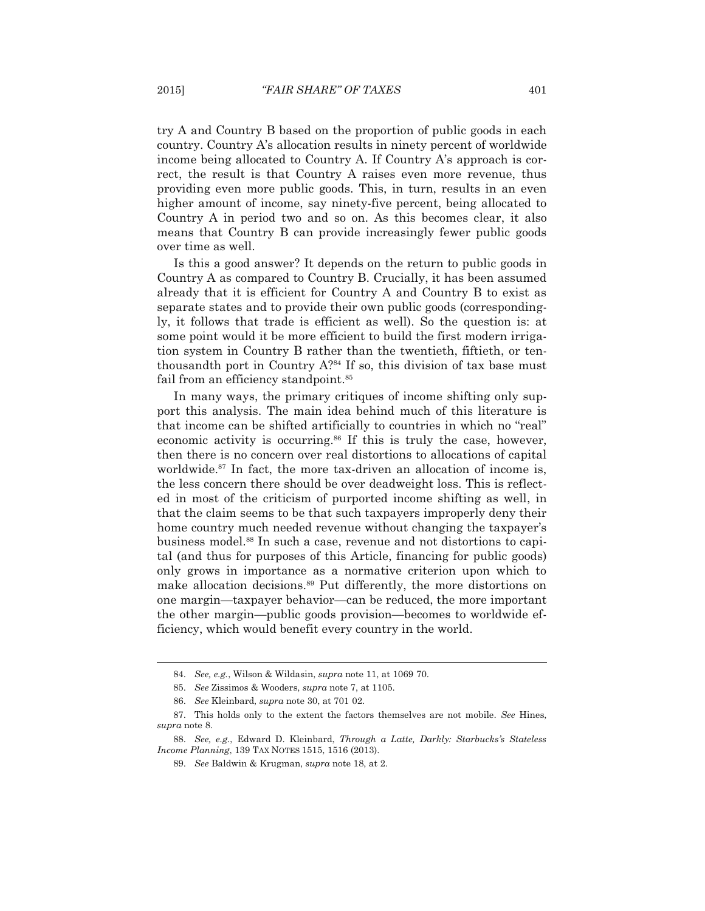try A and Country B based on the proportion of public goods in each country. Country A's allocation results in ninety percent of worldwide income being allocated to Country A. If Country A's approach is correct, the result is that Country A raises even more revenue, thus providing even more public goods. This, in turn, results in an even higher amount of income, say ninety-five percent, being allocated to Country A in period two and so on. As this becomes clear, it also means that Country B can provide increasingly fewer public goods over time as well.

 Is this a good answer? It depends on the return to public goods in Country A as compared to Country B. Crucially, it has been assumed already that it is efficient for Country A and Country B to exist as separate states and to provide their own public goods (correspondingly, it follows that trade is efficient as well). So the question is: at some point would it be more efficient to build the first modern irrigation system in Country B rather than the twentieth, fiftieth, or tenthousandth port in Country  $A^{284}$  If so, this division of tax base must fail from an efficiency standpoint.<sup>85</sup>

 In many ways, the primary critiques of income shifting only support this analysis. The main idea behind much of this literature is that income can be shifted artificially to countries in which no "real" economic activity is occurring.<sup>86</sup> If this is truly the case, however, then there is no concern over real distortions to allocations of capital worldwide.<sup>87</sup> In fact, the more tax-driven an allocation of income is, the less concern there should be over deadweight loss. This is reflected in most of the criticism of purported income shifting as well, in that the claim seems to be that such taxpayers improperly deny their home country much needed revenue without changing the taxpayer's business model.88 In such a case, revenue and not distortions to capital (and thus for purposes of this Article, financing for public goods) only grows in importance as a normative criterion upon which to make allocation decisions.89 Put differently, the more distortions on one margin—taxpayer behavior—can be reduced, the more important the other margin—public goods provision—becomes to worldwide efficiency, which would benefit every country in the world.

 <sup>84.</sup> *See, e.g.*, Wilson & Wildasin, *supra* note 11, at 1069 70.

 <sup>85.</sup> *See* Zissimos & Wooders, *supra* note 7, at 1105.

 <sup>86.</sup> *See* Kleinbard, *supra* note 30, at 701 02.

 <sup>87.</sup> This holds only to the extent the factors themselves are not mobile. *See* Hines, *supra* note 8.

 <sup>88.</sup> *See, e.g.*, Edward D. Kleinbard, *Through a Latte, Darkly: Starbucks's Stateless Income Planning*, 139 TAX NOTES 1515, 1516 (2013).

 <sup>89.</sup> *See* Baldwin & Krugman, *supra* note 18, at 2.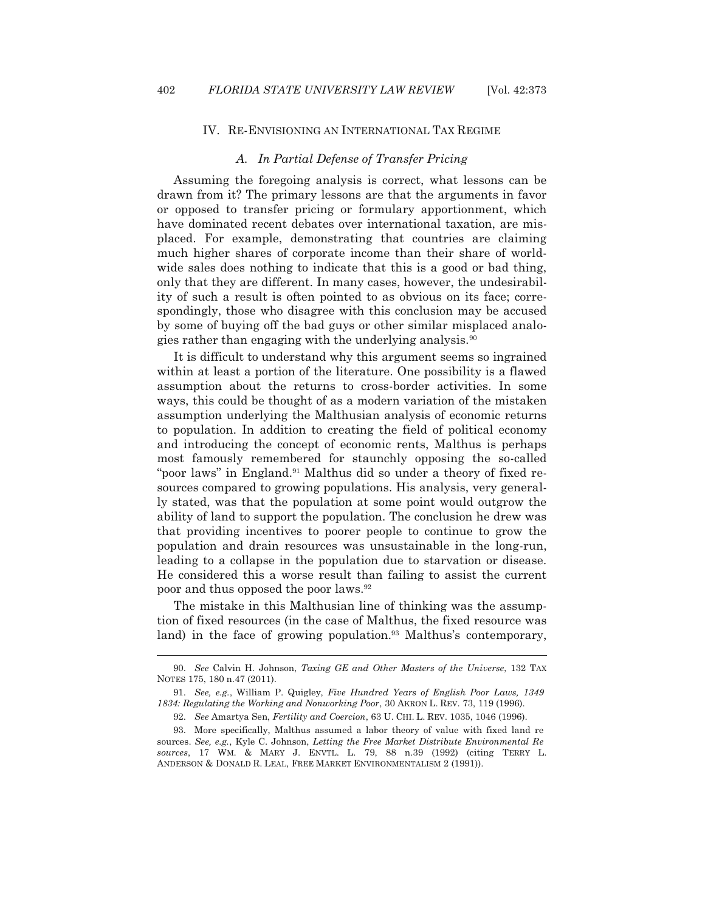$\overline{a}$ 

#### IV. RE-ENVISIONING AN INTERNATIONAL TAX REGIME

## *A. In Partial Defense of Transfer Pricing*

 Assuming the foregoing analysis is correct, what lessons can be drawn from it? The primary lessons are that the arguments in favor or opposed to transfer pricing or formulary apportionment, which have dominated recent debates over international taxation, are misplaced. For example, demonstrating that countries are claiming much higher shares of corporate income than their share of worldwide sales does nothing to indicate that this is a good or bad thing, only that they are different. In many cases, however, the undesirability of such a result is often pointed to as obvious on its face; correspondingly, those who disagree with this conclusion may be accused by some of buying off the bad guys or other similar misplaced analogies rather than engaging with the underlying analysis.<sup>90</sup>

 It is difficult to understand why this argument seems so ingrained within at least a portion of the literature. One possibility is a flawed assumption about the returns to cross-border activities. In some ways, this could be thought of as a modern variation of the mistaken assumption underlying the Malthusian analysis of economic returns to population. In addition to creating the field of political economy and introducing the concept of economic rents, Malthus is perhaps most famously remembered for staunchly opposing the so-called "poor laws" in England.<sup>91</sup> Malthus did so under a theory of fixed resources compared to growing populations. His analysis, very generally stated, was that the population at some point would outgrow the ability of land to support the population. The conclusion he drew was that providing incentives to poorer people to continue to grow the population and drain resources was unsustainable in the long-run, leading to a collapse in the population due to starvation or disease. He considered this a worse result than failing to assist the current poor and thus opposed the poor laws.92

 The mistake in this Malthusian line of thinking was the assumption of fixed resources (in the case of Malthus, the fixed resource was land) in the face of growing population.<sup>93</sup> Malthus's contemporary,

 <sup>90.</sup> *See* Calvin H. Johnson, *Taxing GE and Other Masters of the Universe*, 132 TAX NOTES 175, 180 n.47 (2011).

 <sup>91.</sup> *See, e.g.*, William P. Quigley, *Five Hundred Years of English Poor Laws, 1349 1834: Regulating the Working and Nonworking Poor*, 30 AKRON L. REV. 73, 119 (1996).

 <sup>92.</sup> *See* Amartya Sen, *Fertility and Coercion*, 63 U. CHI. L. REV. 1035, 1046 (1996).

 <sup>93.</sup> More specifically, Malthus assumed a labor theory of value with fixed land re sources. *See, e.g.*, Kyle C. Johnson, *Letting the Free Market Distribute Environmental Re sources*, 17 WM.&MARY J. ENVTL. L. 79, 88 n.39 (1992) (citing TERRY L. ANDERSON & DONALD R. LEAL, FREE MARKET ENVIRONMENTALISM 2 (1991)).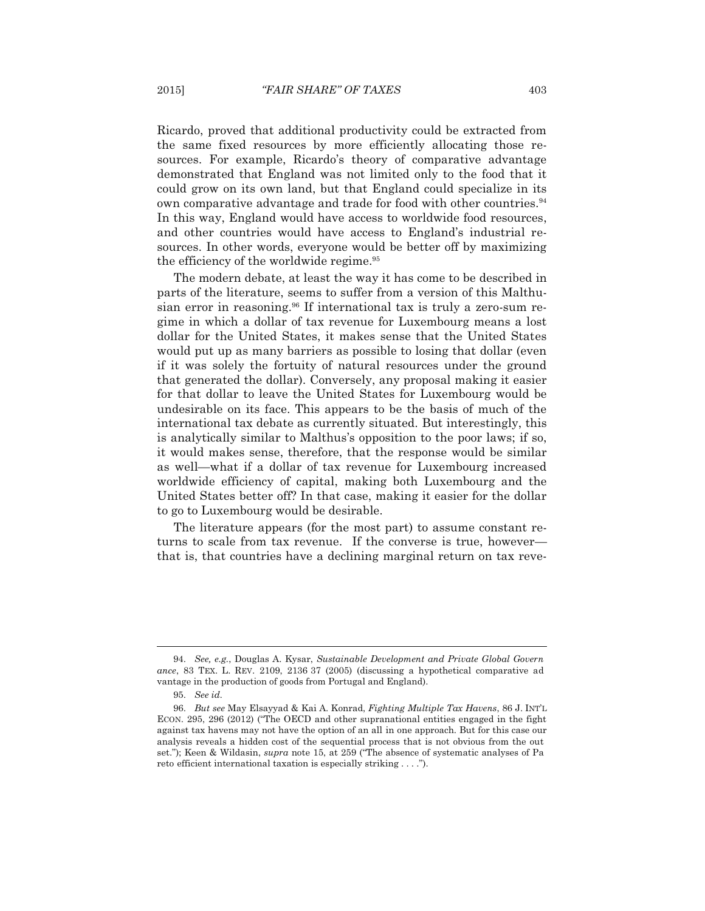Ricardo, proved that additional productivity could be extracted from the same fixed resources by more efficiently allocating those resources. For example, Ricardo's theory of comparative advantage demonstrated that England was not limited only to the food that it could grow on its own land, but that England could specialize in its own comparative advantage and trade for food with other countries.<sup>94</sup> In this way, England would have access to worldwide food resources, and other countries would have access to England's industrial resources. In other words, everyone would be better off by maximizing the efficiency of the worldwide regime.<sup>95</sup>

 The modern debate, at least the way it has come to be described in parts of the literature, seems to suffer from a version of this Malthusian error in reasoning.<sup>96</sup> If international tax is truly a zero-sum regime in which a dollar of tax revenue for Luxembourg means a lost dollar for the United States, it makes sense that the United States would put up as many barriers as possible to losing that dollar (even if it was solely the fortuity of natural resources under the ground that generated the dollar). Conversely, any proposal making it easier for that dollar to leave the United States for Luxembourg would be undesirable on its face. This appears to be the basis of much of the international tax debate as currently situated. But interestingly, this is analytically similar to Malthus's opposition to the poor laws; if so, it would makes sense, therefore, that the response would be similar as well—what if a dollar of tax revenue for Luxembourg increased worldwide efficiency of capital, making both Luxembourg and the United States better off? In that case, making it easier for the dollar to go to Luxembourg would be desirable.

 The literature appears (for the most part) to assume constant returns to scale from tax revenue. If the converse is true, however that is, that countries have a declining marginal return on tax reve-

 <sup>94.</sup> *See, e.g.*, Douglas A. Kysar, *Sustainable Development and Private Global Govern ance*, 83 TEX. L. REV. 2109, 2136 37 (2005) (discussing a hypothetical comparative ad vantage in the production of goods from Portugal and England).

 <sup>95.</sup> *See id.* 

 <sup>96.</sup> *But see* May Elsayyad & Kai A. Konrad, *Fighting Multiple Tax Havens*, 86 J. INT'L ECON. 295, 296 (2012) ("The OECD and other supranational entities engaged in the fight against tax havens may not have the option of an all in one approach. But for this case our analysis reveals a hidden cost of the sequential process that is not obvious from the out set."); Keen & Wildasin, *supra* note 15, at 259 ("The absence of systematic analyses of Pa reto efficient international taxation is especially striking . . . .").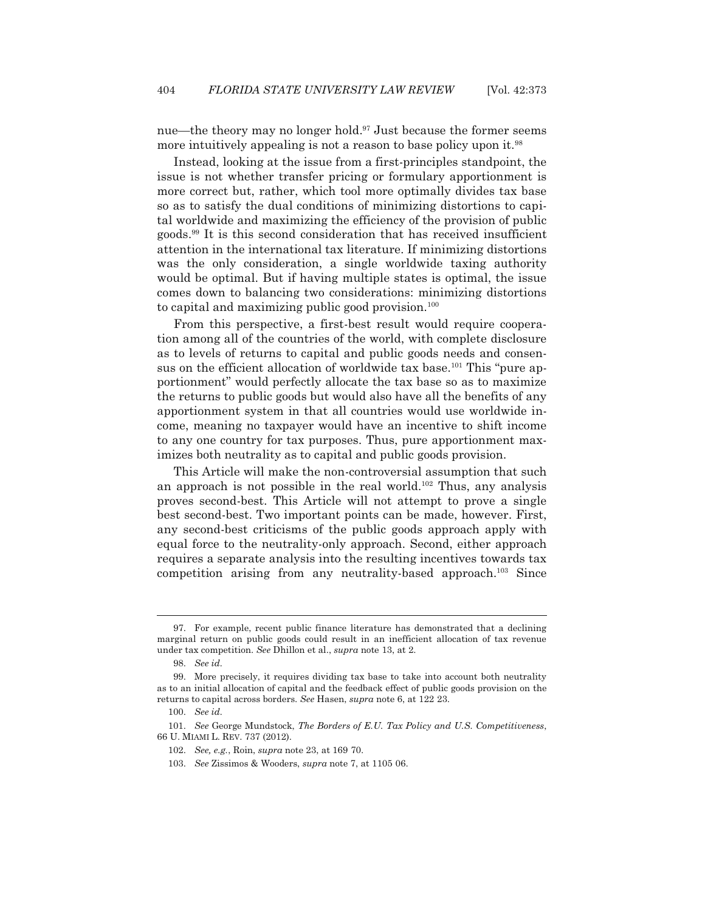nue—the theory may no longer hold.<sup>97</sup> Just because the former seems more intuitively appealing is not a reason to base policy upon it.<sup>98</sup>

 Instead, looking at the issue from a first-principles standpoint, the issue is not whether transfer pricing or formulary apportionment is more correct but, rather, which tool more optimally divides tax base so as to satisfy the dual conditions of minimizing distortions to capital worldwide and maximizing the efficiency of the provision of public goods.99 It is this second consideration that has received insufficient attention in the international tax literature. If minimizing distortions was the only consideration, a single worldwide taxing authority would be optimal. But if having multiple states is optimal, the issue comes down to balancing two considerations: minimizing distortions to capital and maximizing public good provision.<sup>100</sup>

 From this perspective, a first-best result would require cooperation among all of the countries of the world, with complete disclosure as to levels of returns to capital and public goods needs and consensus on the efficient allocation of worldwide tax base.<sup>101</sup> This "pure apportionment" would perfectly allocate the tax base so as to maximize the returns to public goods but would also have all the benefits of any apportionment system in that all countries would use worldwide income, meaning no taxpayer would have an incentive to shift income to any one country for tax purposes. Thus, pure apportionment maximizes both neutrality as to capital and public goods provision.

 This Article will make the non-controversial assumption that such an approach is not possible in the real world.<sup>102</sup> Thus, any analysis proves second-best. This Article will not attempt to prove a single best second-best. Two important points can be made, however. First, any second-best criticisms of the public goods approach apply with equal force to the neutrality-only approach. Second, either approach requires a separate analysis into the resulting incentives towards tax competition arising from any neutrality-based approach.103 Since

 <sup>97.</sup> For example, recent public finance literature has demonstrated that a declining marginal return on public goods could result in an inefficient allocation of tax revenue under tax competition. *See* Dhillon et al., *supra* note 13, at 2.

 <sup>98.</sup> *See id.* 

 <sup>99.</sup> More precisely, it requires dividing tax base to take into account both neutrality as to an initial allocation of capital and the feedback effect of public goods provision on the returns to capital across borders. *See* Hasen, *supra* note 6, at 122 23.

 <sup>100.</sup> *See id.*

 <sup>101.</sup> *See* George Mundstock, *The Borders of E.U. Tax Policy and U.S. Competitiveness*, 66 U. MIAMI L. REV. 737 (2012).

 <sup>102.</sup> *See, e.g.*, Roin, *supra* note 23, at 169 70.

 <sup>103.</sup> *See* Zissimos & Wooders, *supra* note 7, at 1105 06.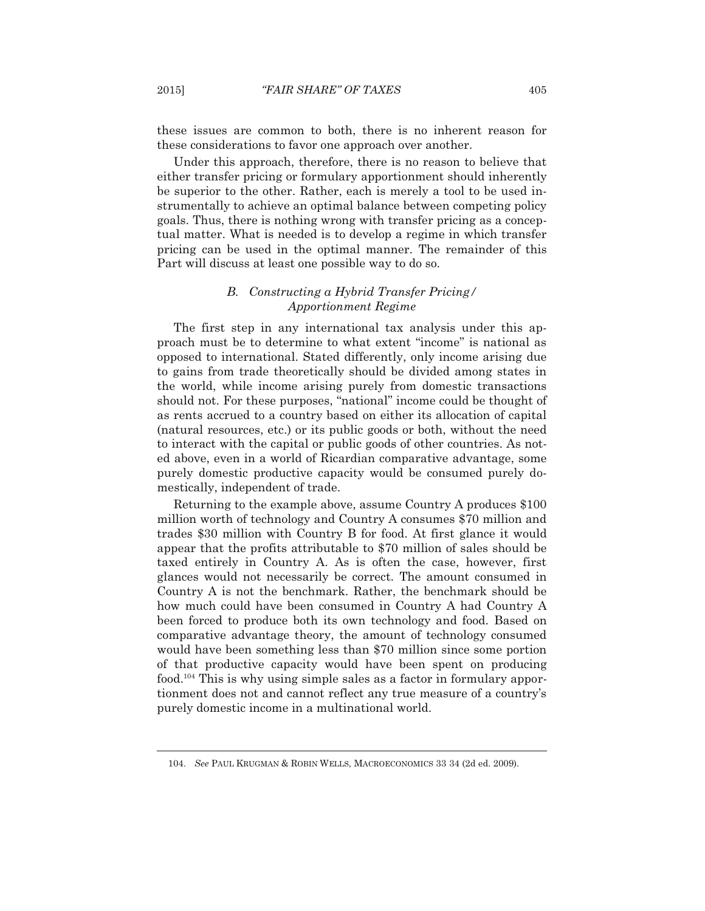these issues are common to both, there is no inherent reason for these considerations to favor one approach over another.

 Under this approach, therefore, there is no reason to believe that either transfer pricing or formulary apportionment should inherently be superior to the other. Rather, each is merely a tool to be used instrumentally to achieve an optimal balance between competing policy goals. Thus, there is nothing wrong with transfer pricing as a conceptual matter. What is needed is to develop a regime in which transfer pricing can be used in the optimal manner. The remainder of this Part will discuss at least one possible way to do so.

# *B. Constructing a Hybrid Transfer Pricing/ Apportionment Regime*

 The first step in any international tax analysis under this approach must be to determine to what extent "income" is national as opposed to international. Stated differently, only income arising due to gains from trade theoretically should be divided among states in the world, while income arising purely from domestic transactions should not. For these purposes, "national" income could be thought of as rents accrued to a country based on either its allocation of capital (natural resources, etc.) or its public goods or both, without the need to interact with the capital or public goods of other countries. As noted above, even in a world of Ricardian comparative advantage, some purely domestic productive capacity would be consumed purely domestically, independent of trade.

 Returning to the example above, assume Country A produces \$100 million worth of technology and Country A consumes \$70 million and trades \$30 million with Country B for food. At first glance it would appear that the profits attributable to \$70 million of sales should be taxed entirely in Country A. As is often the case, however, first glances would not necessarily be correct. The amount consumed in Country A is not the benchmark. Rather, the benchmark should be how much could have been consumed in Country A had Country A been forced to produce both its own technology and food. Based on comparative advantage theory, the amount of technology consumed would have been something less than \$70 million since some portion of that productive capacity would have been spent on producing food.104 This is why using simple sales as a factor in formulary apportionment does not and cannot reflect any true measure of a country's purely domestic income in a multinational world.

 <sup>104.</sup> *See* PAUL KRUGMAN & ROBIN WELLS, MACROECONOMICS 33 34 (2d ed. 2009).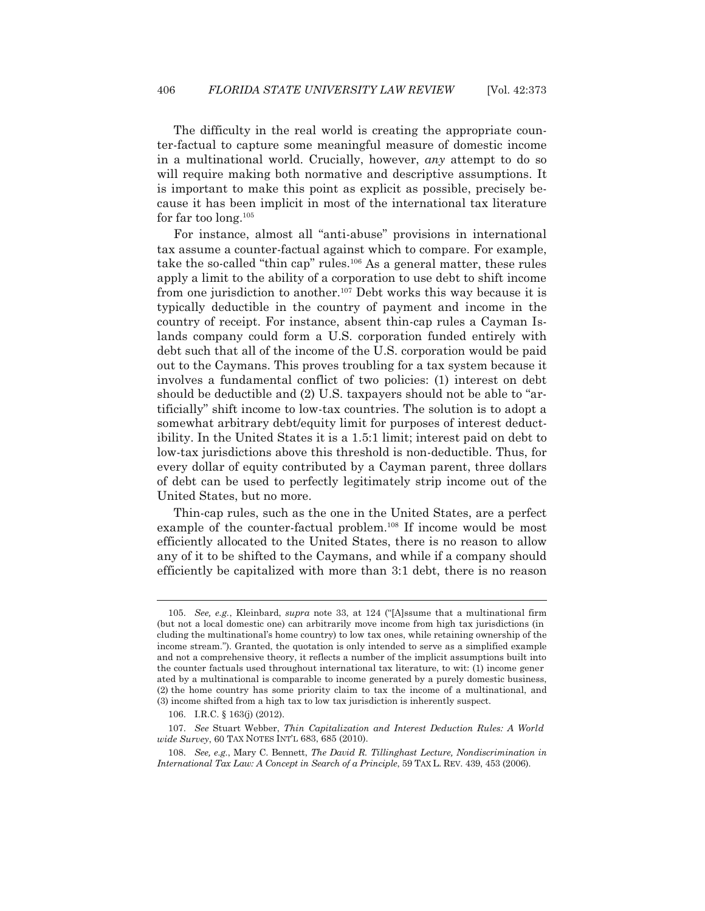The difficulty in the real world is creating the appropriate counter-factual to capture some meaningful measure of domestic income in a multinational world. Crucially, however, *any* attempt to do so will require making both normative and descriptive assumptions. It is important to make this point as explicit as possible, precisely because it has been implicit in most of the international tax literature for far too long.105

 For instance, almost all "anti-abuse" provisions in international tax assume a counter-factual against which to compare. For example, take the so-called "thin cap" rules.106 As a general matter, these rules apply a limit to the ability of a corporation to use debt to shift income from one jurisdiction to another.<sup>107</sup> Debt works this way because it is typically deductible in the country of payment and income in the country of receipt. For instance, absent thin-cap rules a Cayman Islands company could form a U.S. corporation funded entirely with debt such that all of the income of the U.S. corporation would be paid out to the Caymans. This proves troubling for a tax system because it involves a fundamental conflict of two policies: (1) interest on debt should be deductible and (2) U.S. taxpayers should not be able to "artificially" shift income to low-tax countries. The solution is to adopt a somewhat arbitrary debt/equity limit for purposes of interest deductibility. In the United States it is a 1.5:1 limit; interest paid on debt to low-tax jurisdictions above this threshold is non-deductible. Thus, for every dollar of equity contributed by a Cayman parent, three dollars of debt can be used to perfectly legitimately strip income out of the United States, but no more.

 Thin-cap rules, such as the one in the United States, are a perfect example of the counter-factual problem.<sup>108</sup> If income would be most efficiently allocated to the United States, there is no reason to allow any of it to be shifted to the Caymans, and while if a company should efficiently be capitalized with more than 3:1 debt, there is no reason

 <sup>105.</sup> *See, e.g.*, Kleinbard, *supra* note 33, at 124 ("[A]ssume that a multinational firm (but not a local domestic one) can arbitrarily move income from high tax jurisdictions (in cluding the multinational's home country) to low tax ones, while retaining ownership of the income stream."). Granted, the quotation is only intended to serve as a simplified example and not a comprehensive theory, it reflects a number of the implicit assumptions built into the counter factuals used throughout international tax literature, to wit: (1) income gener ated by a multinational is comparable to income generated by a purely domestic business, (2) the home country has some priority claim to tax the income of a multinational, and (3) income shifted from a high tax to low tax jurisdiction is inherently suspect.

 <sup>106.</sup> I.R.C. § 163(j) (2012).

 <sup>107.</sup> *See* Stuart Webber, *Thin Capitalization and Interest Deduction Rules: A World wide Survey*, 60 TAX NOTES INT'L 683, 685 (2010).

 <sup>108.</sup> *See, e.g.*, Mary C. Bennett, *The David R. Tillinghast Lecture, Nondiscrimination in International Tax Law: A Concept in Search of a Principle*, 59 TAX L. REV. 439, 453 (2006).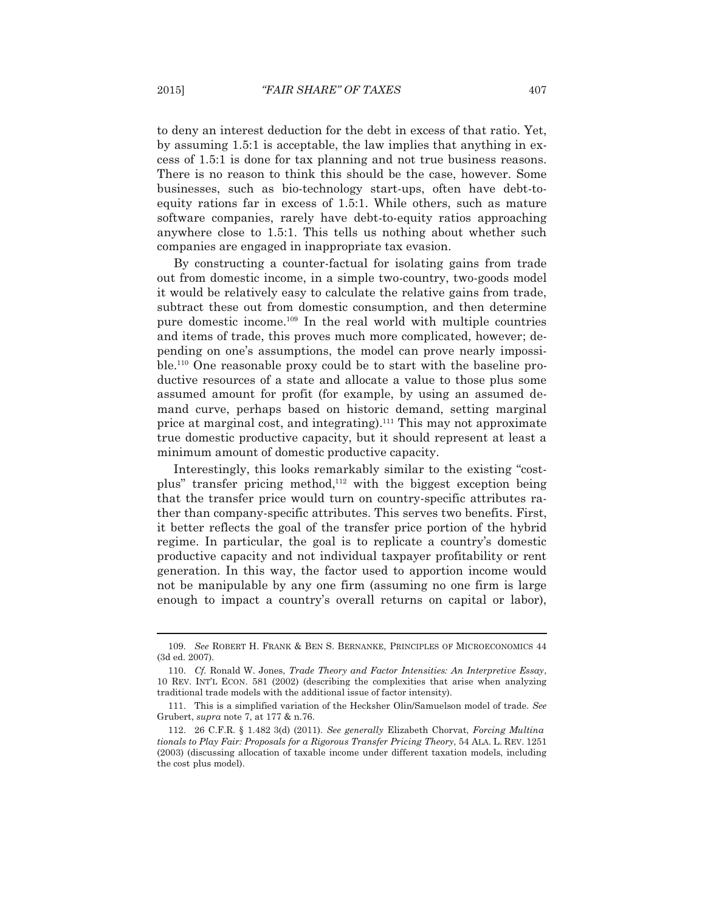to deny an interest deduction for the debt in excess of that ratio. Yet, by assuming 1.5:1 is acceptable, the law implies that anything in excess of 1.5:1 is done for tax planning and not true business reasons. There is no reason to think this should be the case, however. Some businesses, such as bio-technology start-ups, often have debt-toequity rations far in excess of 1.5:1. While others, such as mature software companies, rarely have debt-to-equity ratios approaching anywhere close to 1.5:1. This tells us nothing about whether such companies are engaged in inappropriate tax evasion.

 By constructing a counter-factual for isolating gains from trade out from domestic income, in a simple two-country, two-goods model it would be relatively easy to calculate the relative gains from trade, subtract these out from domestic consumption, and then determine pure domestic income.109 In the real world with multiple countries and items of trade, this proves much more complicated, however; depending on one's assumptions, the model can prove nearly impossible.110 One reasonable proxy could be to start with the baseline productive resources of a state and allocate a value to those plus some assumed amount for profit (for example, by using an assumed demand curve, perhaps based on historic demand, setting marginal price at marginal cost, and integrating).111 This may not approximate true domestic productive capacity, but it should represent at least a minimum amount of domestic productive capacity.

 Interestingly, this looks remarkably similar to the existing "costplus" transfer pricing method, $112$  with the biggest exception being that the transfer price would turn on country-specific attributes rather than company-specific attributes. This serves two benefits. First, it better reflects the goal of the transfer price portion of the hybrid regime. In particular, the goal is to replicate a country's domestic productive capacity and not individual taxpayer profitability or rent generation. In this way, the factor used to apportion income would not be manipulable by any one firm (assuming no one firm is large enough to impact a country's overall returns on capital or labor),

 <sup>109.</sup> *See* ROBERT H. FRANK & BEN S. BERNANKE, PRINCIPLES OF MICROECONOMICS 44 (3d ed. 2007).

 <sup>110.</sup> *Cf.* Ronald W. Jones, *Trade Theory and Factor Intensities: An Interpretive Essay*, 10 REV. INT'L ECON. 581 (2002) (describing the complexities that arise when analyzing traditional trade models with the additional issue of factor intensity).

 <sup>111.</sup> This is a simplified variation of the Hecksher Olin/Samuelson model of trade. *See* Grubert, *supra* note 7, at 177 & n.76.

 <sup>112. 26</sup> C.F.R. § 1.482 3(d) (2011). *See generally* Elizabeth Chorvat, *Forcing Multina tionals to Play Fair: Proposals for a Rigorous Transfer Pricing Theory*, 54 ALA. L. REV. 1251 (2003) (discussing allocation of taxable income under different taxation models, including the cost plus model).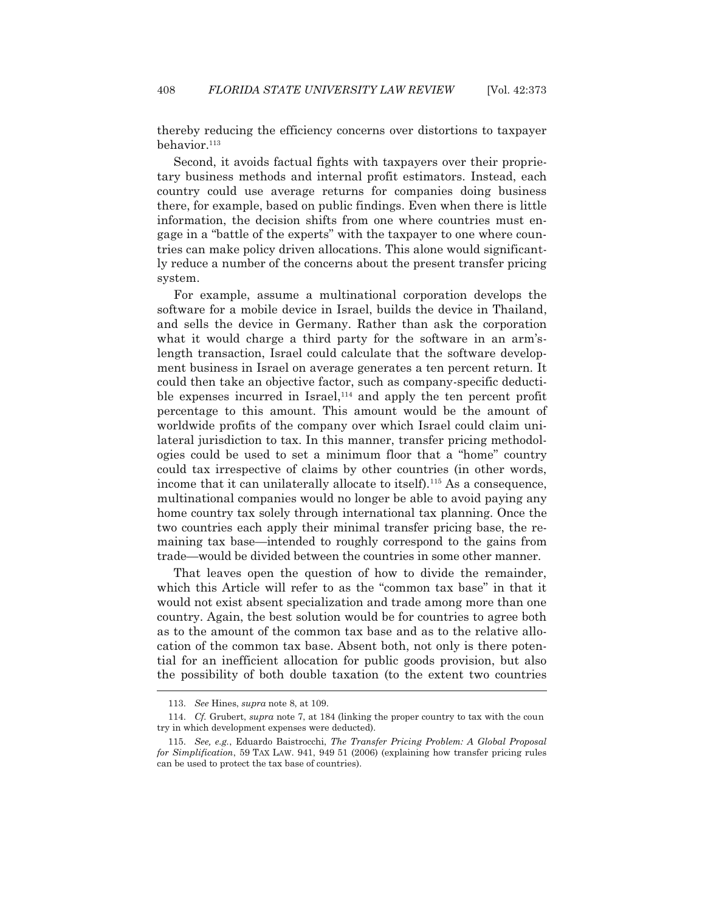thereby reducing the efficiency concerns over distortions to taxpayer behavior.113

 Second, it avoids factual fights with taxpayers over their proprietary business methods and internal profit estimators. Instead, each country could use average returns for companies doing business there, for example, based on public findings. Even when there is little information, the decision shifts from one where countries must engage in a "battle of the experts" with the taxpayer to one where countries can make policy driven allocations. This alone would significantly reduce a number of the concerns about the present transfer pricing system.

 For example, assume a multinational corporation develops the software for a mobile device in Israel, builds the device in Thailand, and sells the device in Germany. Rather than ask the corporation what it would charge a third party for the software in an arm'slength transaction, Israel could calculate that the software development business in Israel on average generates a ten percent return. It could then take an objective factor, such as company-specific deductible expenses incurred in Israel, $114$  and apply the ten percent profit percentage to this amount. This amount would be the amount of worldwide profits of the company over which Israel could claim unilateral jurisdiction to tax. In this manner, transfer pricing methodologies could be used to set a minimum floor that a "home" country could tax irrespective of claims by other countries (in other words, income that it can unilaterally allocate to itself).<sup>115</sup> As a consequence, multinational companies would no longer be able to avoid paying any home country tax solely through international tax planning. Once the two countries each apply their minimal transfer pricing base, the remaining tax base—intended to roughly correspond to the gains from trade—would be divided between the countries in some other manner.

 That leaves open the question of how to divide the remainder, which this Article will refer to as the "common tax base" in that it would not exist absent specialization and trade among more than one country. Again, the best solution would be for countries to agree both as to the amount of the common tax base and as to the relative allocation of the common tax base. Absent both, not only is there potential for an inefficient allocation for public goods provision, but also the possibility of both double taxation (to the extent two countries  $\overline{a}$ 

 <sup>113.</sup> *See* Hines, *supra* note 8, at 109.

 <sup>114.</sup> *Cf.* Grubert, *supra* note 7, at 184 (linking the proper country to tax with the coun try in which development expenses were deducted).

 <sup>115.</sup> *See, e.g.*, Eduardo Baistrocchi, *The Transfer Pricing Problem: A Global Proposal for Simplification*, 59 TAX LAW. 941, 949 51 (2006) (explaining how transfer pricing rules can be used to protect the tax base of countries).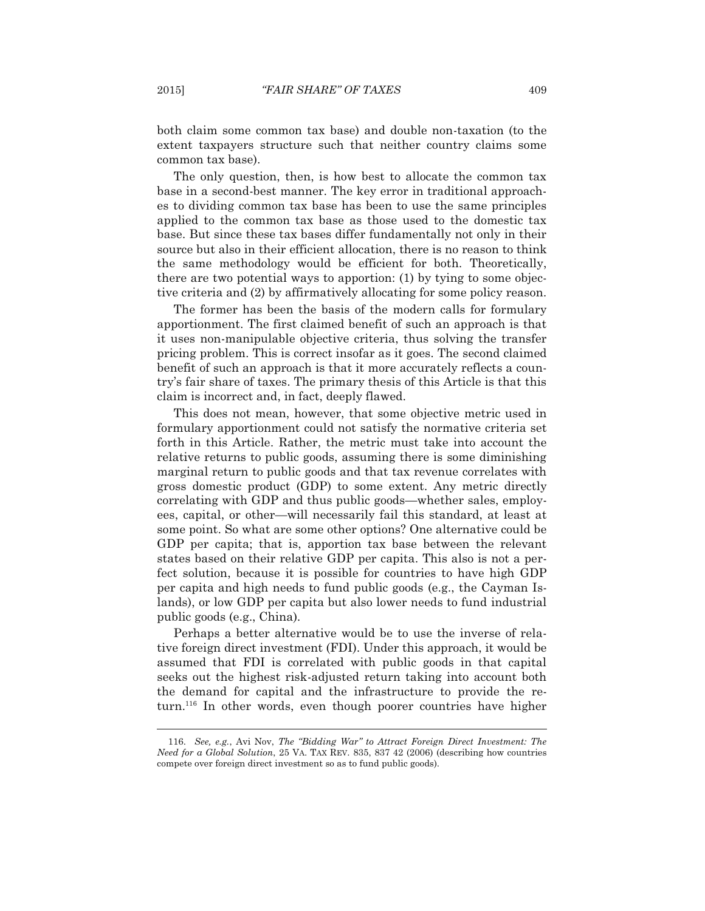both claim some common tax base) and double non-taxation (to the extent taxpayers structure such that neither country claims some common tax base).

 The only question, then, is how best to allocate the common tax base in a second-best manner. The key error in traditional approaches to dividing common tax base has been to use the same principles applied to the common tax base as those used to the domestic tax base. But since these tax bases differ fundamentally not only in their source but also in their efficient allocation, there is no reason to think the same methodology would be efficient for both. Theoretically, there are two potential ways to apportion: (1) by tying to some objective criteria and (2) by affirmatively allocating for some policy reason.

 The former has been the basis of the modern calls for formulary apportionment. The first claimed benefit of such an approach is that it uses non-manipulable objective criteria, thus solving the transfer pricing problem. This is correct insofar as it goes. The second claimed benefit of such an approach is that it more accurately reflects a country's fair share of taxes. The primary thesis of this Article is that this claim is incorrect and, in fact, deeply flawed.

 This does not mean, however, that some objective metric used in formulary apportionment could not satisfy the normative criteria set forth in this Article. Rather, the metric must take into account the relative returns to public goods, assuming there is some diminishing marginal return to public goods and that tax revenue correlates with gross domestic product (GDP) to some extent. Any metric directly correlating with GDP and thus public goods—whether sales, employees, capital, or other—will necessarily fail this standard, at least at some point. So what are some other options? One alternative could be GDP per capita; that is, apportion tax base between the relevant states based on their relative GDP per capita. This also is not a perfect solution, because it is possible for countries to have high GDP per capita and high needs to fund public goods (e.g., the Cayman Islands), or low GDP per capita but also lower needs to fund industrial public goods (e.g., China).

 Perhaps a better alternative would be to use the inverse of relative foreign direct investment (FDI). Under this approach, it would be assumed that FDI is correlated with public goods in that capital seeks out the highest risk-adjusted return taking into account both the demand for capital and the infrastructure to provide the return.116 In other words, even though poorer countries have higher

 <sup>116.</sup> *See, e.g.*, Avi Nov, *The "Bidding War" to Attract Foreign Direct Investment: The Need for a Global Solution*, 25 VA. TAX REV. 835, 837 42 (2006) (describing how countries compete over foreign direct investment so as to fund public goods).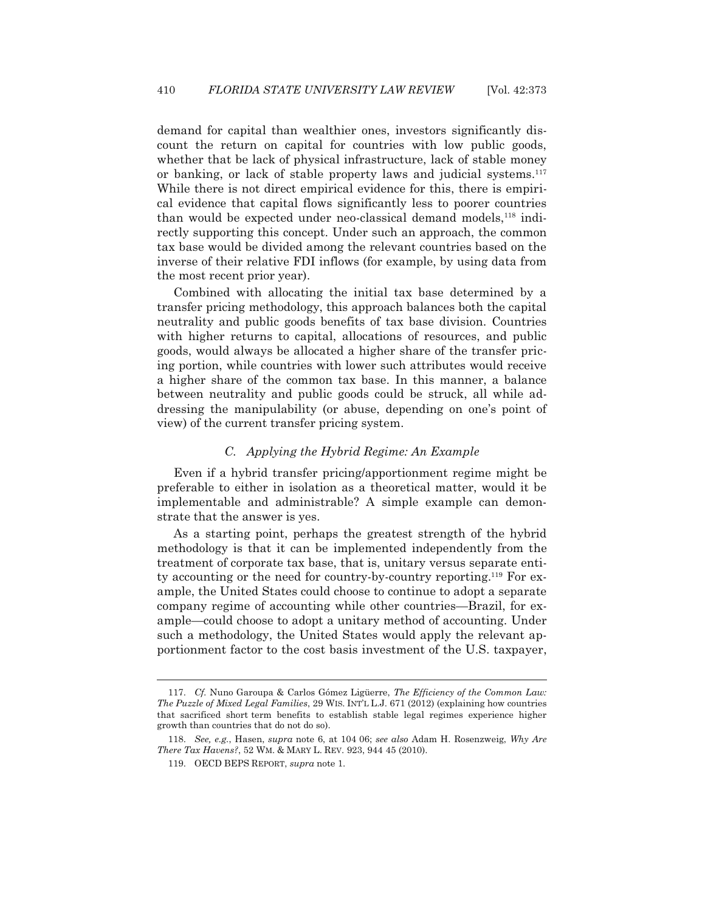demand for capital than wealthier ones, investors significantly discount the return on capital for countries with low public goods, whether that be lack of physical infrastructure, lack of stable money or banking, or lack of stable property laws and judicial systems.<sup>117</sup> While there is not direct empirical evidence for this, there is empirical evidence that capital flows significantly less to poorer countries than would be expected under neo-classical demand models,118 indirectly supporting this concept. Under such an approach, the common tax base would be divided among the relevant countries based on the inverse of their relative FDI inflows (for example, by using data from the most recent prior year).

 Combined with allocating the initial tax base determined by a transfer pricing methodology, this approach balances both the capital neutrality and public goods benefits of tax base division. Countries with higher returns to capital, allocations of resources, and public goods, would always be allocated a higher share of the transfer pricing portion, while countries with lower such attributes would receive a higher share of the common tax base. In this manner, a balance between neutrality and public goods could be struck, all while addressing the manipulability (or abuse, depending on one's point of view) of the current transfer pricing system.

## *C. Applying the Hybrid Regime: An Example*

 Even if a hybrid transfer pricing/apportionment regime might be preferable to either in isolation as a theoretical matter, would it be implementable and administrable? A simple example can demonstrate that the answer is yes.

 As a starting point, perhaps the greatest strength of the hybrid methodology is that it can be implemented independently from the treatment of corporate tax base, that is, unitary versus separate entity accounting or the need for country-by-country reporting.119 For example, the United States could choose to continue to adopt a separate company regime of accounting while other countries—Brazil, for example—could choose to adopt a unitary method of accounting. Under such a methodology, the United States would apply the relevant apportionment factor to the cost basis investment of the U.S. taxpayer,

 <sup>117.</sup> *Cf.* Nuno Garoupa & Carlos Gómez Ligüerre, *The Efficiency of the Common Law: The Puzzle of Mixed Legal Families*, 29 WIS. INT'L L.J. 671 (2012) (explaining how countries that sacrificed short term benefits to establish stable legal regimes experience higher growth than countries that do not do so).

 <sup>118.</sup> *See, e.g.*, Hasen, *supra* note 6, at 104 06; *see also* Adam H. Rosenzweig, *Why Are There Tax Havens?*, 52 WM.&MARY L. REV. 923, 944 45 (2010).

 <sup>119.</sup> OECD BEPS REPORT, *supra* note 1.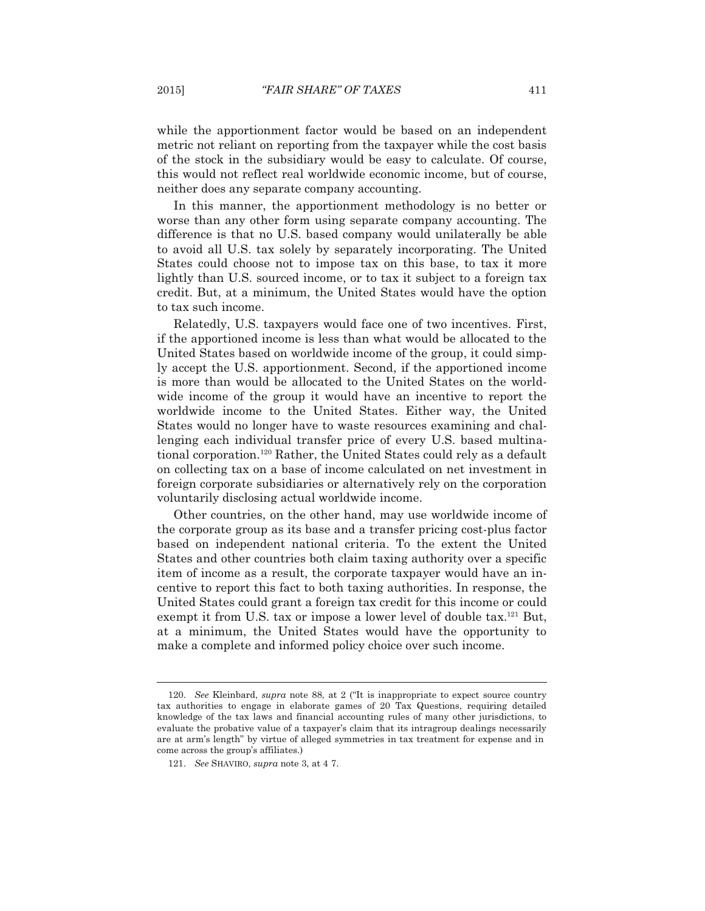while the apportionment factor would be based on an independent metric not reliant on reporting from the taxpayer while the cost basis of the stock in the subsidiary would be easy to calculate. Of course, this would not reflect real worldwide economic income, but of course, neither does any separate company accounting.

 In this manner, the apportionment methodology is no better or worse than any other form using separate company accounting. The difference is that no U.S. based company would unilaterally be able to avoid all U.S. tax solely by separately incorporating. The United States could choose not to impose tax on this base, to tax it more lightly than U.S. sourced income, or to tax it subject to a foreign tax credit. But, at a minimum, the United States would have the option to tax such income.

 Relatedly, U.S. taxpayers would face one of two incentives. First, if the apportioned income is less than what would be allocated to the United States based on worldwide income of the group, it could simply accept the U.S. apportionment. Second, if the apportioned income is more than would be allocated to the United States on the worldwide income of the group it would have an incentive to report the worldwide income to the United States. Either way, the United States would no longer have to waste resources examining and challenging each individual transfer price of every U.S. based multinational corporation.120 Rather, the United States could rely as a default on collecting tax on a base of income calculated on net investment in foreign corporate subsidiaries or alternatively rely on the corporation voluntarily disclosing actual worldwide income.

 Other countries, on the other hand, may use worldwide income of the corporate group as its base and a transfer pricing cost-plus factor based on independent national criteria. To the extent the United States and other countries both claim taxing authority over a specific item of income as a result, the corporate taxpayer would have an incentive to report this fact to both taxing authorities. In response, the United States could grant a foreign tax credit for this income or could exempt it from U.S. tax or impose a lower level of double tax.<sup>121</sup> But, at a minimum, the United States would have the opportunity to make a complete and informed policy choice over such income.

 <sup>120.</sup> *See* Kleinbard, *supra* note 88, at 2 ("It is inappropriate to expect source country tax authorities to engage in elaborate games of 20 Tax Questions, requiring detailed knowledge of the tax laws and financial accounting rules of many other jurisdictions, to evaluate the probative value of a taxpayer's claim that its intragroup dealings necessarily are at arm's length" by virtue of alleged symmetries in tax treatment for expense and in come across the group's affiliates.)

 <sup>121.</sup> *See* SHAVIRO, *supra* note 3, at 4 7.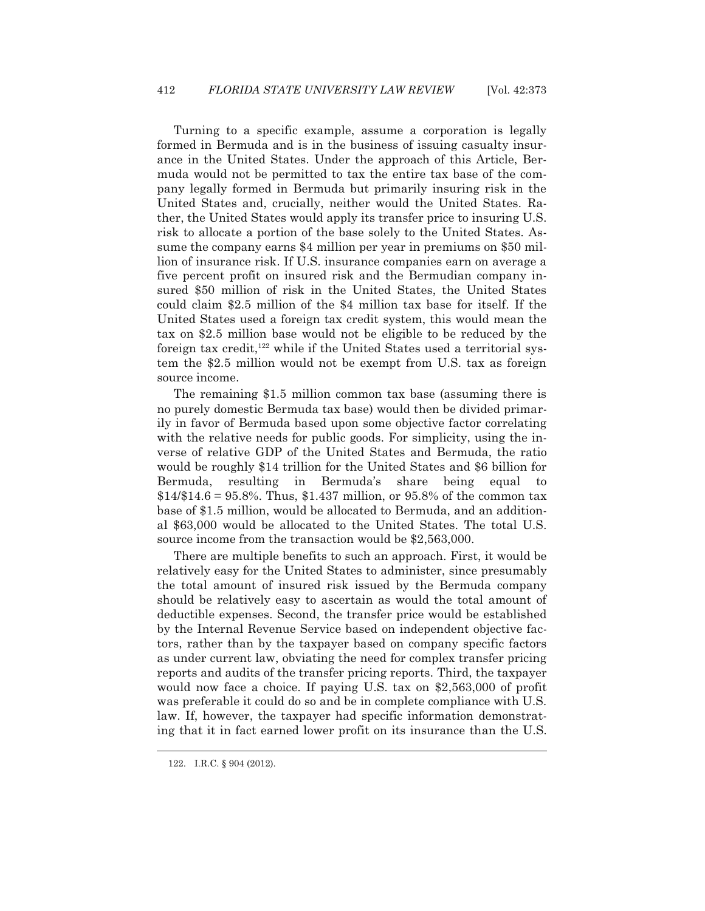Turning to a specific example, assume a corporation is legally formed in Bermuda and is in the business of issuing casualty insurance in the United States. Under the approach of this Article, Bermuda would not be permitted to tax the entire tax base of the company legally formed in Bermuda but primarily insuring risk in the United States and, crucially, neither would the United States. Rather, the United States would apply its transfer price to insuring U.S. risk to allocate a portion of the base solely to the United States. Assume the company earns \$4 million per year in premiums on \$50 million of insurance risk. If U.S. insurance companies earn on average a five percent profit on insured risk and the Bermudian company insured \$50 million of risk in the United States, the United States could claim \$2.5 million of the \$4 million tax base for itself. If the United States used a foreign tax credit system, this would mean the tax on \$2.5 million base would not be eligible to be reduced by the foreign tax credit,<sup>122</sup> while if the United States used a territorial system the \$2.5 million would not be exempt from U.S. tax as foreign source income.

 The remaining \$1.5 million common tax base (assuming there is no purely domestic Bermuda tax base) would then be divided primarily in favor of Bermuda based upon some objective factor correlating with the relative needs for public goods. For simplicity, using the inverse of relative GDP of the United States and Bermuda, the ratio would be roughly \$14 trillion for the United States and \$6 billion for Bermuda, resulting in Bermuda's share being equal to  $$14/\$14.6 = 95.8\%$ . Thus, \$1.437 million, or 95.8% of the common tax base of \$1.5 million, would be allocated to Bermuda, and an additional \$63,000 would be allocated to the United States. The total U.S. source income from the transaction would be \$2,563,000.

 There are multiple benefits to such an approach. First, it would be relatively easy for the United States to administer, since presumably the total amount of insured risk issued by the Bermuda company should be relatively easy to ascertain as would the total amount of deductible expenses. Second, the transfer price would be established by the Internal Revenue Service based on independent objective factors, rather than by the taxpayer based on company specific factors as under current law, obviating the need for complex transfer pricing reports and audits of the transfer pricing reports. Third, the taxpayer would now face a choice. If paying U.S. tax on \$2,563,000 of profit was preferable it could do so and be in complete compliance with U.S. law. If, however, the taxpayer had specific information demonstrating that it in fact earned lower profit on its insurance than the U.S.

 <sup>122.</sup> I.R.C. § 904 (2012).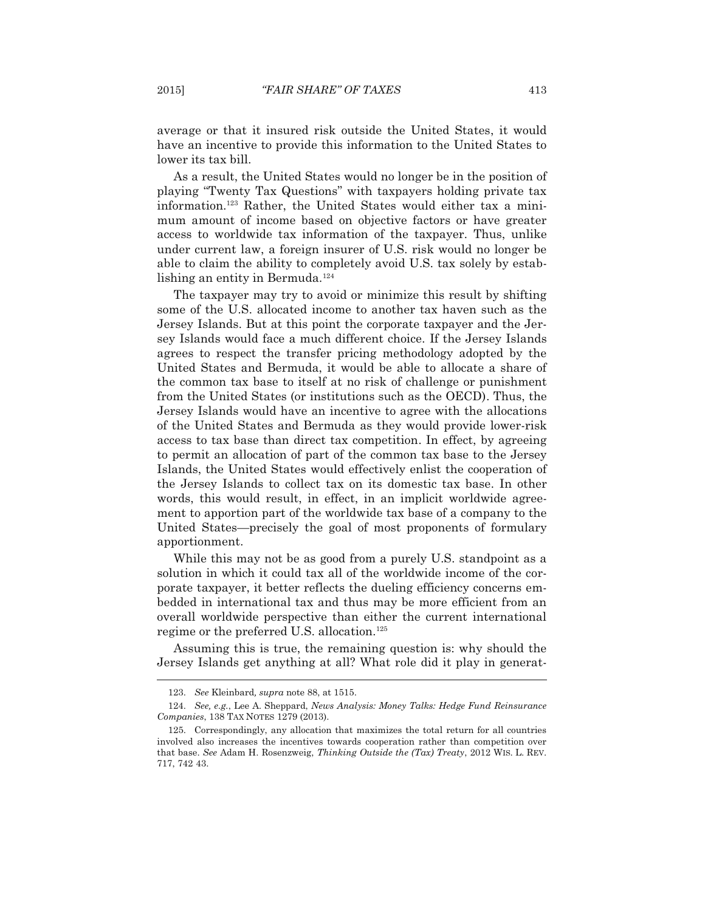average or that it insured risk outside the United States, it would have an incentive to provide this information to the United States to lower its tax bill.

 As a result, the United States would no longer be in the position of playing "Twenty Tax Questions" with taxpayers holding private tax information.123 Rather, the United States would either tax a minimum amount of income based on objective factors or have greater access to worldwide tax information of the taxpayer. Thus, unlike under current law, a foreign insurer of U.S. risk would no longer be able to claim the ability to completely avoid U.S. tax solely by establishing an entity in Bermuda.<sup>124</sup>

 The taxpayer may try to avoid or minimize this result by shifting some of the U.S. allocated income to another tax haven such as the Jersey Islands. But at this point the corporate taxpayer and the Jersey Islands would face a much different choice. If the Jersey Islands agrees to respect the transfer pricing methodology adopted by the United States and Bermuda, it would be able to allocate a share of the common tax base to itself at no risk of challenge or punishment from the United States (or institutions such as the OECD). Thus, the Jersey Islands would have an incentive to agree with the allocations of the United States and Bermuda as they would provide lower-risk access to tax base than direct tax competition. In effect, by agreeing to permit an allocation of part of the common tax base to the Jersey Islands, the United States would effectively enlist the cooperation of the Jersey Islands to collect tax on its domestic tax base. In other words, this would result, in effect, in an implicit worldwide agreement to apportion part of the worldwide tax base of a company to the United States—precisely the goal of most proponents of formulary apportionment.

While this may not be as good from a purely U.S. standpoint as a solution in which it could tax all of the worldwide income of the corporate taxpayer, it better reflects the dueling efficiency concerns embedded in international tax and thus may be more efficient from an overall worldwide perspective than either the current international regime or the preferred U.S. allocation.125

 Assuming this is true, the remaining question is: why should the Jersey Islands get anything at all? What role did it play in generat-

 <sup>123.</sup> *See* Kleinbard*, supra* note 88, at 1515.

 <sup>124.</sup> *See, e.g.*, Lee A. Sheppard, *News Analysis: Money Talks: Hedge Fund Reinsurance Companies*, 138 TAX NOTES 1279 (2013).

 <sup>125.</sup> Correspondingly, any allocation that maximizes the total return for all countries involved also increases the incentives towards cooperation rather than competition over that base. *See* Adam H. Rosenzweig, *Thinking Outside the (Tax) Treaty*, 2012 WIS. L. REV. 717, 742 43.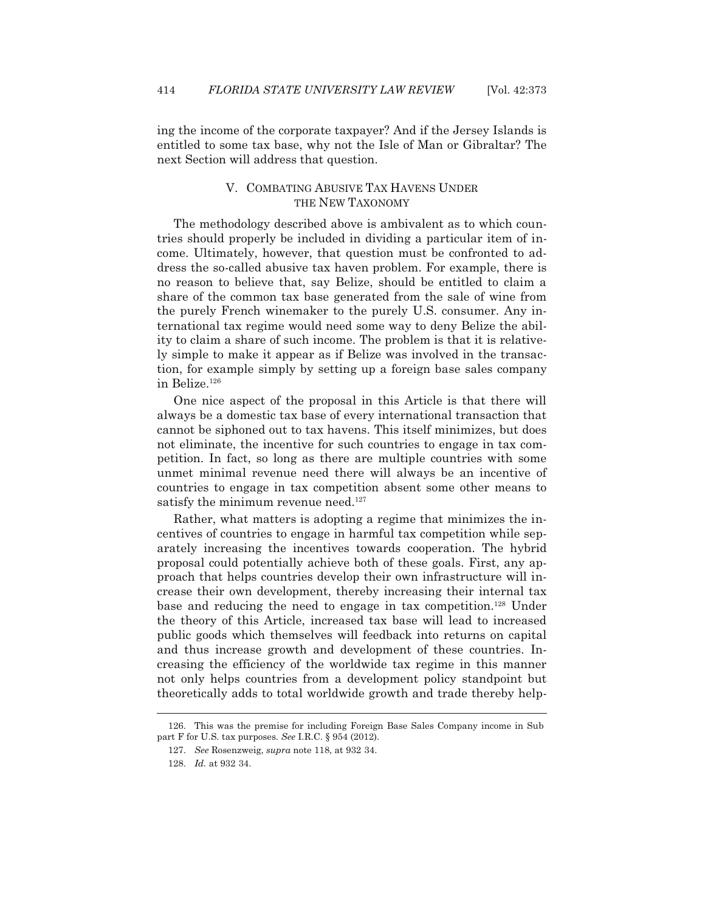ing the income of the corporate taxpayer? And if the Jersey Islands is entitled to some tax base, why not the Isle of Man or Gibraltar? The next Section will address that question.

## V. COMBATING ABUSIVE TAX HAVENS UNDER THE NEW TAXONOMY

 The methodology described above is ambivalent as to which countries should properly be included in dividing a particular item of income. Ultimately, however, that question must be confronted to address the so-called abusive tax haven problem. For example, there is no reason to believe that, say Belize, should be entitled to claim a share of the common tax base generated from the sale of wine from the purely French winemaker to the purely U.S. consumer. Any international tax regime would need some way to deny Belize the ability to claim a share of such income. The problem is that it is relatively simple to make it appear as if Belize was involved in the transaction, for example simply by setting up a foreign base sales company in Belize.126

 One nice aspect of the proposal in this Article is that there will always be a domestic tax base of every international transaction that cannot be siphoned out to tax havens. This itself minimizes, but does not eliminate, the incentive for such countries to engage in tax competition. In fact, so long as there are multiple countries with some unmet minimal revenue need there will always be an incentive of countries to engage in tax competition absent some other means to satisfy the minimum revenue need.<sup>127</sup>

 Rather, what matters is adopting a regime that minimizes the incentives of countries to engage in harmful tax competition while separately increasing the incentives towards cooperation. The hybrid proposal could potentially achieve both of these goals. First, any approach that helps countries develop their own infrastructure will increase their own development, thereby increasing their internal tax base and reducing the need to engage in tax competition.128 Under the theory of this Article, increased tax base will lead to increased public goods which themselves will feedback into returns on capital and thus increase growth and development of these countries. Increasing the efficiency of the worldwide tax regime in this manner not only helps countries from a development policy standpoint but theoretically adds to total worldwide growth and trade thereby help-

 <sup>126.</sup> This was the premise for including Foreign Base Sales Company income in Sub part F for U.S. tax purposes. *See* I.R.C. § 954 (2012).

 <sup>127.</sup> *See* Rosenzweig, *supra* note 118, at 932 34.

<sup>128.</sup> *Id.* at 932 34.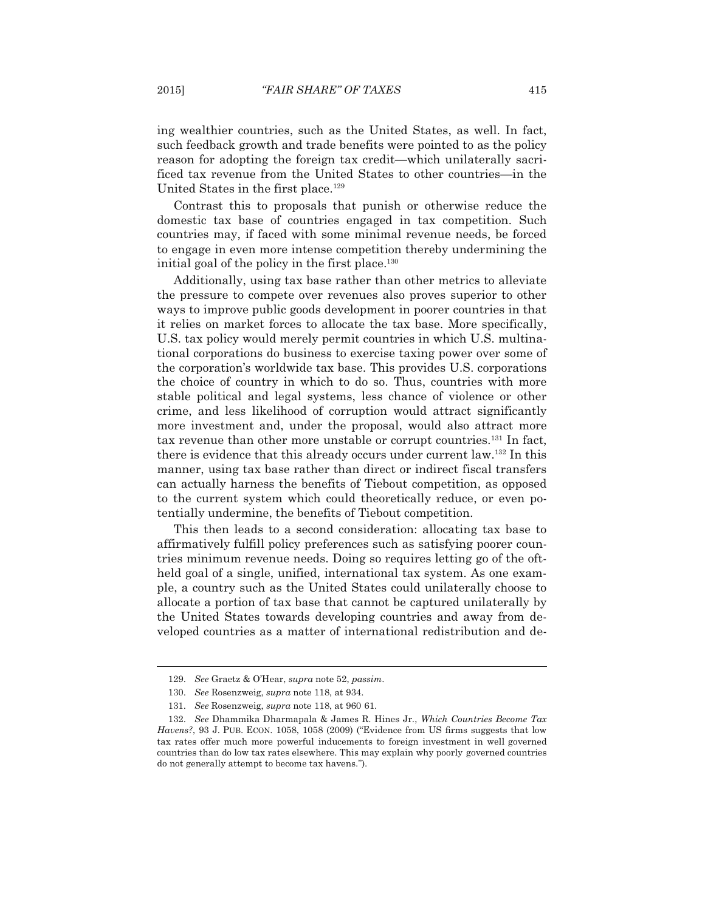ing wealthier countries, such as the United States, as well. In fact, such feedback growth and trade benefits were pointed to as the policy reason for adopting the foreign tax credit—which unilaterally sacrificed tax revenue from the United States to other countries—in the United States in the first place.<sup>129</sup>

 Contrast this to proposals that punish or otherwise reduce the domestic tax base of countries engaged in tax competition. Such countries may, if faced with some minimal revenue needs, be forced to engage in even more intense competition thereby undermining the initial goal of the policy in the first place. $130$ 

 Additionally, using tax base rather than other metrics to alleviate the pressure to compete over revenues also proves superior to other ways to improve public goods development in poorer countries in that it relies on market forces to allocate the tax base. More specifically, U.S. tax policy would merely permit countries in which U.S. multinational corporations do business to exercise taxing power over some of the corporation's worldwide tax base. This provides U.S. corporations the choice of country in which to do so. Thus, countries with more stable political and legal systems, less chance of violence or other crime, and less likelihood of corruption would attract significantly more investment and, under the proposal, would also attract more tax revenue than other more unstable or corrupt countries.131 In fact, there is evidence that this already occurs under current law.132 In this manner, using tax base rather than direct or indirect fiscal transfers can actually harness the benefits of Tiebout competition, as opposed to the current system which could theoretically reduce, or even potentially undermine, the benefits of Tiebout competition.

 This then leads to a second consideration: allocating tax base to affirmatively fulfill policy preferences such as satisfying poorer countries minimum revenue needs. Doing so requires letting go of the oftheld goal of a single, unified, international tax system. As one example, a country such as the United States could unilaterally choose to allocate a portion of tax base that cannot be captured unilaterally by the United States towards developing countries and away from developed countries as a matter of international redistribution and de-

 <sup>129.</sup> *See* Graetz & O'Hear, *supra* note 52, *passim*.

 <sup>130.</sup> *See* Rosenzweig, *supra* note 118, at 934.

 <sup>131.</sup> *See* Rosenzweig, *supra* note 118, at 960 61.

 <sup>132.</sup> *See* Dhammika Dharmapala & James R. Hines Jr., *Which Countries Become Tax Havens?*, 93 J. PUB. ECON. 1058, 1058 (2009) ("Evidence from US firms suggests that low tax rates offer much more powerful inducements to foreign investment in well governed countries than do low tax rates elsewhere. This may explain why poorly governed countries do not generally attempt to become tax havens.").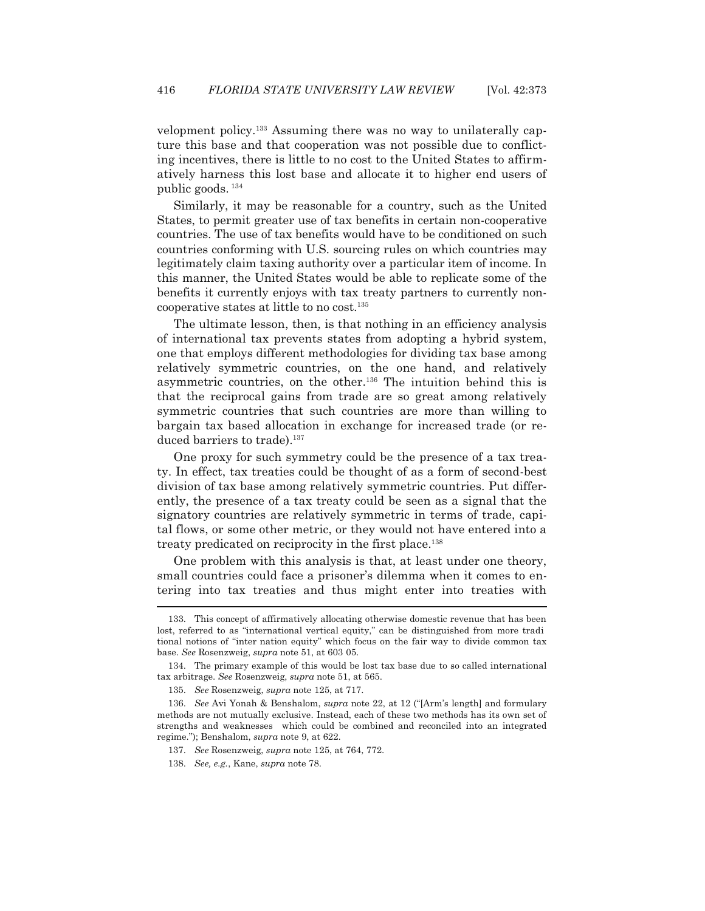velopment policy.133 Assuming there was no way to unilaterally capture this base and that cooperation was not possible due to conflicting incentives, there is little to no cost to the United States to affirmatively harness this lost base and allocate it to higher end users of public goods. <sup>134</sup>

 Similarly, it may be reasonable for a country, such as the United States, to permit greater use of tax benefits in certain non-cooperative countries. The use of tax benefits would have to be conditioned on such countries conforming with U.S. sourcing rules on which countries may legitimately claim taxing authority over a particular item of income. In this manner, the United States would be able to replicate some of the benefits it currently enjoys with tax treaty partners to currently noncooperative states at little to no cost.135

 The ultimate lesson, then, is that nothing in an efficiency analysis of international tax prevents states from adopting a hybrid system, one that employs different methodologies for dividing tax base among relatively symmetric countries, on the one hand, and relatively asymmetric countries, on the other.136 The intuition behind this is that the reciprocal gains from trade are so great among relatively symmetric countries that such countries are more than willing to bargain tax based allocation in exchange for increased trade (or reduced barriers to trade).<sup>137</sup>

 One proxy for such symmetry could be the presence of a tax treaty. In effect, tax treaties could be thought of as a form of second-best division of tax base among relatively symmetric countries. Put differently, the presence of a tax treaty could be seen as a signal that the signatory countries are relatively symmetric in terms of trade, capital flows, or some other metric, or they would not have entered into a treaty predicated on reciprocity in the first place.<sup>138</sup>

 One problem with this analysis is that, at least under one theory, small countries could face a prisoner's dilemma when it comes to entering into tax treaties and thus might enter into treaties with  $\overline{a}$ 

 <sup>133.</sup> This concept of affirmatively allocating otherwise domestic revenue that has been lost, referred to as "international vertical equity," can be distinguished from more tradi tional notions of "inter nation equity" which focus on the fair way to divide common tax base. *See* Rosenzweig, *supra* note 51, at 603 05.

 <sup>134.</sup> The primary example of this would be lost tax base due to so called international tax arbitrage. *See* Rosenzweig, *supra* note 51, at 565.

 <sup>135.</sup> *See* Rosenzweig, *supra* note 125, at 717.

 <sup>136.</sup> *See* Avi Yonah & Benshalom, *supra* note 22, at 12 ("[Arm's length] and formulary methods are not mutually exclusive. Instead, each of these two methods has its own set of strengths and weaknesses which could be combined and reconciled into an integrated regime."); Benshalom, *supra* note 9, at 622.

 <sup>137.</sup> *See* Rosenzweig, *supra* note 125, at 764, 772.

 <sup>138.</sup> *See, e.g.*, Kane, *supra* note 78.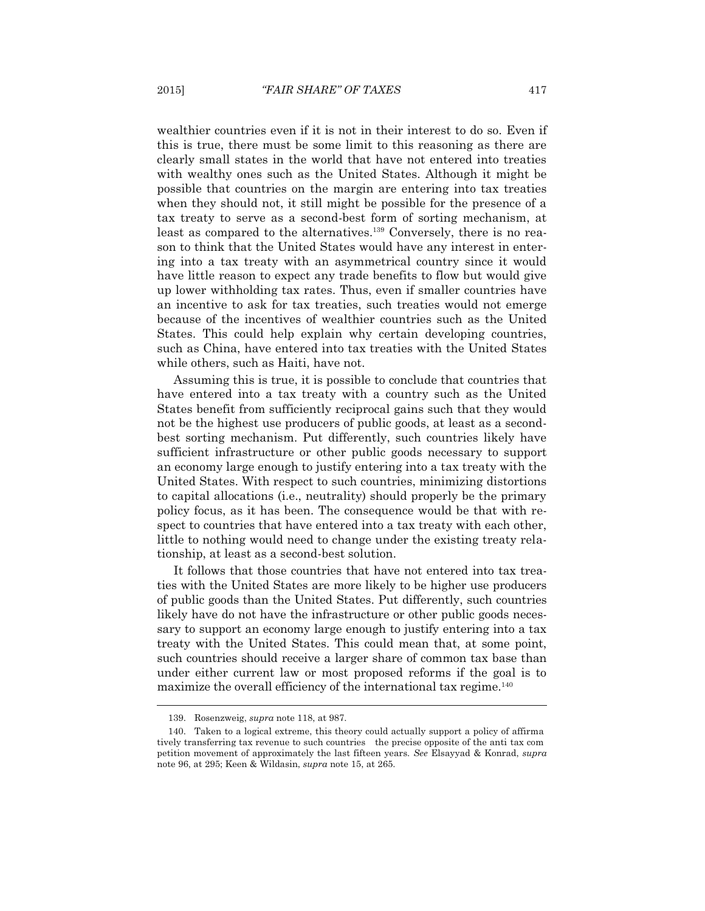wealthier countries even if it is not in their interest to do so. Even if this is true, there must be some limit to this reasoning as there are clearly small states in the world that have not entered into treaties with wealthy ones such as the United States. Although it might be possible that countries on the margin are entering into tax treaties when they should not, it still might be possible for the presence of a tax treaty to serve as a second-best form of sorting mechanism, at least as compared to the alternatives.<sup>139</sup> Conversely, there is no reason to think that the United States would have any interest in entering into a tax treaty with an asymmetrical country since it would have little reason to expect any trade benefits to flow but would give up lower withholding tax rates. Thus, even if smaller countries have an incentive to ask for tax treaties, such treaties would not emerge because of the incentives of wealthier countries such as the United States. This could help explain why certain developing countries, such as China, have entered into tax treaties with the United States while others, such as Haiti, have not.

 Assuming this is true, it is possible to conclude that countries that have entered into a tax treaty with a country such as the United States benefit from sufficiently reciprocal gains such that they would not be the highest use producers of public goods, at least as a secondbest sorting mechanism. Put differently, such countries likely have sufficient infrastructure or other public goods necessary to support an economy large enough to justify entering into a tax treaty with the United States. With respect to such countries, minimizing distortions to capital allocations (i.e., neutrality) should properly be the primary policy focus, as it has been. The consequence would be that with respect to countries that have entered into a tax treaty with each other, little to nothing would need to change under the existing treaty relationship, at least as a second-best solution.

 It follows that those countries that have not entered into tax treaties with the United States are more likely to be higher use producers of public goods than the United States. Put differently, such countries likely have do not have the infrastructure or other public goods necessary to support an economy large enough to justify entering into a tax treaty with the United States. This could mean that, at some point, such countries should receive a larger share of common tax base than under either current law or most proposed reforms if the goal is to maximize the overall efficiency of the international tax regime.<sup>140</sup>

 <sup>139.</sup> Rosenzweig, *supra* note 118, at 987.

 <sup>140.</sup> Taken to a logical extreme, this theory could actually support a policy of affirma tively transferring tax revenue to such countries the precise opposite of the anti tax com petition movement of approximately the last fifteen years. *See* Elsayyad & Konrad, *supra*  note 96, at 295; Keen & Wildasin, *supra* note 15, at 265.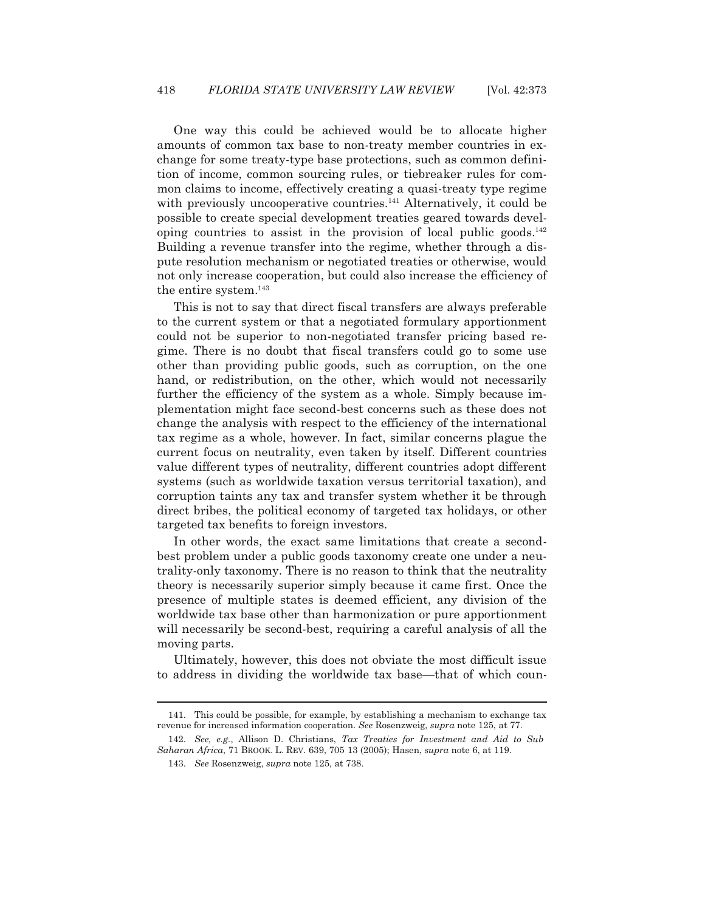One way this could be achieved would be to allocate higher amounts of common tax base to non-treaty member countries in exchange for some treaty-type base protections, such as common definition of income, common sourcing rules, or tiebreaker rules for common claims to income, effectively creating a quasi-treaty type regime with previously uncooperative countries.<sup>141</sup> Alternatively, it could be possible to create special development treaties geared towards developing countries to assist in the provision of local public goods. $^{142}$ Building a revenue transfer into the regime, whether through a dispute resolution mechanism or negotiated treaties or otherwise, would not only increase cooperation, but could also increase the efficiency of the entire system.143

 This is not to say that direct fiscal transfers are always preferable to the current system or that a negotiated formulary apportionment could not be superior to non-negotiated transfer pricing based regime. There is no doubt that fiscal transfers could go to some use other than providing public goods, such as corruption, on the one hand, or redistribution, on the other, which would not necessarily further the efficiency of the system as a whole. Simply because implementation might face second-best concerns such as these does not change the analysis with respect to the efficiency of the international tax regime as a whole, however. In fact, similar concerns plague the current focus on neutrality, even taken by itself. Different countries value different types of neutrality, different countries adopt different systems (such as worldwide taxation versus territorial taxation), and corruption taints any tax and transfer system whether it be through direct bribes, the political economy of targeted tax holidays, or other targeted tax benefits to foreign investors.

 In other words, the exact same limitations that create a secondbest problem under a public goods taxonomy create one under a neutrality-only taxonomy. There is no reason to think that the neutrality theory is necessarily superior simply because it came first. Once the presence of multiple states is deemed efficient, any division of the worldwide tax base other than harmonization or pure apportionment will necessarily be second-best, requiring a careful analysis of all the moving parts.

 Ultimately, however, this does not obviate the most difficult issue to address in dividing the worldwide tax base—that of which coun-

 <sup>141.</sup> This could be possible, for example, by establishing a mechanism to exchange tax revenue for increased information cooperation. *See* Rosenzweig, *supra* note 125, at 77.

 <sup>142.</sup> *See, e.g.*, Allison D. Christians, *Tax Treaties for Investment and Aid to Sub Saharan Africa*, 71 BROOK. L. REV. 639, 705 13 (2005); Hasen, *supra* note 6, at 119.

 <sup>143.</sup> *See* Rosenzweig, *supra* note 125, at 738.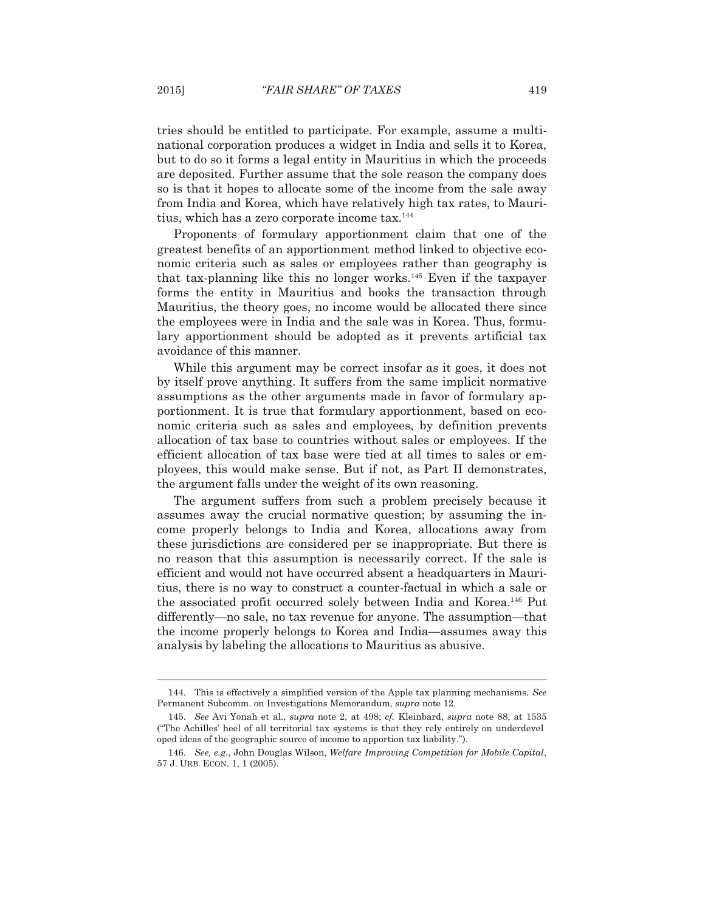tries should be entitled to participate. For example, assume a multinational corporation produces a widget in India and sells it to Korea, but to do so it forms a legal entity in Mauritius in which the proceeds are deposited. Further assume that the sole reason the company does so is that it hopes to allocate some of the income from the sale away from India and Korea, which have relatively high tax rates, to Mauritius, which has a zero corporate income tax.144

 Proponents of formulary apportionment claim that one of the greatest benefits of an apportionment method linked to objective economic criteria such as sales or employees rather than geography is that tax-planning like this no longer works.145 Even if the taxpayer forms the entity in Mauritius and books the transaction through Mauritius, the theory goes, no income would be allocated there since the employees were in India and the sale was in Korea. Thus, formulary apportionment should be adopted as it prevents artificial tax avoidance of this manner.

 While this argument may be correct insofar as it goes, it does not by itself prove anything. It suffers from the same implicit normative assumptions as the other arguments made in favor of formulary apportionment. It is true that formulary apportionment, based on economic criteria such as sales and employees, by definition prevents allocation of tax base to countries without sales or employees. If the efficient allocation of tax base were tied at all times to sales or employees, this would make sense. But if not, as Part II demonstrates, the argument falls under the weight of its own reasoning.

 The argument suffers from such a problem precisely because it assumes away the crucial normative question; by assuming the income properly belongs to India and Korea, allocations away from these jurisdictions are considered per se inappropriate. But there is no reason that this assumption is necessarily correct. If the sale is efficient and would not have occurred absent a headquarters in Mauritius, there is no way to construct a counter-factual in which a sale or the associated profit occurred solely between India and Korea.146 Put differently—no sale, no tax revenue for anyone. The assumption—that the income properly belongs to Korea and India—assumes away this analysis by labeling the allocations to Mauritius as abusive.

 <sup>144.</sup> This is effectively a simplified version of the Apple tax planning mechanisms. *See* Permanent Subcomm. on Investigations Memorandum, *supra* note 12.

 <sup>145.</sup> *See* Avi Yonah et al., *supra* note 2, at 498; *cf.* Kleinbard, *supra* note 88, at 1535 ("The Achilles' heel of all territorial tax systems is that they rely entirely on underdevel oped ideas of the geographic source of income to apportion tax liability.").

 <sup>146.</sup> *See, e.g.*, John Douglas Wilson, *Welfare Improving Competition for Mobile Capital*, 57 J. URB. ECON. 1, 1 (2005).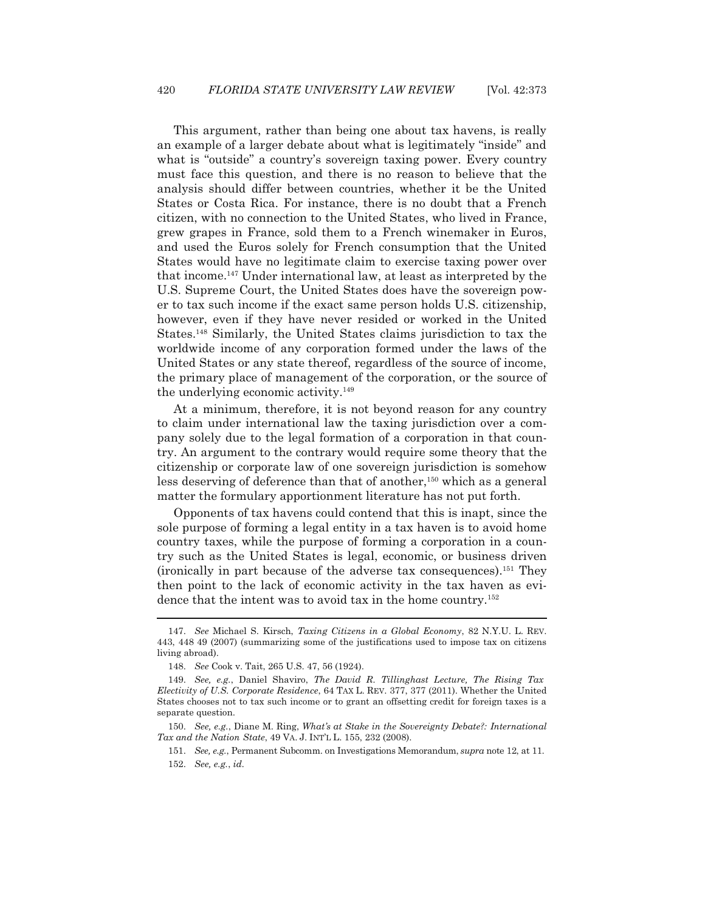This argument, rather than being one about tax havens, is really an example of a larger debate about what is legitimately "inside" and what is "outside" a country's sovereign taxing power. Every country must face this question, and there is no reason to believe that the analysis should differ between countries, whether it be the United States or Costa Rica. For instance, there is no doubt that a French citizen, with no connection to the United States, who lived in France, grew grapes in France, sold them to a French winemaker in Euros, and used the Euros solely for French consumption that the United States would have no legitimate claim to exercise taxing power over that income.147 Under international law, at least as interpreted by the U.S. Supreme Court, the United States does have the sovereign power to tax such income if the exact same person holds U.S. citizenship, however, even if they have never resided or worked in the United States.148 Similarly, the United States claims jurisdiction to tax the worldwide income of any corporation formed under the laws of the United States or any state thereof, regardless of the source of income, the primary place of management of the corporation, or the source of the underlying economic activity.<sup>149</sup>

 At a minimum, therefore, it is not beyond reason for any country to claim under international law the taxing jurisdiction over a company solely due to the legal formation of a corporation in that country. An argument to the contrary would require some theory that the citizenship or corporate law of one sovereign jurisdiction is somehow less deserving of deference than that of another, $150$  which as a general matter the formulary apportionment literature has not put forth.

 Opponents of tax havens could contend that this is inapt, since the sole purpose of forming a legal entity in a tax haven is to avoid home country taxes, while the purpose of forming a corporation in a country such as the United States is legal, economic, or business driven (ironically in part because of the adverse tax consequences).151 They then point to the lack of economic activity in the tax haven as evidence that the intent was to avoid tax in the home country.<sup>152</sup>

 <sup>147.</sup> *See* Michael S. Kirsch, *Taxing Citizens in a Global Economy*, 82 N.Y.U. L. REV. 443, 448 49 (2007) (summarizing some of the justifications used to impose tax on citizens living abroad).

 <sup>148.</sup> *See* Cook v. Tait, 265 U.S. 47, 56 (1924).

 <sup>149.</sup> *See, e.g.*, Daniel Shaviro, *The David R. Tillinghast Lecture, The Rising Tax Electivity of U.S. Corporate Residence*, 64 TAX L. REV. 377, 377 (2011). Whether the United States chooses not to tax such income or to grant an offsetting credit for foreign taxes is a separate question.

 <sup>150.</sup> *See, e.g.*, Diane M. Ring, *What's at Stake in the Sovereignty Debate?: International Tax and the Nation State*, 49 VA. J. INT'L L. 155, 232 (2008).

 <sup>151.</sup> *See, e.g.*, Permanent Subcomm. on Investigations Memorandum, *supra* note 12, at 11. 152. *See, e.g.*, *id.*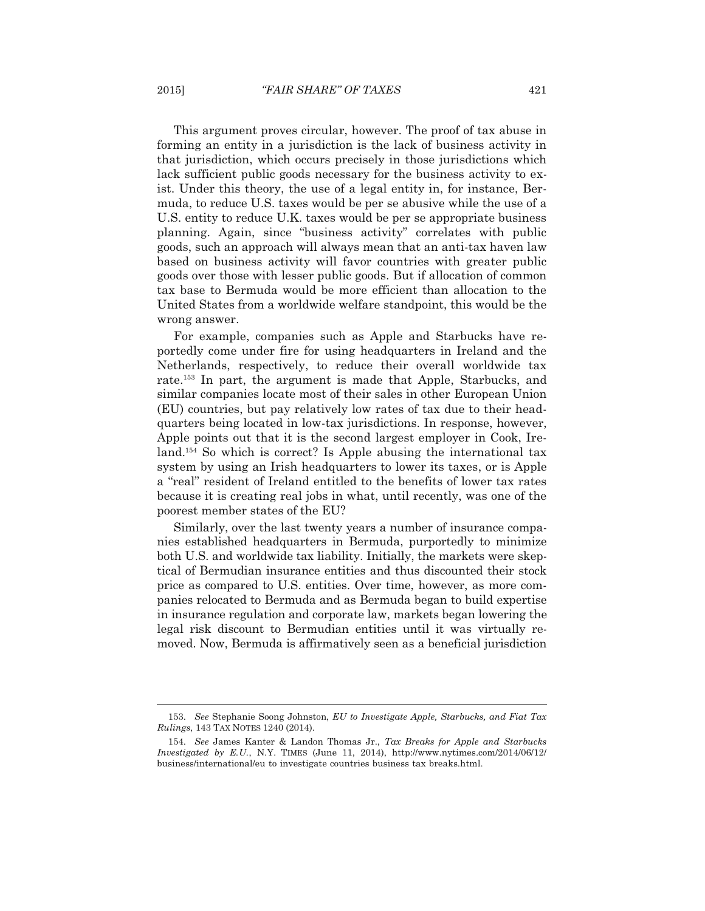This argument proves circular, however. The proof of tax abuse in forming an entity in a jurisdiction is the lack of business activity in that jurisdiction, which occurs precisely in those jurisdictions which lack sufficient public goods necessary for the business activity to exist. Under this theory, the use of a legal entity in, for instance, Bermuda, to reduce U.S. taxes would be per se abusive while the use of a U.S. entity to reduce U.K. taxes would be per se appropriate business planning. Again, since "business activity" correlates with public goods, such an approach will always mean that an anti-tax haven law based on business activity will favor countries with greater public goods over those with lesser public goods. But if allocation of common tax base to Bermuda would be more efficient than allocation to the United States from a worldwide welfare standpoint, this would be the wrong answer.

 For example, companies such as Apple and Starbucks have reportedly come under fire for using headquarters in Ireland and the Netherlands, respectively, to reduce their overall worldwide tax rate.153 In part, the argument is made that Apple, Starbucks, and similar companies locate most of their sales in other European Union (EU) countries, but pay relatively low rates of tax due to their headquarters being located in low-tax jurisdictions. In response, however, Apple points out that it is the second largest employer in Cook, Ireland.154 So which is correct? Is Apple abusing the international tax system by using an Irish headquarters to lower its taxes, or is Apple a "real" resident of Ireland entitled to the benefits of lower tax rates because it is creating real jobs in what, until recently, was one of the poorest member states of the EU?

 Similarly, over the last twenty years a number of insurance companies established headquarters in Bermuda, purportedly to minimize both U.S. and worldwide tax liability. Initially, the markets were skeptical of Bermudian insurance entities and thus discounted their stock price as compared to U.S. entities. Over time, however, as more companies relocated to Bermuda and as Bermuda began to build expertise in insurance regulation and corporate law, markets began lowering the legal risk discount to Bermudian entities until it was virtually removed. Now, Bermuda is affirmatively seen as a beneficial jurisdiction

 <sup>153.</sup> *See* Stephanie Soong Johnston, *EU to Investigate Apple, Starbucks, and Fiat Tax Rulings*, 143 TAX NOTES 1240 (2014).

 <sup>154.</sup> *See* James Kanter & Landon Thomas Jr., *Tax Breaks for Apple and Starbucks Investigated by E.U.*, N.Y. TIMES (June 11, 2014), http://www.nytimes.com/2014/06/12/ business/international/eu to investigate countries business tax breaks.html.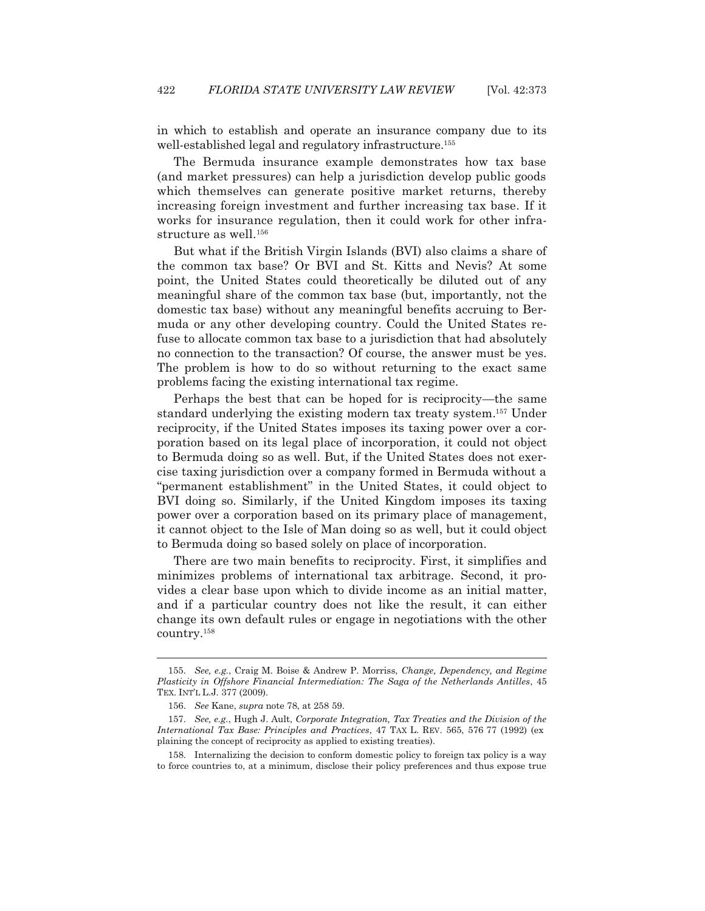in which to establish and operate an insurance company due to its well-established legal and regulatory infrastructure.155

 The Bermuda insurance example demonstrates how tax base (and market pressures) can help a jurisdiction develop public goods which themselves can generate positive market returns, thereby increasing foreign investment and further increasing tax base. If it works for insurance regulation, then it could work for other infrastructure as well.<sup>156</sup>

 But what if the British Virgin Islands (BVI) also claims a share of the common tax base? Or BVI and St. Kitts and Nevis? At some point, the United States could theoretically be diluted out of any meaningful share of the common tax base (but, importantly, not the domestic tax base) without any meaningful benefits accruing to Bermuda or any other developing country. Could the United States refuse to allocate common tax base to a jurisdiction that had absolutely no connection to the transaction? Of course, the answer must be yes. The problem is how to do so without returning to the exact same problems facing the existing international tax regime.

 Perhaps the best that can be hoped for is reciprocity—the same standard underlying the existing modern tax treaty system.157 Under reciprocity, if the United States imposes its taxing power over a corporation based on its legal place of incorporation, it could not object to Bermuda doing so as well. But, if the United States does not exercise taxing jurisdiction over a company formed in Bermuda without a "permanent establishment" in the United States, it could object to BVI doing so. Similarly, if the United Kingdom imposes its taxing power over a corporation based on its primary place of management, it cannot object to the Isle of Man doing so as well, but it could object to Bermuda doing so based solely on place of incorporation.

 There are two main benefits to reciprocity. First, it simplifies and minimizes problems of international tax arbitrage. Second, it provides a clear base upon which to divide income as an initial matter, and if a particular country does not like the result, it can either change its own default rules or engage in negotiations with the other country.158

 <sup>155.</sup> *See, e.g.*, Craig M. Boise & Andrew P. Morriss, *Change, Dependency, and Regime Plasticity in Offshore Financial Intermediation: The Saga of the Netherlands Antilles*, 45 TEX. INT'L L.J. 377 (2009).

 <sup>156.</sup> *See* Kane, *supra* note 78, at 258 59.

 <sup>157.</sup> *See, e.g.*, Hugh J. Ault, *Corporate Integration, Tax Treaties and the Division of the International Tax Base: Principles and Practices*, 47 TAX L. REV. 565, 576 77 (1992) (ex plaining the concept of reciprocity as applied to existing treaties).

 <sup>158.</sup> Internalizing the decision to conform domestic policy to foreign tax policy is a way to force countries to, at a minimum, disclose their policy preferences and thus expose true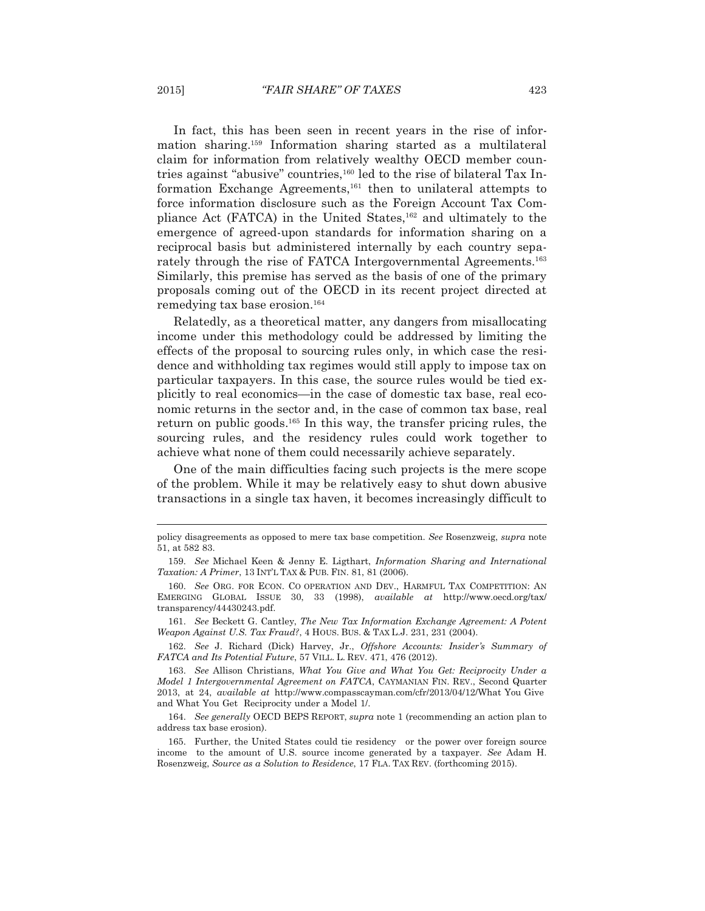In fact, this has been seen in recent years in the rise of information sharing.159 Information sharing started as a multilateral claim for information from relatively wealthy OECD member countries against "abusive" countries,<sup>160</sup> led to the rise of bilateral Tax Information Exchange Agreements,<sup>161</sup> then to unilateral attempts to force information disclosure such as the Foreign Account Tax Compliance Act (FATCA) in the United States,<sup>162</sup> and ultimately to the emergence of agreed-upon standards for information sharing on a reciprocal basis but administered internally by each country separately through the rise of FATCA Intergovernmental Agreements.<sup>163</sup> Similarly, this premise has served as the basis of one of the primary proposals coming out of the OECD in its recent project directed at remedying tax base erosion.<sup>164</sup>

 Relatedly, as a theoretical matter, any dangers from misallocating income under this methodology could be addressed by limiting the effects of the proposal to sourcing rules only, in which case the residence and withholding tax regimes would still apply to impose tax on particular taxpayers. In this case, the source rules would be tied explicitly to real economics—in the case of domestic tax base, real economic returns in the sector and, in the case of common tax base, real return on public goods.165 In this way, the transfer pricing rules, the sourcing rules, and the residency rules could work together to achieve what none of them could necessarily achieve separately.

 One of the main difficulties facing such projects is the mere scope of the problem. While it may be relatively easy to shut down abusive transactions in a single tax haven, it becomes increasingly difficult to

policy disagreements as opposed to mere tax base competition. *See* Rosenzweig, *supra* note 51, at 582 83.

 <sup>159.</sup> *See* Michael Keen & Jenny E. Ligthart, *Information Sharing and International Taxation: A Primer*, 13 INT'L TAX & PUB. FIN. 81, 81 (2006).

 <sup>160.</sup> *See* ORG. FOR ECON. CO OPERATION AND DEV., HARMFUL TAX COMPETITION: AN EMERGING GLOBAL ISSUE 30, 33 (1998), *available at* http://www.oecd.org/tax/ transparency/44430243.pdf.

 <sup>161.</sup> *See* Beckett G. Cantley, *The New Tax Information Exchange Agreement: A Potent Weapon Against U.S. Tax Fraud?*, 4 HOUS. BUS.&TAX L.J. 231, 231 (2004).

 <sup>162.</sup> *See* J. Richard (Dick) Harvey, Jr., *Offshore Accounts: Insider's Summary of FATCA and Its Potential Future*, 57 VILL. L. REV. 471, 476 (2012).

 <sup>163.</sup> *See* Allison Christians, *What You Give and What You Get: Reciprocity Under a Model 1 Intergovernmental Agreement on FATCA*, CAYMANIAN FIN. REV., Second Quarter 2013, at 24, *available at* http://www.compasscayman.com/cfr/2013/04/12/What You Give and What You Get Reciprocity under a Model 1/.

 <sup>164.</sup> *See generally* OECD BEPS REPORT, *supra* note 1 (recommending an action plan to address tax base erosion).

 <sup>165.</sup> Further, the United States could tie residency or the power over foreign source income to the amount of U.S. source income generated by a taxpayer. *See* Adam H. Rosenzweig, *Source as a Solution to Residence*, 17 FLA. TAX REV. (forthcoming 2015).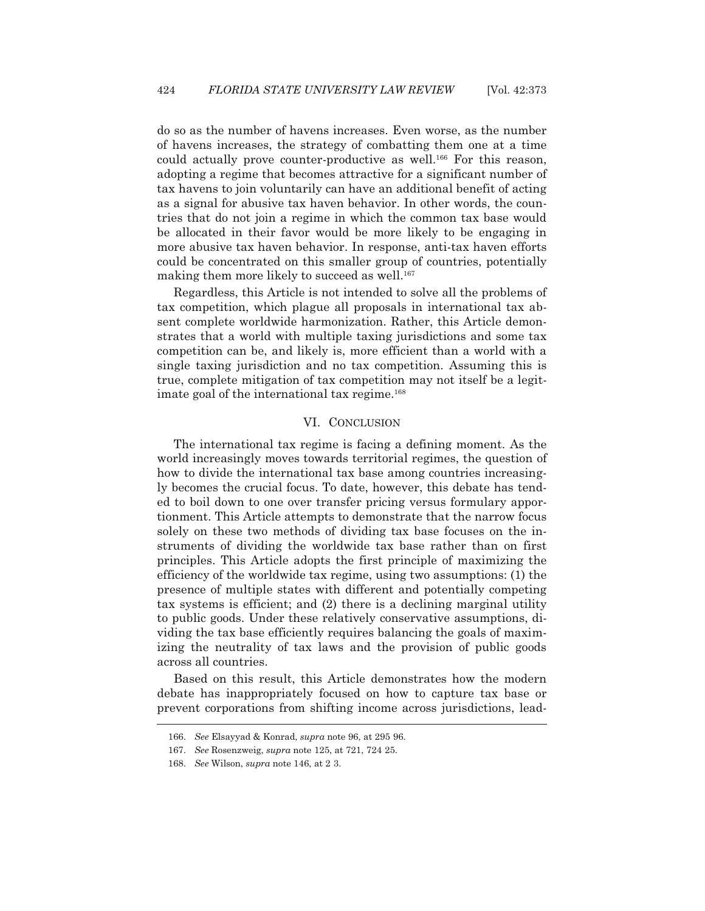do so as the number of havens increases. Even worse, as the number of havens increases, the strategy of combatting them one at a time could actually prove counter-productive as well.<sup>166</sup> For this reason, adopting a regime that becomes attractive for a significant number of tax havens to join voluntarily can have an additional benefit of acting as a signal for abusive tax haven behavior. In other words, the countries that do not join a regime in which the common tax base would be allocated in their favor would be more likely to be engaging in more abusive tax haven behavior. In response, anti-tax haven efforts could be concentrated on this smaller group of countries, potentially making them more likely to succeed as well.<sup>167</sup>

 Regardless, this Article is not intended to solve all the problems of tax competition, which plague all proposals in international tax absent complete worldwide harmonization. Rather, this Article demonstrates that a world with multiple taxing jurisdictions and some tax competition can be, and likely is, more efficient than a world with a single taxing jurisdiction and no tax competition. Assuming this is true, complete mitigation of tax competition may not itself be a legitimate goal of the international tax regime.<sup>168</sup>

## VI. CONCLUSION

 The international tax regime is facing a defining moment. As the world increasingly moves towards territorial regimes, the question of how to divide the international tax base among countries increasingly becomes the crucial focus. To date, however, this debate has tended to boil down to one over transfer pricing versus formulary apportionment. This Article attempts to demonstrate that the narrow focus solely on these two methods of dividing tax base focuses on the instruments of dividing the worldwide tax base rather than on first principles. This Article adopts the first principle of maximizing the efficiency of the worldwide tax regime, using two assumptions: (1) the presence of multiple states with different and potentially competing tax systems is efficient; and (2) there is a declining marginal utility to public goods. Under these relatively conservative assumptions, dividing the tax base efficiently requires balancing the goals of maximizing the neutrality of tax laws and the provision of public goods across all countries.

 Based on this result, this Article demonstrates how the modern debate has inappropriately focused on how to capture tax base or prevent corporations from shifting income across jurisdictions, lead- -<br>-

 <sup>166.</sup> *See* Elsayyad & Konrad, *supra* note 96, at 295 96.

 <sup>167.</sup> *See* Rosenzweig, *supra* note 125, at 721, 724 25.

 <sup>168.</sup> *See* Wilson, *supra* note 146, at 2 3.